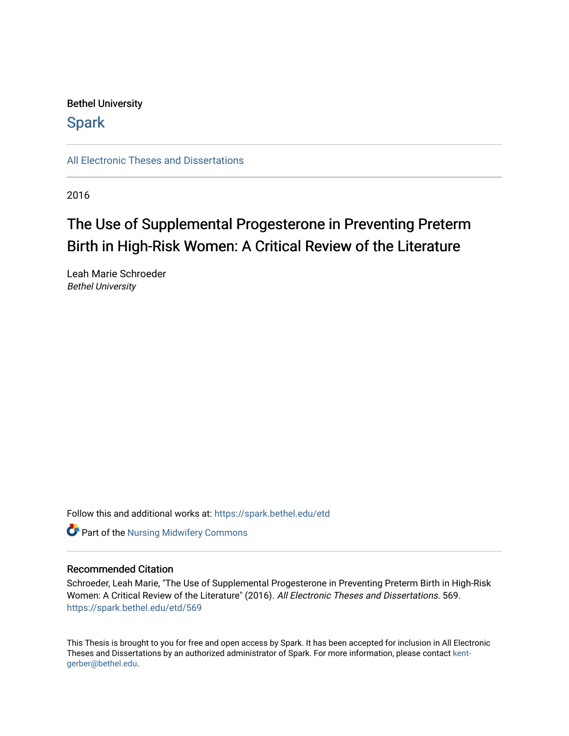# Bethel University

# **Spark**

[All Electronic Theses and Dissertations](https://spark.bethel.edu/etd) 

2016

# The Use of Supplemental Progesterone in Preventing Preterm Birth in High-Risk Women: A Critical Review of the Literature

Leah Marie Schroeder Bethel University

Follow this and additional works at: [https://spark.bethel.edu/etd](https://spark.bethel.edu/etd?utm_source=spark.bethel.edu%2Fetd%2F569&utm_medium=PDF&utm_campaign=PDFCoverPages)

**Part of the Nursing Midwifery Commons** 

# Recommended Citation

Schroeder, Leah Marie, "The Use of Supplemental Progesterone in Preventing Preterm Birth in High-Risk Women: A Critical Review of the Literature" (2016). All Electronic Theses and Dissertations. 569. [https://spark.bethel.edu/etd/569](https://spark.bethel.edu/etd/569?utm_source=spark.bethel.edu%2Fetd%2F569&utm_medium=PDF&utm_campaign=PDFCoverPages)

This Thesis is brought to you for free and open access by Spark. It has been accepted for inclusion in All Electronic Theses and Dissertations by an authorized administrator of Spark. For more information, please contact [kent](mailto:kent-gerber@bethel.edu)[gerber@bethel.edu.](mailto:kent-gerber@bethel.edu)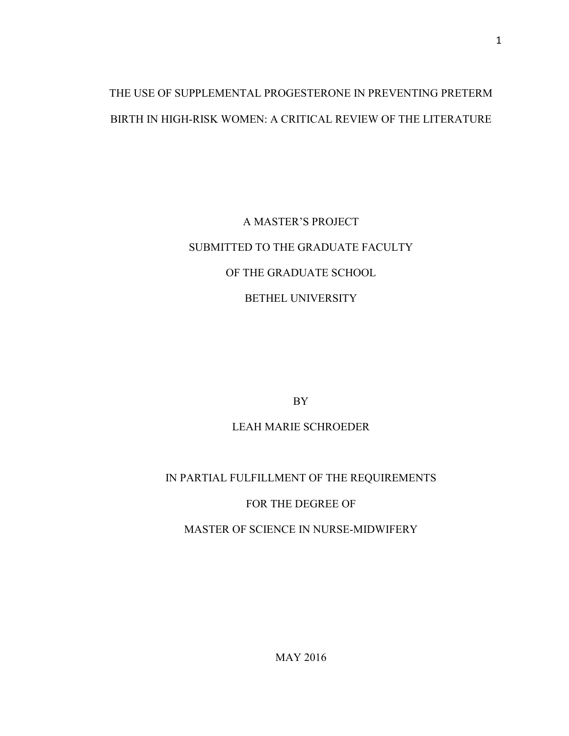# THE USE OF SUPPLEMENTAL PROGESTERONE IN PREVENTING PRETERM BIRTH IN HIGH-RISK WOMEN: A CRITICAL REVIEW OF THE LITERATURE

# A MASTER'S PROJECT SUBMITTED TO THE GRADUATE FACULTY OF THE GRADUATE SCHOOL BETHEL UNIVERSITY

BY

# LEAH MARIE SCHROEDER

# IN PARTIAL FULFILLMENT OF THE REQUIREMENTS

# FOR THE DEGREE OF

MASTER OF SCIENCE IN NURSE-MIDWIFERY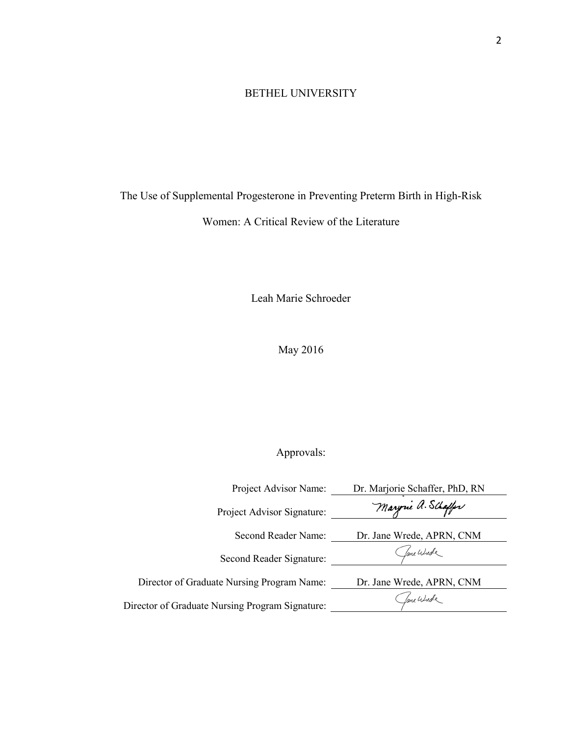# BETHEL UNIVERSITY

The Use of Supplemental Progesterone in Preventing Preterm Birth in High-Risk

Women: A Critical Review of the Literature

Leah Marie Schroeder

May 2016

# Approvals:

| Project Advisor Name:                           | Dr. Marjorie Schaffer, PhD, RN |
|-------------------------------------------------|--------------------------------|
| Project Advisor Signature:                      | Maryrne a. Schaffer            |
| Second Reader Name:                             | Dr. Jane Wrede, APRN, CNM      |
| Second Reader Signature:                        | fame Wurde                     |
| Director of Graduate Nursing Program Name:      | Dr. Jane Wrede, APRN, CNM      |
| Director of Graduate Nursing Program Signature: | fame Wurde                     |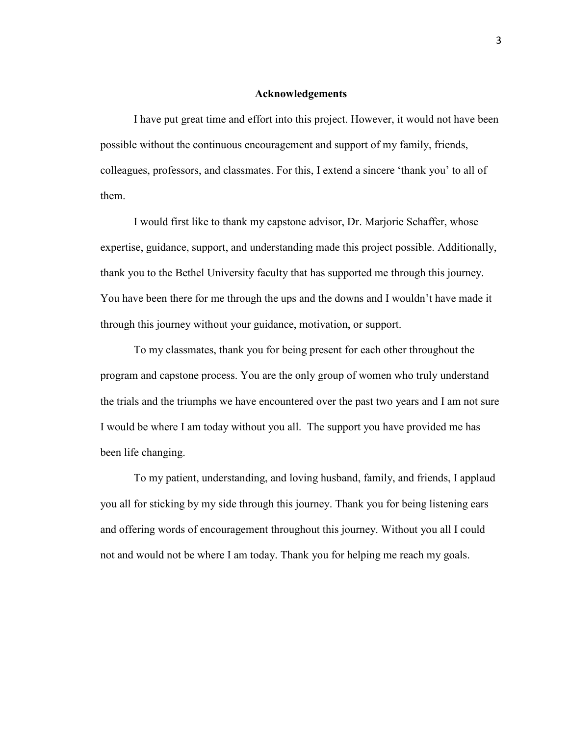# **Acknowledgements**

I have put great time and effort into this project. However, it would not have been possible without the continuous encouragement and support of my family, friends, colleagues, professors, and classmates. For this, I extend a sincere 'thank you' to all of them.

I would first like to thank my capstone advisor, Dr. Marjorie Schaffer, whose expertise, guidance, support, and understanding made this project possible. Additionally, thank you to the Bethel University faculty that has supported me through this journey. You have been there for me through the ups and the downs and I wouldn't have made it through this journey without your guidance, motivation, or support.

To my classmates, thank you for being present for each other throughout the program and capstone process. You are the only group of women who truly understand the trials and the triumphs we have encountered over the past two years and I am not sure I would be where I am today without you all. The support you have provided me has been life changing.

 To my patient, understanding, and loving husband, family, and friends, I applaud you all for sticking by my side through this journey. Thank you for being listening ears and offering words of encouragement throughout this journey. Without you all I could not and would not be where I am today. Thank you for helping me reach my goals.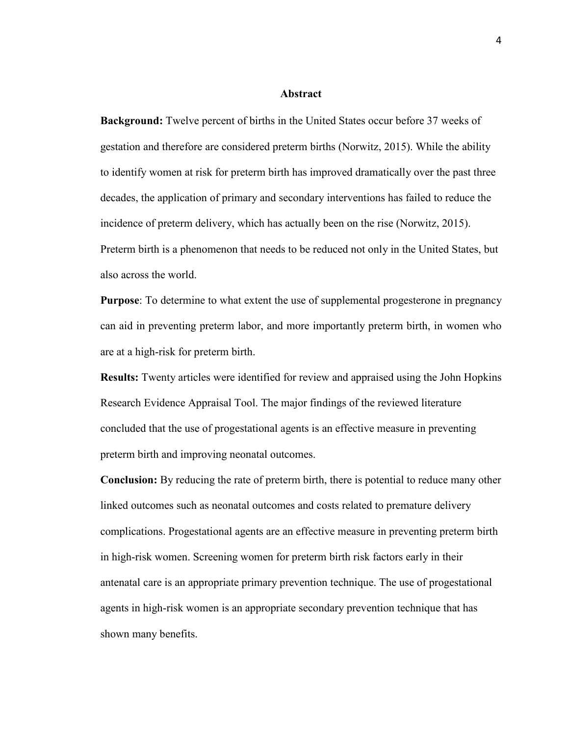#### **Abstract**

**Background:** Twelve percent of births in the United States occur before 37 weeks of gestation and therefore are considered preterm births (Norwitz, 2015). While the ability to identify women at risk for preterm birth has improved dramatically over the past three decades, the application of primary and secondary interventions has failed to reduce the incidence of preterm delivery, which has actually been on the rise (Norwitz, 2015). Preterm birth is a phenomenon that needs to be reduced not only in the United States, but also across the world.

**Purpose**: To determine to what extent the use of supplemental progesterone in pregnancy can aid in preventing preterm labor, and more importantly preterm birth, in women who are at a high-risk for preterm birth.

**Results:** Twenty articles were identified for review and appraised using the John Hopkins Research Evidence Appraisal Tool. The major findings of the reviewed literature concluded that the use of progestational agents is an effective measure in preventing preterm birth and improving neonatal outcomes.

**Conclusion:** By reducing the rate of preterm birth, there is potential to reduce many other linked outcomes such as neonatal outcomes and costs related to premature delivery complications. Progestational agents are an effective measure in preventing preterm birth in high-risk women. Screening women for preterm birth risk factors early in their antenatal care is an appropriate primary prevention technique. The use of progestational agents in high-risk women is an appropriate secondary prevention technique that has shown many benefits.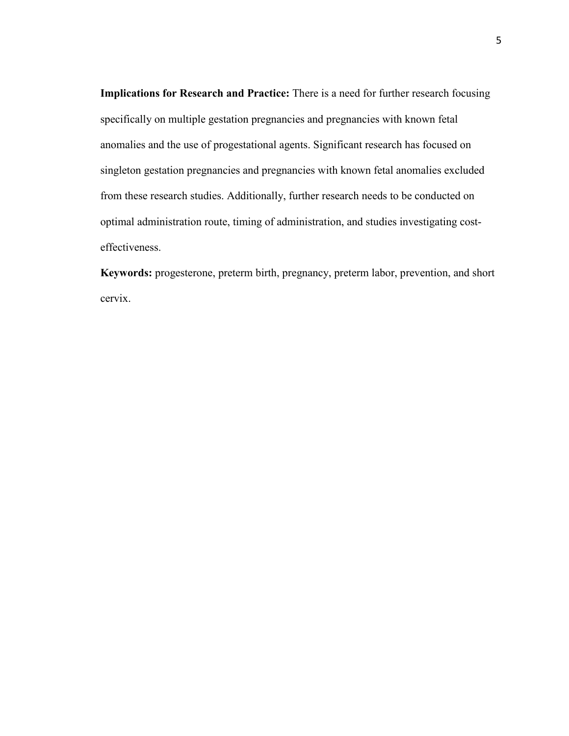**Implications for Research and Practice:** There is a need for further research focusing specifically on multiple gestation pregnancies and pregnancies with known fetal anomalies and the use of progestational agents. Significant research has focused on singleton gestation pregnancies and pregnancies with known fetal anomalies excluded from these research studies. Additionally, further research needs to be conducted on optimal administration route, timing of administration, and studies investigating costeffectiveness.

**Keywords:** progesterone, preterm birth, pregnancy, preterm labor, prevention, and short cervix.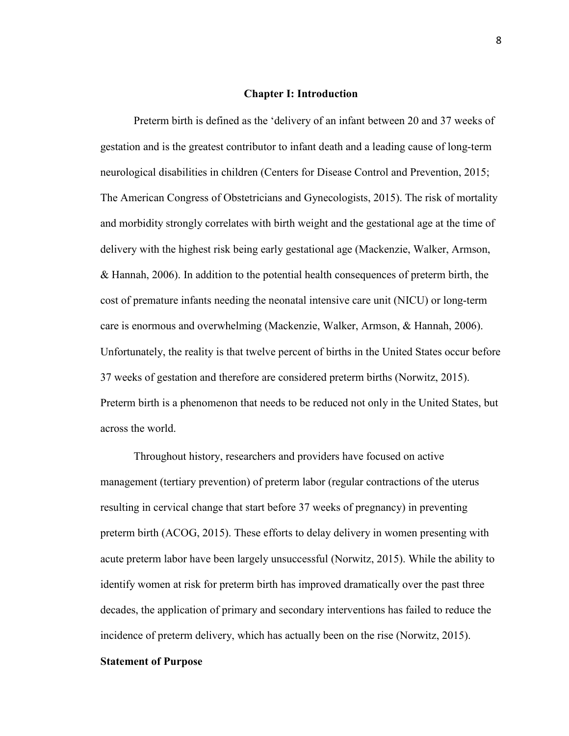# **Chapter I: Introduction**

Preterm birth is defined as the 'delivery of an infant between 20 and 37 weeks of gestation and is the greatest contributor to infant death and a leading cause of long-term neurological disabilities in children (Centers for Disease Control and Prevention, 2015; The American Congress of Obstetricians and Gynecologists, 2015). The risk of mortality and morbidity strongly correlates with birth weight and the gestational age at the time of delivery with the highest risk being early gestational age (Mackenzie, Walker, Armson, & Hannah, 2006). In addition to the potential health consequences of preterm birth, the cost of premature infants needing the neonatal intensive care unit (NICU) or long-term care is enormous and overwhelming (Mackenzie, Walker, Armson, & Hannah, 2006). Unfortunately, the reality is that twelve percent of births in the United States occur before 37 weeks of gestation and therefore are considered preterm births (Norwitz, 2015). Preterm birth is a phenomenon that needs to be reduced not only in the United States, but across the world.

Throughout history, researchers and providers have focused on active management (tertiary prevention) of preterm labor (regular contractions of the uterus resulting in cervical change that start before 37 weeks of pregnancy) in preventing preterm birth (ACOG, 2015). These efforts to delay delivery in women presenting with acute preterm labor have been largely unsuccessful (Norwitz, 2015). While the ability to identify women at risk for preterm birth has improved dramatically over the past three decades, the application of primary and secondary interventions has failed to reduce the incidence of preterm delivery, which has actually been on the rise (Norwitz, 2015).

# **Statement of Purpose**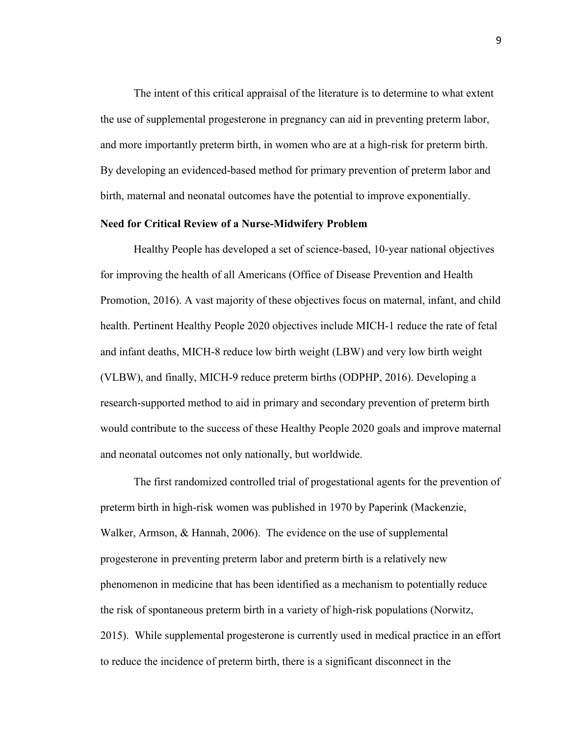The intent of this critical appraisal of the literature is to determine to what extent the use of supplemental progesterone in pregnancy can aid in preventing preterm labor, and more importantly preterm birth, in women who are at a high-risk for preterm birth. By developing an evidenced-based method for primary prevention of preterm labor and birth, maternal and neonatal outcomes have the potential to improve exponentially.

#### **Need for Critical Review of a Nurse-Midwifery Problem**

Healthy People has developed a set of science-based, 10-year national objectives for improving the health of all Americans (Office of Disease Prevention and Health Promotion, 2016). A vast majority of these objectives focus on maternal, infant, and child health. Pertinent Healthy People 2020 objectives include MICH-1 reduce the rate of fetal and infant deaths, MICH-8 reduce low birth weight (LBW) and very low birth weight (VLBW), and finally, MICH-9 reduce preterm births (ODPHP, 2016). Developing a research-supported method to aid in primary and secondary prevention of preterm birth would contribute to the success of these Healthy People 2020 goals and improve maternal and neonatal outcomes not only nationally, but worldwide.

The first randomized controlled trial of progestational agents for the prevention of preterm birth in high-risk women was published in 1970 by Paperink (Mackenzie, Walker, Armson, & Hannah, 2006). The evidence on the use of supplemental progesterone in preventing preterm labor and preterm birth is a relatively new phenomenon in medicine that has been identified as a mechanism to potentially reduce the risk of spontaneous preterm birth in a variety of high-risk populations (Norwitz, 2015). While supplemental progesterone is currently used in medical practice in an effort to reduce the incidence of preterm birth, there is a significant disconnect in the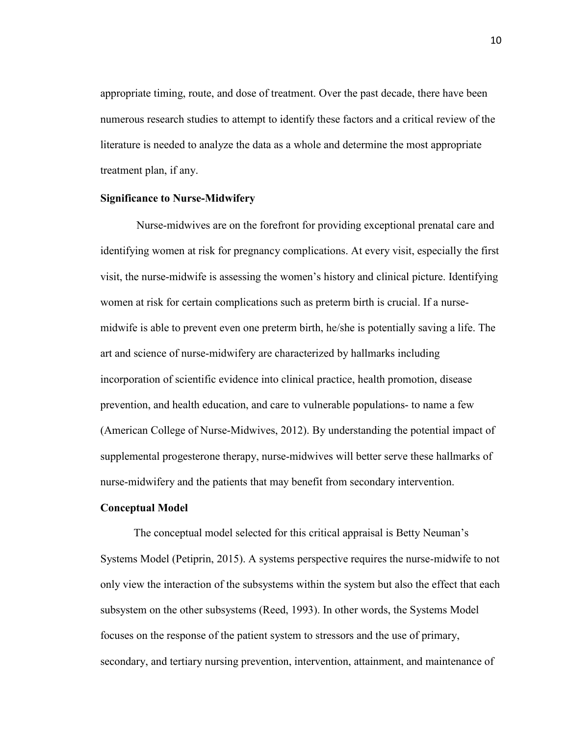appropriate timing, route, and dose of treatment. Over the past decade, there have been numerous research studies to attempt to identify these factors and a critical review of the literature is needed to analyze the data as a whole and determine the most appropriate treatment plan, if any.

# **Significance to Nurse-Midwifery**

Nurse-midwives are on the forefront for providing exceptional prenatal care and identifying women at risk for pregnancy complications. At every visit, especially the first visit, the nurse-midwife is assessing the women's history and clinical picture. Identifying women at risk for certain complications such as preterm birth is crucial. If a nursemidwife is able to prevent even one preterm birth, he/she is potentially saving a life. The art and science of nurse-midwifery are characterized by hallmarks including incorporation of scientific evidence into clinical practice, health promotion, disease prevention, and health education, and care to vulnerable populations- to name a few (American College of Nurse-Midwives, 2012). By understanding the potential impact of supplemental progesterone therapy, nurse-midwives will better serve these hallmarks of nurse-midwifery and the patients that may benefit from secondary intervention.

# **Conceptual Model**

The conceptual model selected for this critical appraisal is Betty Neuman's Systems Model (Petiprin, 2015). A systems perspective requires the nurse-midwife to not only view the interaction of the subsystems within the system but also the effect that each subsystem on the other subsystems (Reed, 1993). In other words, the Systems Model focuses on the response of the patient system to stressors and the use of primary, secondary, and tertiary nursing prevention, intervention, attainment, and maintenance of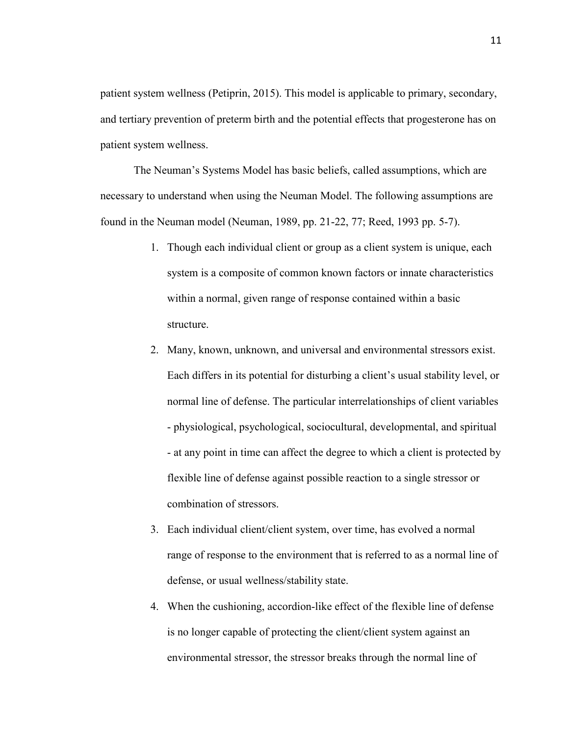patient system wellness (Petiprin, 2015). This model is applicable to primary, secondary, and tertiary prevention of preterm birth and the potential effects that progesterone has on patient system wellness.

The Neuman's Systems Model has basic beliefs, called assumptions, which are necessary to understand when using the Neuman Model. The following assumptions are found in the Neuman model (Neuman, 1989, pp. 21-22, 77; Reed, 1993 pp. 5-7).

- 1. Though each individual client or group as a client system is unique, each system is a composite of common known factors or innate characteristics within a normal, given range of response contained within a basic structure.
- 2. Many, known, unknown, and universal and environmental stressors exist. Each differs in its potential for disturbing a client's usual stability level, or normal line of defense. The particular interrelationships of client variables - physiological, psychological, sociocultural, developmental, and spiritual - at any point in time can affect the degree to which a client is protected by flexible line of defense against possible reaction to a single stressor or combination of stressors.
- 3. Each individual client/client system, over time, has evolved a normal range of response to the environment that is referred to as a normal line of defense, or usual wellness/stability state.
- 4. When the cushioning, accordion-like effect of the flexible line of defense is no longer capable of protecting the client/client system against an environmental stressor, the stressor breaks through the normal line of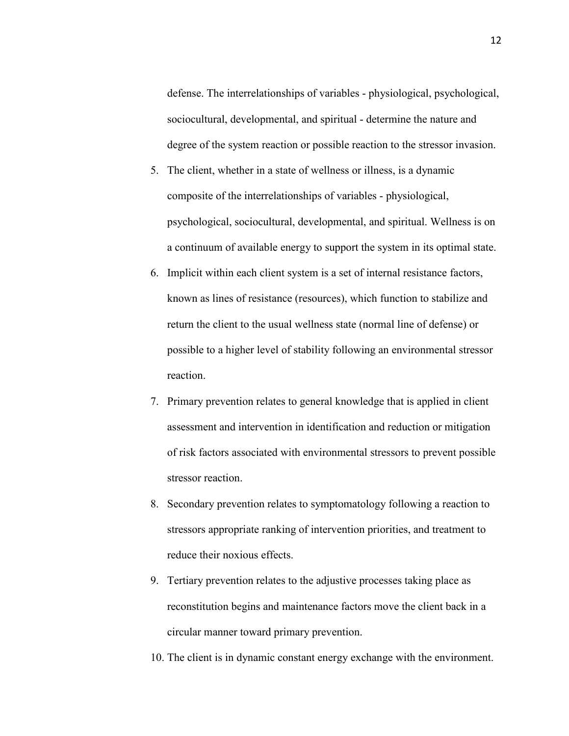defense. The interrelationships of variables - physiological, psychological, sociocultural, developmental, and spiritual - determine the nature and degree of the system reaction or possible reaction to the stressor invasion.

- 5. The client, whether in a state of wellness or illness, is a dynamic composite of the interrelationships of variables - physiological, psychological, sociocultural, developmental, and spiritual. Wellness is on a continuum of available energy to support the system in its optimal state.
- 6. Implicit within each client system is a set of internal resistance factors, known as lines of resistance (resources), which function to stabilize and return the client to the usual wellness state (normal line of defense) or possible to a higher level of stability following an environmental stressor reaction.
- 7. Primary prevention relates to general knowledge that is applied in client assessment and intervention in identification and reduction or mitigation of risk factors associated with environmental stressors to prevent possible stressor reaction.
- 8. Secondary prevention relates to symptomatology following a reaction to stressors appropriate ranking of intervention priorities, and treatment to reduce their noxious effects.
- 9. Tertiary prevention relates to the adjustive processes taking place as reconstitution begins and maintenance factors move the client back in a circular manner toward primary prevention.
- 10. The client is in dynamic constant energy exchange with the environment.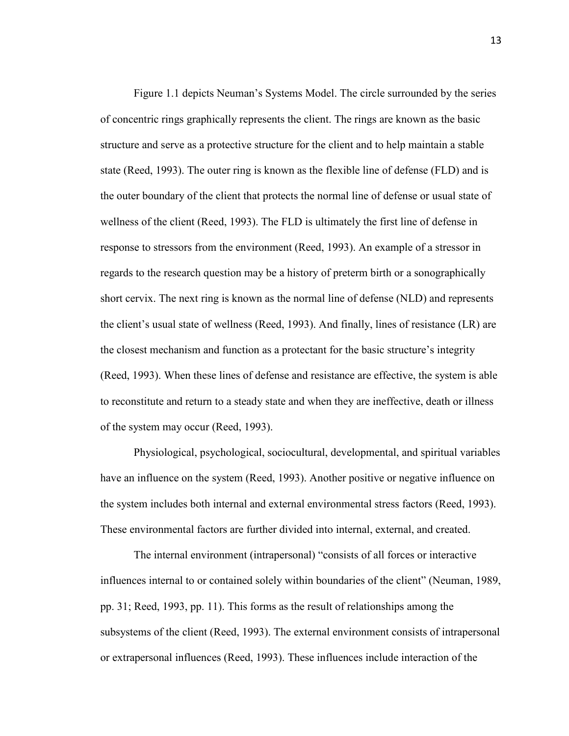Figure 1.1 depicts Neuman's Systems Model. The circle surrounded by the series of concentric rings graphically represents the client. The rings are known as the basic structure and serve as a protective structure for the client and to help maintain a stable state (Reed, 1993). The outer ring is known as the flexible line of defense (FLD) and is the outer boundary of the client that protects the normal line of defense or usual state of wellness of the client (Reed, 1993). The FLD is ultimately the first line of defense in response to stressors from the environment (Reed, 1993). An example of a stressor in regards to the research question may be a history of preterm birth or a sonographically short cervix. The next ring is known as the normal line of defense (NLD) and represents the client's usual state of wellness (Reed, 1993). And finally, lines of resistance (LR) are the closest mechanism and function as a protectant for the basic structure's integrity (Reed, 1993). When these lines of defense and resistance are effective, the system is able to reconstitute and return to a steady state and when they are ineffective, death or illness of the system may occur (Reed, 1993).

 Physiological, psychological, sociocultural, developmental, and spiritual variables have an influence on the system (Reed, 1993). Another positive or negative influence on the system includes both internal and external environmental stress factors (Reed, 1993). These environmental factors are further divided into internal, external, and created.

 The internal environment (intrapersonal) "consists of all forces or interactive influences internal to or contained solely within boundaries of the client" (Neuman, 1989, pp. 31; Reed, 1993, pp. 11). This forms as the result of relationships among the subsystems of the client (Reed, 1993). The external environment consists of intrapersonal or extrapersonal influences (Reed, 1993). These influences include interaction of the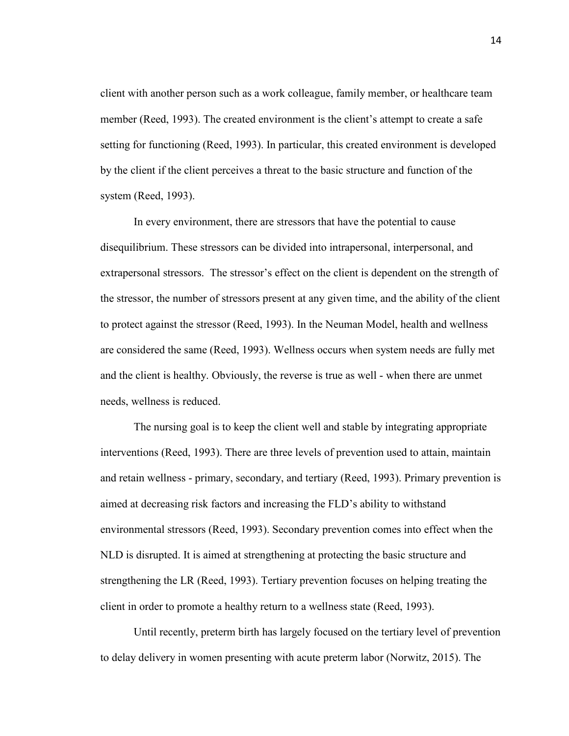client with another person such as a work colleague, family member, or healthcare team member (Reed, 1993). The created environment is the client's attempt to create a safe setting for functioning (Reed, 1993). In particular, this created environment is developed by the client if the client perceives a threat to the basic structure and function of the system (Reed, 1993).

In every environment, there are stressors that have the potential to cause disequilibrium. These stressors can be divided into intrapersonal, interpersonal, and extrapersonal stressors. The stressor's effect on the client is dependent on the strength of the stressor, the number of stressors present at any given time, and the ability of the client to protect against the stressor (Reed, 1993). In the Neuman Model, health and wellness are considered the same (Reed, 1993). Wellness occurs when system needs are fully met and the client is healthy. Obviously, the reverse is true as well - when there are unmet needs, wellness is reduced.

 The nursing goal is to keep the client well and stable by integrating appropriate interventions (Reed, 1993). There are three levels of prevention used to attain, maintain and retain wellness - primary, secondary, and tertiary (Reed, 1993). Primary prevention is aimed at decreasing risk factors and increasing the FLD's ability to withstand environmental stressors (Reed, 1993). Secondary prevention comes into effect when the NLD is disrupted. It is aimed at strengthening at protecting the basic structure and strengthening the LR (Reed, 1993). Tertiary prevention focuses on helping treating the client in order to promote a healthy return to a wellness state (Reed, 1993).

Until recently, preterm birth has largely focused on the tertiary level of prevention to delay delivery in women presenting with acute preterm labor (Norwitz, 2015). The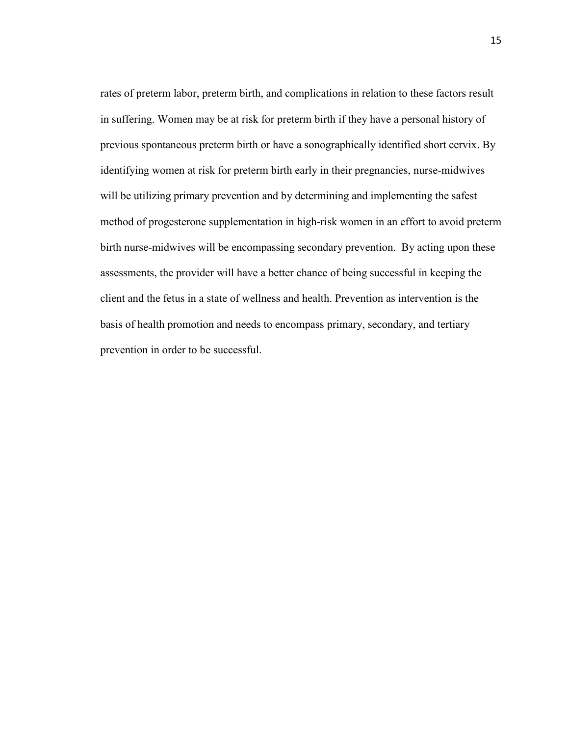rates of preterm labor, preterm birth, and complications in relation to these factors result in suffering. Women may be at risk for preterm birth if they have a personal history of previous spontaneous preterm birth or have a sonographically identified short cervix. By identifying women at risk for preterm birth early in their pregnancies, nurse-midwives will be utilizing primary prevention and by determining and implementing the safest method of progesterone supplementation in high-risk women in an effort to avoid preterm birth nurse-midwives will be encompassing secondary prevention. By acting upon these assessments, the provider will have a better chance of being successful in keeping the client and the fetus in a state of wellness and health. Prevention as intervention is the basis of health promotion and needs to encompass primary, secondary, and tertiary prevention in order to be successful.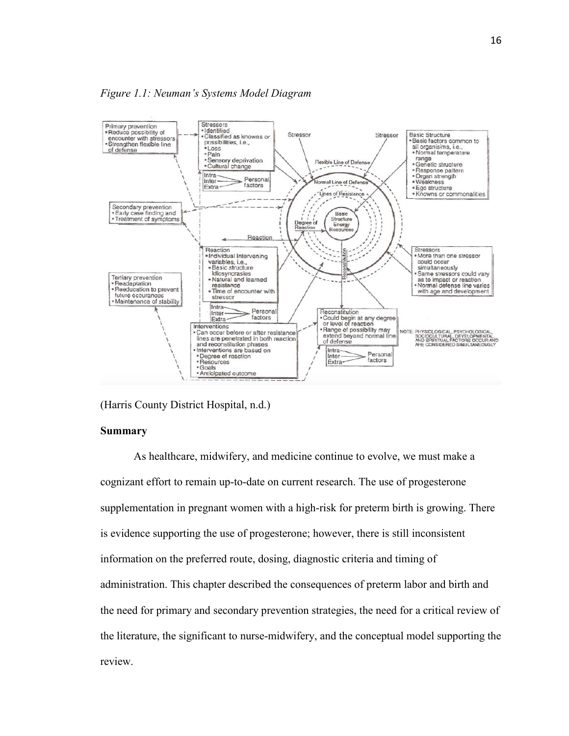

(Harris County District Hospital, n.d.)

# **Summary**

As healthcare, midwifery, and medicine continue to evolve, we must make a cognizant effort to remain up-to-date on current research. The use of progesterone supplementation in pregnant women with a high-risk for preterm birth is growing. There is evidence supporting the use of progesterone; however, there is still inconsistent information on the preferred route, dosing, diagnostic criteria and timing of administration. This chapter described the consequences of preterm labor and birth and the need for primary and secondary prevention strategies, the need for a critical review of the literature, the significant to nurse-midwifery, and the conceptual model supporting the review.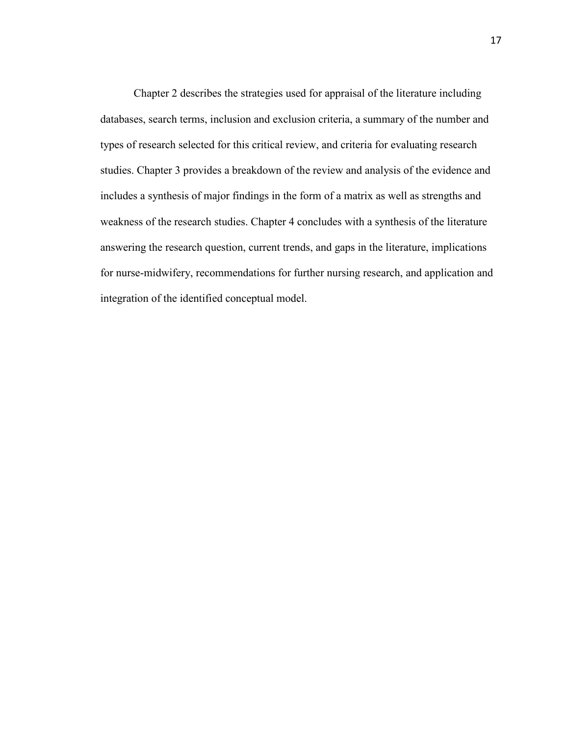Chapter 2 describes the strategies used for appraisal of the literature including databases, search terms, inclusion and exclusion criteria, a summary of the number and types of research selected for this critical review, and criteria for evaluating research studies. Chapter 3 provides a breakdown of the review and analysis of the evidence and includes a synthesis of major findings in the form of a matrix as well as strengths and weakness of the research studies. Chapter 4 concludes with a synthesis of the literature answering the research question, current trends, and gaps in the literature, implications for nurse-midwifery, recommendations for further nursing research, and application and integration of the identified conceptual model.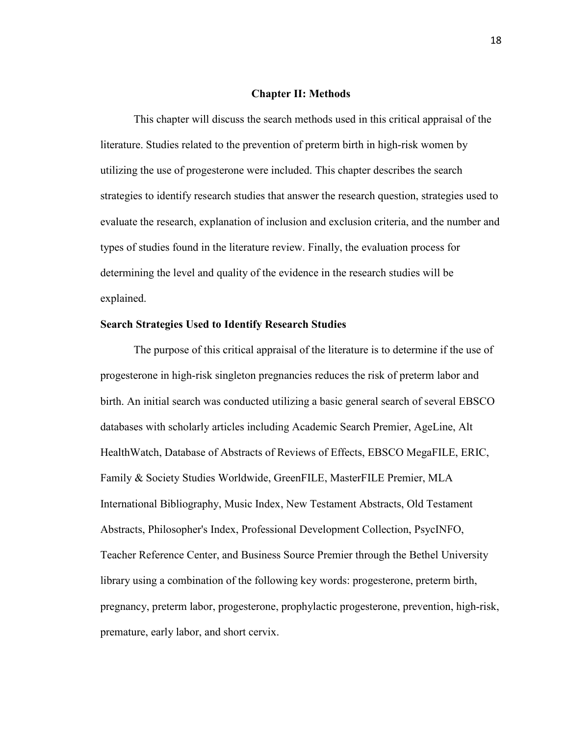# **Chapter II: Methods**

This chapter will discuss the search methods used in this critical appraisal of the literature. Studies related to the prevention of preterm birth in high-risk women by utilizing the use of progesterone were included. This chapter describes the search strategies to identify research studies that answer the research question, strategies used to evaluate the research, explanation of inclusion and exclusion criteria, and the number and types of studies found in the literature review. Finally, the evaluation process for determining the level and quality of the evidence in the research studies will be explained.

# **Search Strategies Used to Identify Research Studies**

The purpose of this critical appraisal of the literature is to determine if the use of progesterone in high-risk singleton pregnancies reduces the risk of preterm labor and birth. An initial search was conducted utilizing a basic general search of several EBSCO databases with scholarly articles including Academic Search Premier, AgeLine, Alt HealthWatch, Database of Abstracts of Reviews of Effects, EBSCO MegaFILE, ERIC, Family & Society Studies Worldwide, GreenFILE, MasterFILE Premier, MLA International Bibliography, Music Index, New Testament Abstracts, Old Testament Abstracts, Philosopher's Index, Professional Development Collection, PsycINFO, Teacher Reference Center, and Business Source Premier through the Bethel University library using a combination of the following key words: progesterone, preterm birth, pregnancy, preterm labor, progesterone, prophylactic progesterone, prevention, high-risk, premature, early labor, and short cervix.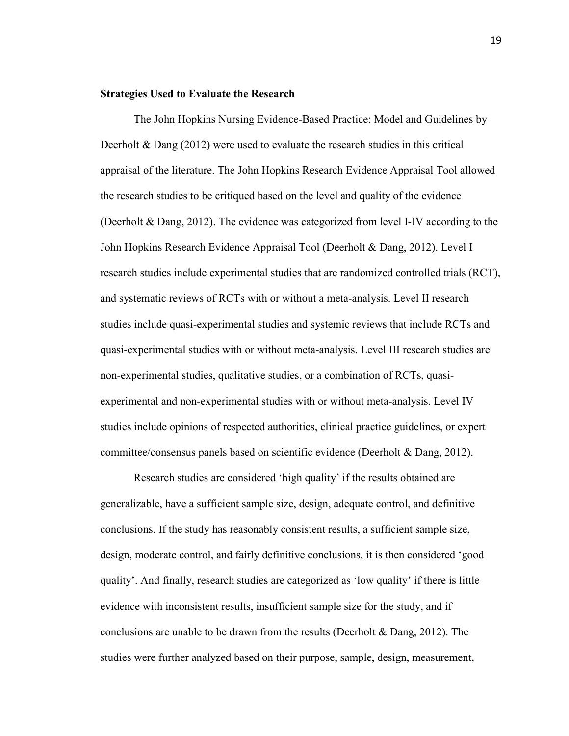# **Strategies Used to Evaluate the Research**

The John Hopkins Nursing Evidence-Based Practice: Model and Guidelines by Deerholt  $\&$  Dang (2012) were used to evaluate the research studies in this critical appraisal of the literature. The John Hopkins Research Evidence Appraisal Tool allowed the research studies to be critiqued based on the level and quality of the evidence (Deerholt & Dang, 2012). The evidence was categorized from level I-IV according to the John Hopkins Research Evidence Appraisal Tool (Deerholt & Dang, 2012). Level I research studies include experimental studies that are randomized controlled trials (RCT), and systematic reviews of RCTs with or without a meta-analysis. Level II research studies include quasi-experimental studies and systemic reviews that include RCTs and quasi-experimental studies with or without meta-analysis. Level III research studies are non-experimental studies, qualitative studies, or a combination of RCTs, quasiexperimental and non-experimental studies with or without meta-analysis. Level IV studies include opinions of respected authorities, clinical practice guidelines, or expert committee/consensus panels based on scientific evidence (Deerholt & Dang, 2012).

Research studies are considered 'high quality' if the results obtained are generalizable, have a sufficient sample size, design, adequate control, and definitive conclusions. If the study has reasonably consistent results, a sufficient sample size, design, moderate control, and fairly definitive conclusions, it is then considered 'good quality'. And finally, research studies are categorized as 'low quality' if there is little evidence with inconsistent results, insufficient sample size for the study, and if conclusions are unable to be drawn from the results (Deerholt & Dang, 2012). The studies were further analyzed based on their purpose, sample, design, measurement,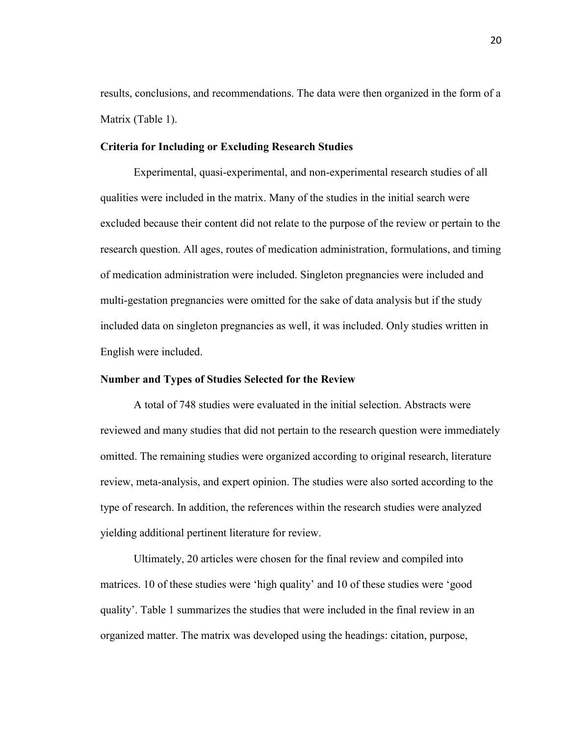results, conclusions, and recommendations. The data were then organized in the form of a Matrix (Table 1).

# **Criteria for Including or Excluding Research Studies**

Experimental, quasi-experimental, and non-experimental research studies of all qualities were included in the matrix. Many of the studies in the initial search were excluded because their content did not relate to the purpose of the review or pertain to the research question. All ages, routes of medication administration, formulations, and timing of medication administration were included. Singleton pregnancies were included and multi-gestation pregnancies were omitted for the sake of data analysis but if the study included data on singleton pregnancies as well, it was included. Only studies written in English were included.

# **Number and Types of Studies Selected for the Review**

 A total of 748 studies were evaluated in the initial selection. Abstracts were reviewed and many studies that did not pertain to the research question were immediately omitted. The remaining studies were organized according to original research, literature review, meta-analysis, and expert opinion. The studies were also sorted according to the type of research. In addition, the references within the research studies were analyzed yielding additional pertinent literature for review.

Ultimately, 20 articles were chosen for the final review and compiled into matrices. 10 of these studies were 'high quality' and 10 of these studies were 'good quality'. Table 1 summarizes the studies that were included in the final review in an organized matter. The matrix was developed using the headings: citation, purpose,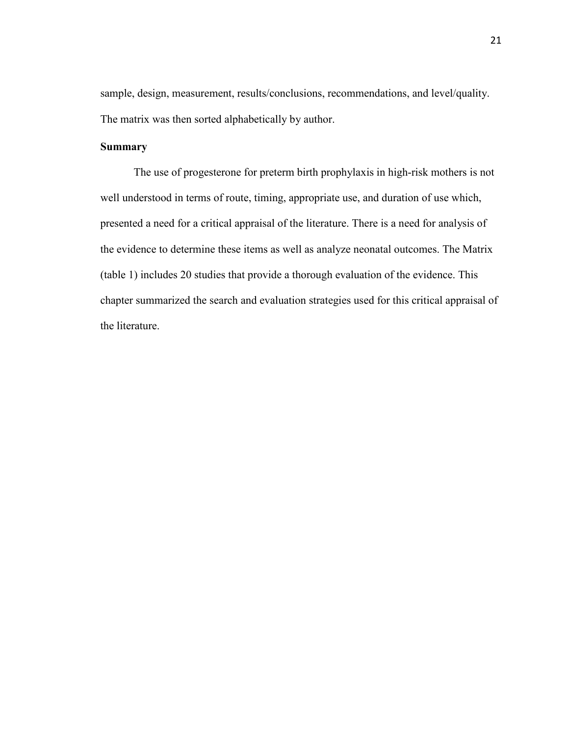sample, design, measurement, results/conclusions, recommendations, and level/quality. The matrix was then sorted alphabetically by author.

# **Summary**

The use of progesterone for preterm birth prophylaxis in high-risk mothers is not well understood in terms of route, timing, appropriate use, and duration of use which, presented a need for a critical appraisal of the literature. There is a need for analysis of the evidence to determine these items as well as analyze neonatal outcomes. The Matrix (table 1) includes 20 studies that provide a thorough evaluation of the evidence. This chapter summarized the search and evaluation strategies used for this critical appraisal of the literature.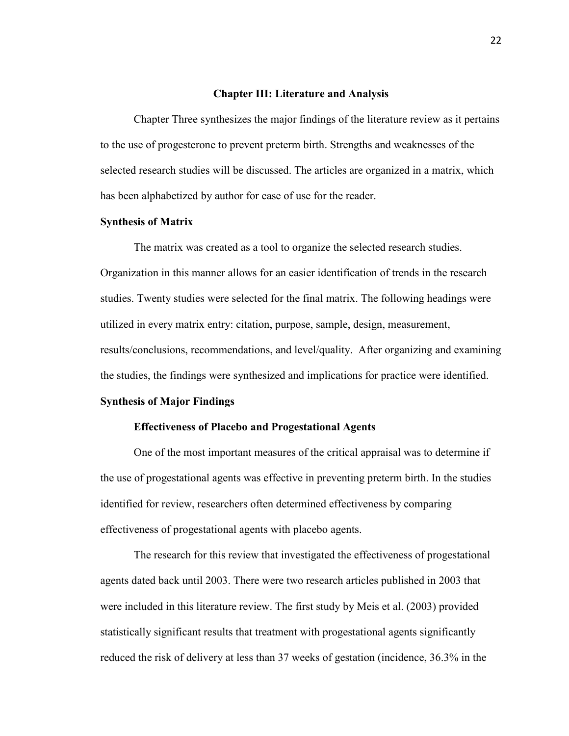# **Chapter III: Literature and Analysis**

Chapter Three synthesizes the major findings of the literature review as it pertains to the use of progesterone to prevent preterm birth. Strengths and weaknesses of the selected research studies will be discussed. The articles are organized in a matrix, which has been alphabetized by author for ease of use for the reader.

# **Synthesis of Matrix**

The matrix was created as a tool to organize the selected research studies. Organization in this manner allows for an easier identification of trends in the research studies. Twenty studies were selected for the final matrix. The following headings were utilized in every matrix entry: citation, purpose, sample, design, measurement, results/conclusions, recommendations, and level/quality. After organizing and examining the studies, the findings were synthesized and implications for practice were identified.

# **Synthesis of Major Findings**

# **Effectiveness of Placebo and Progestational Agents**

One of the most important measures of the critical appraisal was to determine if the use of progestational agents was effective in preventing preterm birth. In the studies identified for review, researchers often determined effectiveness by comparing effectiveness of progestational agents with placebo agents.

The research for this review that investigated the effectiveness of progestational agents dated back until 2003. There were two research articles published in 2003 that were included in this literature review. The first study by Meis et al. (2003) provided statistically significant results that treatment with progestational agents significantly reduced the risk of delivery at less than 37 weeks of gestation (incidence, 36.3% in the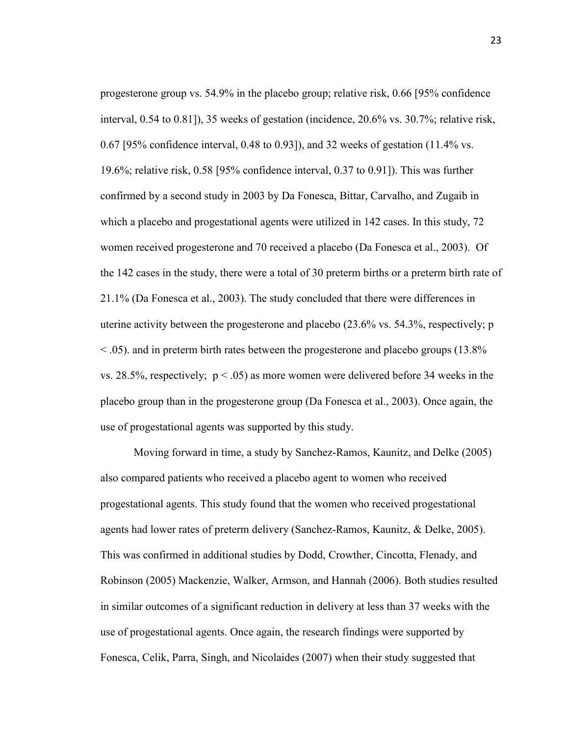progesterone group vs. 54.9% in the placebo group; relative risk, 0.66 [95% confidence interval, 0.54 to 0.81]), 35 weeks of gestation (incidence, 20.6% vs. 30.7%; relative risk, 0.67 [95% confidence interval, 0.48 to 0.93]), and 32 weeks of gestation (11.4% vs. 19.6%; relative risk, 0.58 [95% confidence interval, 0.37 to 0.91]). This was further confirmed by a second study in 2003 by Da Fonesca, Bittar, Carvalho, and Zugaib in which a placebo and progestational agents were utilized in 142 cases. In this study, 72 women received progesterone and 70 received a placebo (Da Fonesca et al., 2003). Of the 142 cases in the study, there were a total of 30 preterm births or a preterm birth rate of 21.1% (Da Fonesca et al., 2003). The study concluded that there were differences in uterine activity between the progesterone and placebo (23.6% vs. 54.3%, respectively; p < .05). and in preterm birth rates between the progesterone and placebo groups (13.8% vs. 28.5%, respectively;  $p < .05$ ) as more women were delivered before 34 weeks in the placebo group than in the progesterone group (Da Fonesca et al., 2003). Once again, the use of progestational agents was supported by this study.

 Moving forward in time, a study by Sanchez-Ramos, Kaunitz, and Delke (2005) also compared patients who received a placebo agent to women who received progestational agents. This study found that the women who received progestational agents had lower rates of preterm delivery (Sanchez-Ramos, Kaunitz, & Delke, 2005). This was confirmed in additional studies by Dodd, Crowther, Cincotta, Flenady, and Robinson (2005) Mackenzie, Walker, Armson, and Hannah (2006). Both studies resulted in similar outcomes of a significant reduction in delivery at less than 37 weeks with the use of progestational agents. Once again, the research findings were supported by Fonesca, Celik, Parra, Singh, and Nicolaides (2007) when their study suggested that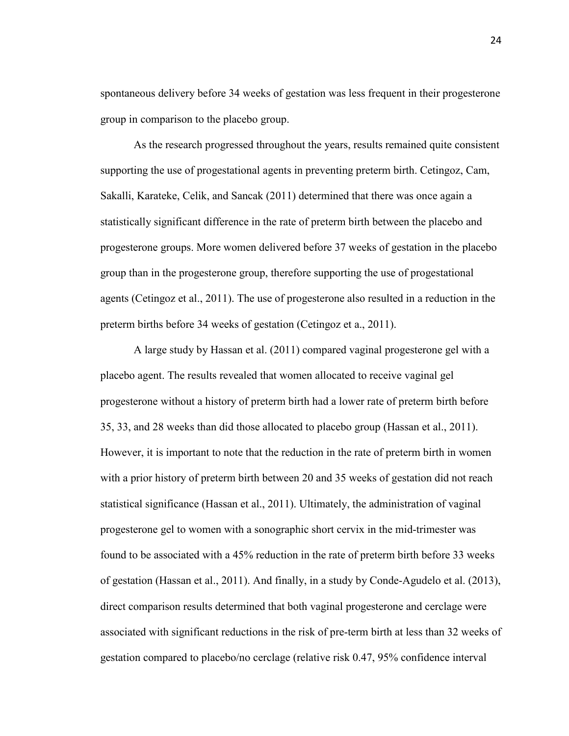spontaneous delivery before 34 weeks of gestation was less frequent in their progesterone group in comparison to the placebo group.

As the research progressed throughout the years, results remained quite consistent supporting the use of progestational agents in preventing preterm birth. Cetingoz, Cam, Sakalli, Karateke, Celik, and Sancak (2011) determined that there was once again a statistically significant difference in the rate of preterm birth between the placebo and progesterone groups. More women delivered before 37 weeks of gestation in the placebo group than in the progesterone group, therefore supporting the use of progestational agents (Cetingoz et al., 2011). The use of progesterone also resulted in a reduction in the preterm births before 34 weeks of gestation (Cetingoz et a., 2011).

A large study by Hassan et al. (2011) compared vaginal progesterone gel with a placebo agent. The results revealed that women allocated to receive vaginal gel progesterone without a history of preterm birth had a lower rate of preterm birth before 35, 33, and 28 weeks than did those allocated to placebo group (Hassan et al., 2011). However, it is important to note that the reduction in the rate of preterm birth in women with a prior history of preterm birth between 20 and 35 weeks of gestation did not reach statistical significance (Hassan et al., 2011). Ultimately, the administration of vaginal progesterone gel to women with a sonographic short cervix in the mid-trimester was found to be associated with a 45% reduction in the rate of preterm birth before 33 weeks of gestation (Hassan et al., 2011). And finally, in a study by Conde-Agudelo et al. (2013), direct comparison results determined that both vaginal progesterone and cerclage were associated with significant reductions in the risk of pre-term birth at less than 32 weeks of gestation compared to placebo/no cerclage (relative risk 0.47, 95% confidence interval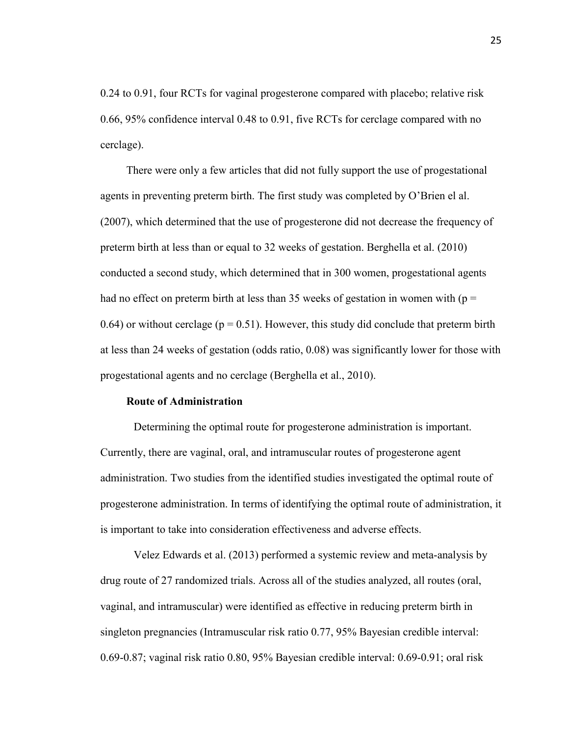0.24 to 0.91, four RCTs for vaginal progesterone compared with placebo; relative risk 0.66, 95% confidence interval 0.48 to 0.91, five RCTs for cerclage compared with no cerclage).

 There were only a few articles that did not fully support the use of progestational agents in preventing preterm birth. The first study was completed by O'Brien el al. (2007), which determined that the use of progesterone did not decrease the frequency of preterm birth at less than or equal to 32 weeks of gestation. Berghella et al. (2010) conducted a second study, which determined that in 300 women, progestational agents had no effect on preterm birth at less than 35 weeks of gestation in women with ( $p =$ 0.64) or without cerclage ( $p = 0.51$ ). However, this study did conclude that preterm birth at less than 24 weeks of gestation (odds ratio, 0.08) was significantly lower for those with progestational agents and no cerclage (Berghella et al., 2010).

# **Route of Administration**

Determining the optimal route for progesterone administration is important. Currently, there are vaginal, oral, and intramuscular routes of progesterone agent administration. Two studies from the identified studies investigated the optimal route of progesterone administration. In terms of identifying the optimal route of administration, it is important to take into consideration effectiveness and adverse effects.

Velez Edwards et al. (2013) performed a systemic review and meta-analysis by drug route of 27 randomized trials. Across all of the studies analyzed, all routes (oral, vaginal, and intramuscular) were identified as effective in reducing preterm birth in singleton pregnancies (Intramuscular risk ratio 0.77, 95% Bayesian credible interval: 0.69-0.87; vaginal risk ratio 0.80, 95% Bayesian credible interval: 0.69-0.91; oral risk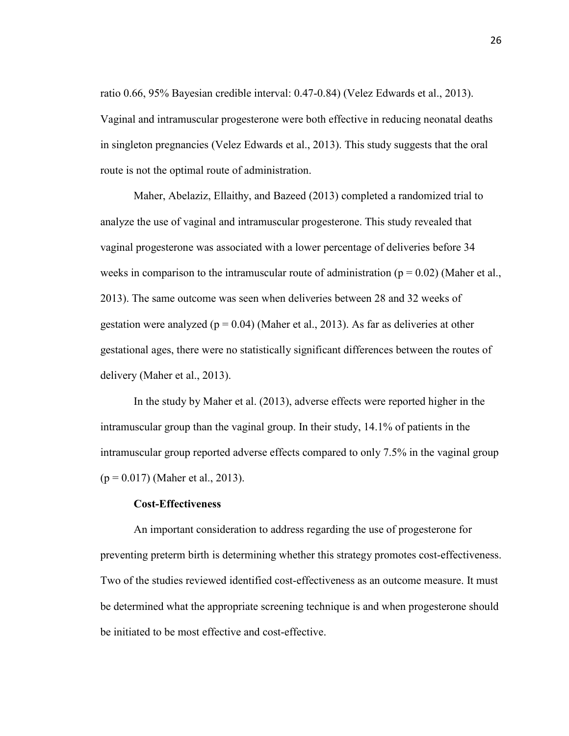ratio 0.66, 95% Bayesian credible interval: 0.47-0.84) (Velez Edwards et al., 2013). Vaginal and intramuscular progesterone were both effective in reducing neonatal deaths in singleton pregnancies (Velez Edwards et al., 2013). This study suggests that the oral route is not the optimal route of administration.

Maher, Abelaziz, Ellaithy, and Bazeed (2013) completed a randomized trial to analyze the use of vaginal and intramuscular progesterone. This study revealed that vaginal progesterone was associated with a lower percentage of deliveries before 34 weeks in comparison to the intramuscular route of administration ( $p = 0.02$ ) (Maher et al., 2013). The same outcome was seen when deliveries between 28 and 32 weeks of gestation were analyzed ( $p = 0.04$ ) (Maher et al., 2013). As far as deliveries at other gestational ages, there were no statistically significant differences between the routes of delivery (Maher et al., 2013).

In the study by Maher et al. (2013), adverse effects were reported higher in the intramuscular group than the vaginal group. In their study, 14.1% of patients in the intramuscular group reported adverse effects compared to only 7.5% in the vaginal group  $(p = 0.017)$  (Maher et al., 2013).

#### **Cost-Effectiveness**

An important consideration to address regarding the use of progesterone for preventing preterm birth is determining whether this strategy promotes cost-effectiveness. Two of the studies reviewed identified cost-effectiveness as an outcome measure. It must be determined what the appropriate screening technique is and when progesterone should be initiated to be most effective and cost-effective.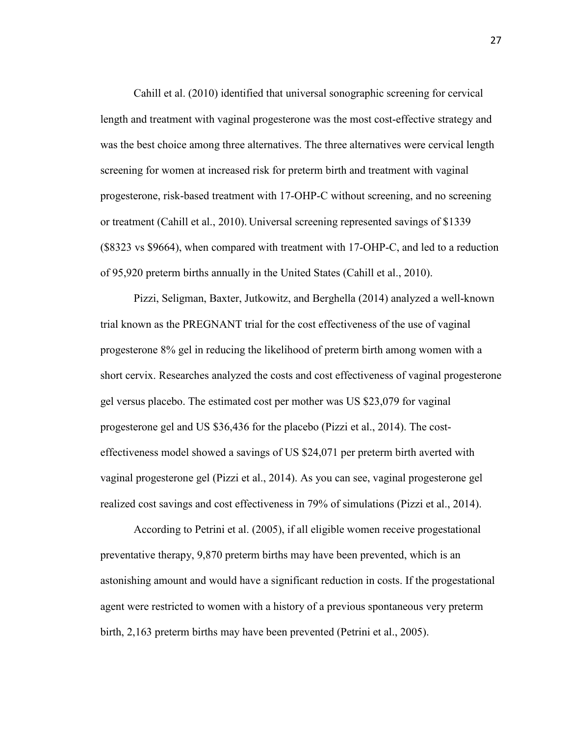Cahill et al. (2010) identified that universal sonographic screening for cervical length and treatment with vaginal progesterone was the most cost-effective strategy and was the best choice among three alternatives. The three alternatives were cervical length screening for women at increased risk for preterm birth and treatment with vaginal progesterone, risk-based treatment with 17-OHP-C without screening, and no screening or treatment (Cahill et al., 2010). Universal screening represented savings of \$1339 (\$8323 vs \$9664), when compared with treatment with 17-OHP-C, and led to a reduction of 95,920 preterm births annually in the United States (Cahill et al., 2010).

Pizzi, Seligman, Baxter, Jutkowitz, and Berghella (2014) analyzed a well-known trial known as the PREGNANT trial for the cost effectiveness of the use of vaginal progesterone 8% gel in reducing the likelihood of preterm birth among women with a short cervix. Researches analyzed the costs and cost effectiveness of vaginal progesterone gel versus placebo. The estimated cost per mother was US \$23,079 for vaginal progesterone gel and US \$36,436 for the placebo (Pizzi et al., 2014). The costeffectiveness model showed a savings of US \$24,071 per preterm birth averted with vaginal progesterone gel (Pizzi et al., 2014). As you can see, vaginal progesterone gel realized cost savings and cost effectiveness in 79% of simulations (Pizzi et al., 2014).

 According to Petrini et al. (2005), if all eligible women receive progestational preventative therapy, 9,870 preterm births may have been prevented, which is an astonishing amount and would have a significant reduction in costs. If the progestational agent were restricted to women with a history of a previous spontaneous very preterm birth, 2,163 preterm births may have been prevented (Petrini et al., 2005).

27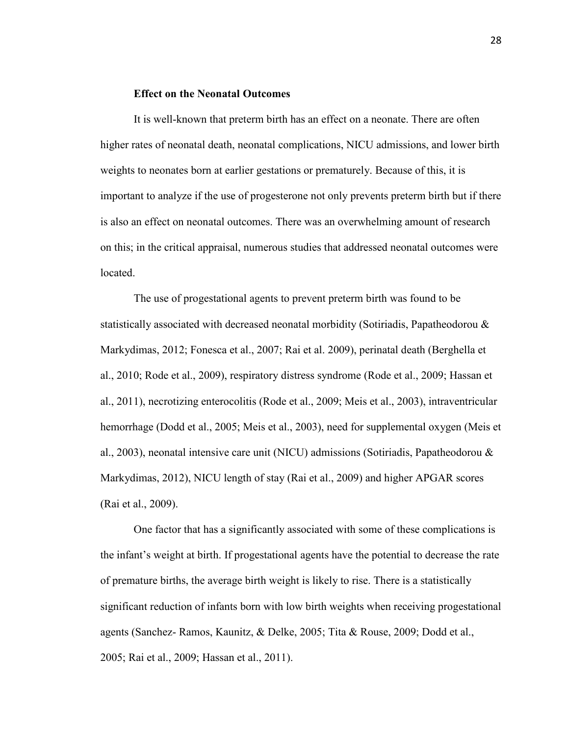# **Effect on the Neonatal Outcomes**

It is well-known that preterm birth has an effect on a neonate. There are often higher rates of neonatal death, neonatal complications, NICU admissions, and lower birth weights to neonates born at earlier gestations or prematurely. Because of this, it is important to analyze if the use of progesterone not only prevents preterm birth but if there is also an effect on neonatal outcomes. There was an overwhelming amount of research on this; in the critical appraisal, numerous studies that addressed neonatal outcomes were **located** 

 The use of progestational agents to prevent preterm birth was found to be statistically associated with decreased neonatal morbidity (Sotiriadis, Papatheodorou & Markydimas, 2012; Fonesca et al., 2007; Rai et al. 2009), perinatal death (Berghella et al., 2010; Rode et al., 2009), respiratory distress syndrome (Rode et al., 2009; Hassan et al., 2011), necrotizing enterocolitis (Rode et al., 2009; Meis et al., 2003), intraventricular hemorrhage (Dodd et al., 2005; Meis et al., 2003), need for supplemental oxygen (Meis et al., 2003), neonatal intensive care unit (NICU) admissions (Sotiriadis, Papatheodorou & Markydimas, 2012), NICU length of stay (Rai et al., 2009) and higher APGAR scores (Rai et al., 2009).

One factor that has a significantly associated with some of these complications is the infant's weight at birth. If progestational agents have the potential to decrease the rate of premature births, the average birth weight is likely to rise. There is a statistically significant reduction of infants born with low birth weights when receiving progestational agents (Sanchez- Ramos, Kaunitz, & Delke, 2005; Tita & Rouse, 2009; Dodd et al., 2005; Rai et al., 2009; Hassan et al., 2011).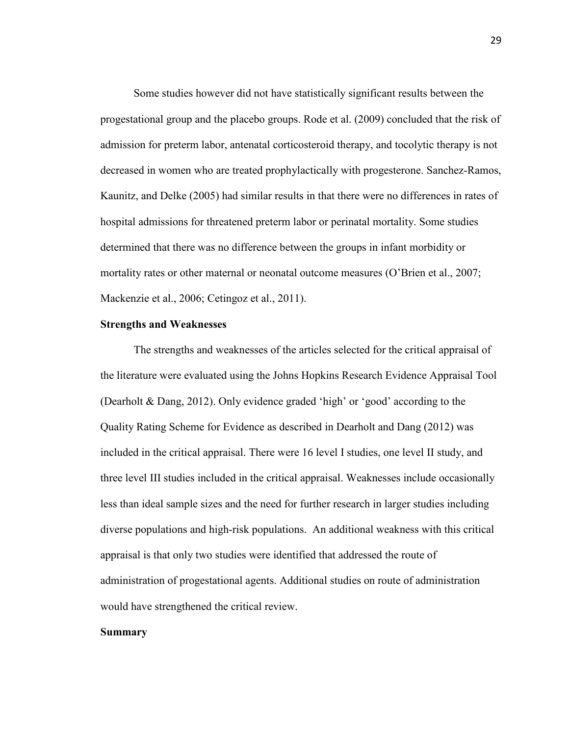Some studies however did not have statistically significant results between the progestational group and the placebo groups. Rode et al. (2009) concluded that the risk of admission for preterm labor, antenatal corticosteroid therapy, and tocolytic therapy is not decreased in women who are treated prophylactically with progesterone. Sanchez-Ramos, Kaunitz, and Delke (2005) had similar results in that there were no differences in rates of hospital admissions for threatened preterm labor or perinatal mortality. Some studies determined that there was no difference between the groups in infant morbidity or mortality rates or other maternal or neonatal outcome measures (O'Brien et al., 2007; Mackenzie et al., 2006; Cetingoz et al., 2011).

# **Strengths and Weaknesses**

The strengths and weaknesses of the articles selected for the critical appraisal of the literature were evaluated using the Johns Hopkins Research Evidence Appraisal Tool (Dearholt & Dang, 2012). Only evidence graded 'high' or 'good' according to the Quality Rating Scheme for Evidence as described in Dearholt and Dang (2012) was included in the critical appraisal. There were 16 level I studies, one level II study, and three level III studies included in the critical appraisal. Weaknesses include occasionally less than ideal sample sizes and the need for further research in larger studies including diverse populations and high-risk populations. An additional weakness with this critical appraisal is that only two studies were identified that addressed the route of administration of progestational agents. Additional studies on route of administration would have strengthened the critical review.

# **Summary**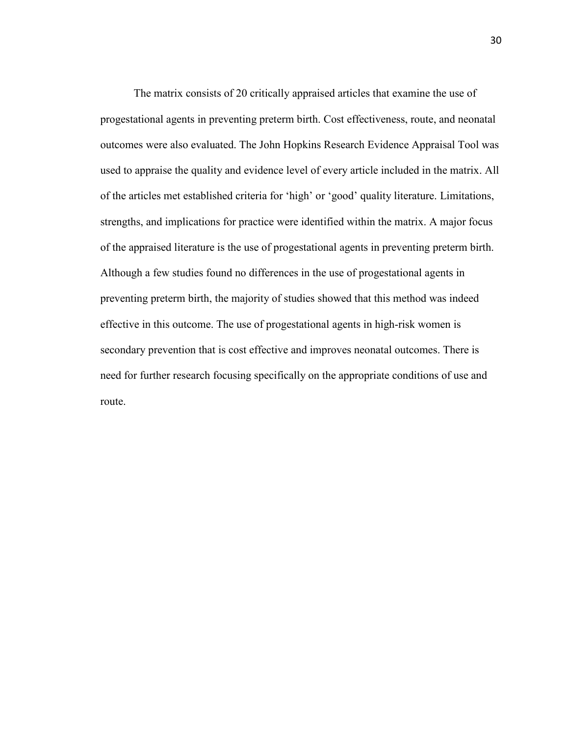The matrix consists of 20 critically appraised articles that examine the use of progestational agents in preventing preterm birth. Cost effectiveness, route, and neonatal outcomes were also evaluated. The John Hopkins Research Evidence Appraisal Tool was used to appraise the quality and evidence level of every article included in the matrix. All of the articles met established criteria for 'high' or 'good' quality literature. Limitations, strengths, and implications for practice were identified within the matrix. A major focus of the appraised literature is the use of progestational agents in preventing preterm birth. Although a few studies found no differences in the use of progestational agents in preventing preterm birth, the majority of studies showed that this method was indeed effective in this outcome. The use of progestational agents in high-risk women is secondary prevention that is cost effective and improves neonatal outcomes. There is need for further research focusing specifically on the appropriate conditions of use and route.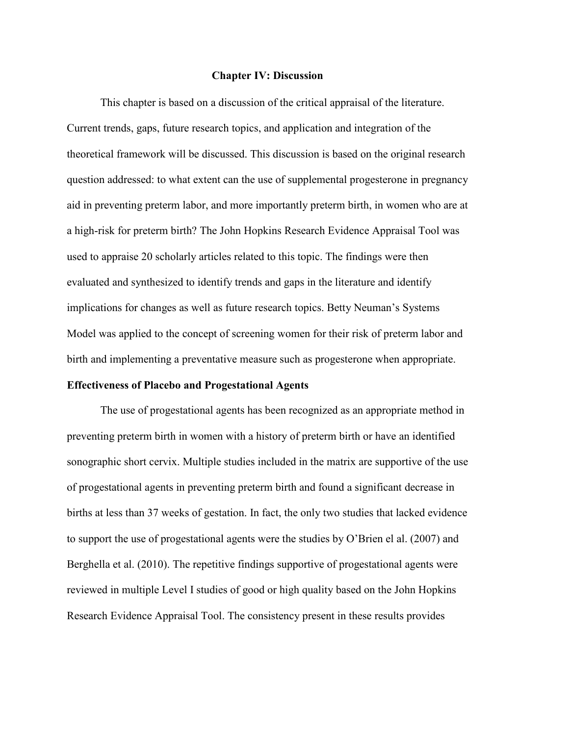# **Chapter IV: Discussion**

This chapter is based on a discussion of the critical appraisal of the literature. Current trends, gaps, future research topics, and application and integration of the theoretical framework will be discussed. This discussion is based on the original research question addressed: to what extent can the use of supplemental progesterone in pregnancy aid in preventing preterm labor, and more importantly preterm birth, in women who are at a high-risk for preterm birth? The John Hopkins Research Evidence Appraisal Tool was used to appraise 20 scholarly articles related to this topic. The findings were then evaluated and synthesized to identify trends and gaps in the literature and identify implications for changes as well as future research topics. Betty Neuman's Systems Model was applied to the concept of screening women for their risk of preterm labor and birth and implementing a preventative measure such as progesterone when appropriate.

# **Effectiveness of Placebo and Progestational Agents**

The use of progestational agents has been recognized as an appropriate method in preventing preterm birth in women with a history of preterm birth or have an identified sonographic short cervix. Multiple studies included in the matrix are supportive of the use of progestational agents in preventing preterm birth and found a significant decrease in births at less than 37 weeks of gestation. In fact, the only two studies that lacked evidence to support the use of progestational agents were the studies by O'Brien el al. (2007) and Berghella et al. (2010). The repetitive findings supportive of progestational agents were reviewed in multiple Level I studies of good or high quality based on the John Hopkins Research Evidence Appraisal Tool. The consistency present in these results provides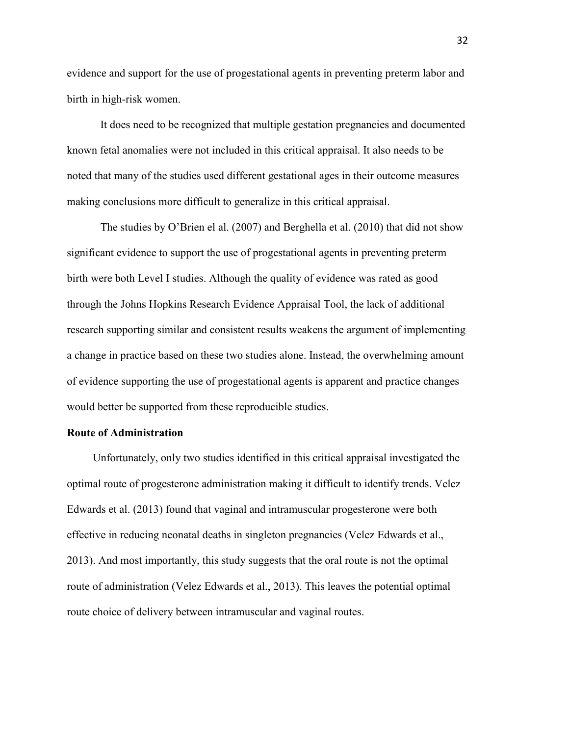evidence and support for the use of progestational agents in preventing preterm labor and birth in high-risk women.

It does need to be recognized that multiple gestation pregnancies and documented known fetal anomalies were not included in this critical appraisal. It also needs to be noted that many of the studies used different gestational ages in their outcome measures making conclusions more difficult to generalize in this critical appraisal.

The studies by O'Brien el al. (2007) and Berghella et al. (2010) that did not show significant evidence to support the use of progestational agents in preventing preterm birth were both Level I studies. Although the quality of evidence was rated as good through the Johns Hopkins Research Evidence Appraisal Tool, the lack of additional research supporting similar and consistent results weakens the argument of implementing a change in practice based on these two studies alone. Instead, the overwhelming amount of evidence supporting the use of progestational agents is apparent and practice changes would better be supported from these reproducible studies.

#### **Route of Administration**

Unfortunately, only two studies identified in this critical appraisal investigated the optimal route of progesterone administration making it difficult to identify trends. Velez Edwards et al. (2013) found that vaginal and intramuscular progesterone were both effective in reducing neonatal deaths in singleton pregnancies (Velez Edwards et al., 2013). And most importantly, this study suggests that the oral route is not the optimal route of administration (Velez Edwards et al., 2013). This leaves the potential optimal route choice of delivery between intramuscular and vaginal routes.

32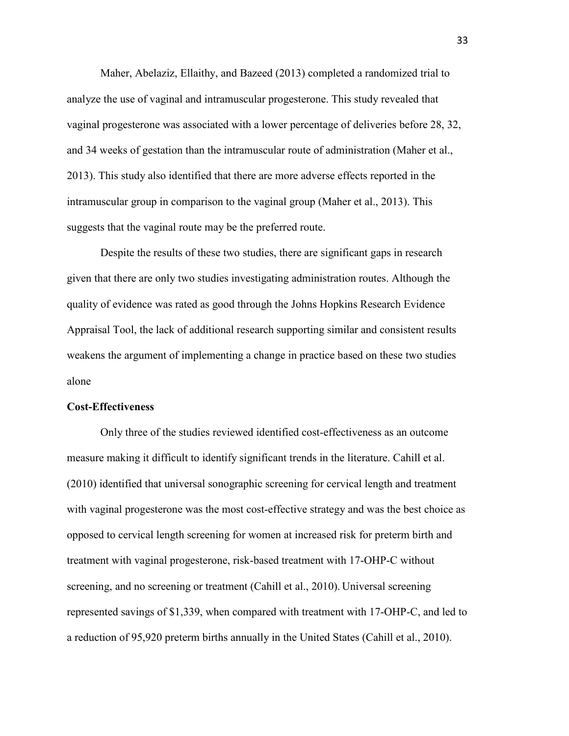Maher, Abelaziz, Ellaithy, and Bazeed (2013) completed a randomized trial to analyze the use of vaginal and intramuscular progesterone. This study revealed that vaginal progesterone was associated with a lower percentage of deliveries before 28, 32, and 34 weeks of gestation than the intramuscular route of administration (Maher et al., 2013). This study also identified that there are more adverse effects reported in the intramuscular group in comparison to the vaginal group (Maher et al., 2013). This suggests that the vaginal route may be the preferred route.

Despite the results of these two studies, there are significant gaps in research given that there are only two studies investigating administration routes. Although the quality of evidence was rated as good through the Johns Hopkins Research Evidence Appraisal Tool, the lack of additional research supporting similar and consistent results weakens the argument of implementing a change in practice based on these two studies alone

# **Cost-Effectiveness**

Only three of the studies reviewed identified cost-effectiveness as an outcome measure making it difficult to identify significant trends in the literature. Cahill et al. (2010) identified that universal sonographic screening for cervical length and treatment with vaginal progesterone was the most cost-effective strategy and was the best choice as opposed to cervical length screening for women at increased risk for preterm birth and treatment with vaginal progesterone, risk-based treatment with 17-OHP-C without screening, and no screening or treatment (Cahill et al., 2010). Universal screening represented savings of \$1,339, when compared with treatment with 17-OHP-C, and led to a reduction of 95,920 preterm births annually in the United States (Cahill et al., 2010).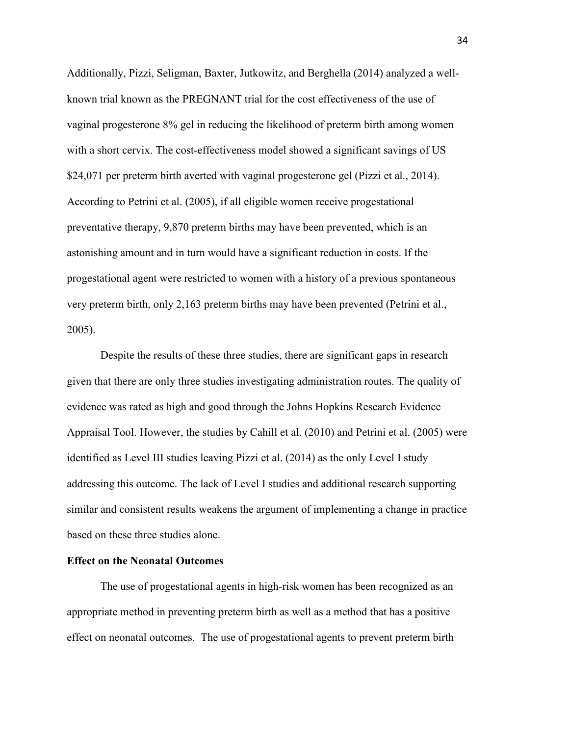Additionally, Pizzi, Seligman, Baxter, Jutkowitz, and Berghella (2014) analyzed a wellknown trial known as the PREGNANT trial for the cost effectiveness of the use of vaginal progesterone 8% gel in reducing the likelihood of preterm birth among women with a short cervix. The cost-effectiveness model showed a significant savings of US \$24,071 per preterm birth averted with vaginal progesterone gel (Pizzi et al., 2014). According to Petrini et al. (2005), if all eligible women receive progestational preventative therapy, 9,870 preterm births may have been prevented, which is an astonishing amount and in turn would have a significant reduction in costs. If the progestational agent were restricted to women with a history of a previous spontaneous very preterm birth, only 2,163 preterm births may have been prevented (Petrini et al., 2005).

Despite the results of these three studies, there are significant gaps in research given that there are only three studies investigating administration routes. The quality of evidence was rated as high and good through the Johns Hopkins Research Evidence Appraisal Tool. However, the studies by Cahill et al. (2010) and Petrini et al. (2005) were identified as Level III studies leaving Pizzi et al. (2014) as the only Level I study addressing this outcome. The lack of Level I studies and additional research supporting similar and consistent results weakens the argument of implementing a change in practice based on these three studies alone.

# **Effect on the Neonatal Outcomes**

The use of progestational agents in high-risk women has been recognized as an appropriate method in preventing preterm birth as well as a method that has a positive effect on neonatal outcomes. The use of progestational agents to prevent preterm birth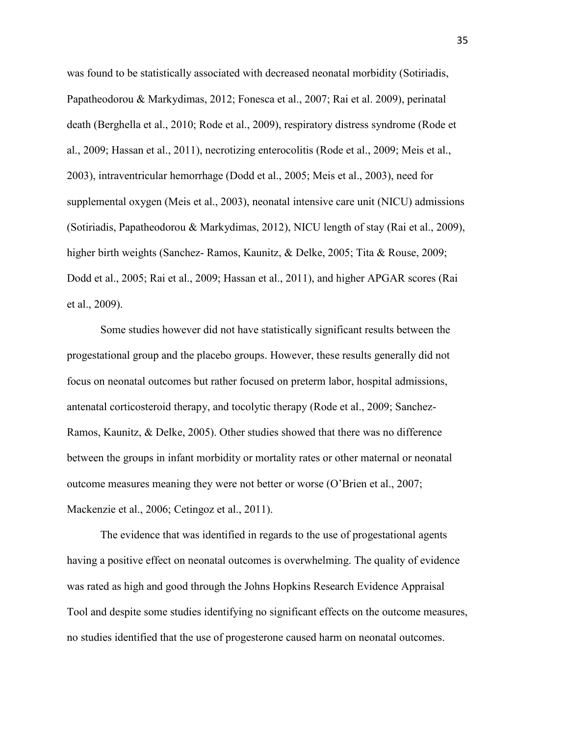was found to be statistically associated with decreased neonatal morbidity (Sotiriadis, Papatheodorou & Markydimas, 2012; Fonesca et al., 2007; Rai et al. 2009), perinatal death (Berghella et al., 2010; Rode et al., 2009), respiratory distress syndrome (Rode et al., 2009; Hassan et al., 2011), necrotizing enterocolitis (Rode et al., 2009; Meis et al., 2003), intraventricular hemorrhage (Dodd et al., 2005; Meis et al., 2003), need for supplemental oxygen (Meis et al., 2003), neonatal intensive care unit (NICU) admissions (Sotiriadis, Papatheodorou & Markydimas, 2012), NICU length of stay (Rai et al., 2009), higher birth weights (Sanchez- Ramos, Kaunitz, & Delke, 2005; Tita & Rouse, 2009; Dodd et al., 2005; Rai et al., 2009; Hassan et al., 2011), and higher APGAR scores (Rai et al., 2009).

 Some studies however did not have statistically significant results between the progestational group and the placebo groups. However, these results generally did not focus on neonatal outcomes but rather focused on preterm labor, hospital admissions, antenatal corticosteroid therapy, and tocolytic therapy (Rode et al., 2009; Sanchez-Ramos, Kaunitz, & Delke, 2005). Other studies showed that there was no difference between the groups in infant morbidity or mortality rates or other maternal or neonatal outcome measures meaning they were not better or worse (O'Brien et al., 2007; Mackenzie et al., 2006; Cetingoz et al., 2011).

The evidence that was identified in regards to the use of progestational agents having a positive effect on neonatal outcomes is overwhelming. The quality of evidence was rated as high and good through the Johns Hopkins Research Evidence Appraisal Tool and despite some studies identifying no significant effects on the outcome measures, no studies identified that the use of progesterone caused harm on neonatal outcomes.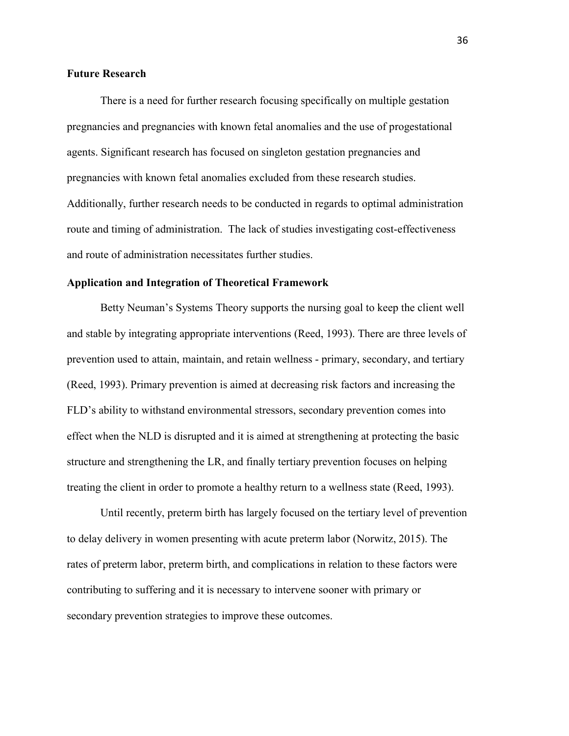# **Future Research**

There is a need for further research focusing specifically on multiple gestation pregnancies and pregnancies with known fetal anomalies and the use of progestational agents. Significant research has focused on singleton gestation pregnancies and pregnancies with known fetal anomalies excluded from these research studies. Additionally, further research needs to be conducted in regards to optimal administration route and timing of administration. The lack of studies investigating cost-effectiveness and route of administration necessitates further studies.

# **Application and Integration of Theoretical Framework**

Betty Neuman's Systems Theory supports the nursing goal to keep the client well and stable by integrating appropriate interventions (Reed, 1993). There are three levels of prevention used to attain, maintain, and retain wellness - primary, secondary, and tertiary (Reed, 1993). Primary prevention is aimed at decreasing risk factors and increasing the FLD's ability to withstand environmental stressors, secondary prevention comes into effect when the NLD is disrupted and it is aimed at strengthening at protecting the basic structure and strengthening the LR, and finally tertiary prevention focuses on helping treating the client in order to promote a healthy return to a wellness state (Reed, 1993).

Until recently, preterm birth has largely focused on the tertiary level of prevention to delay delivery in women presenting with acute preterm labor (Norwitz, 2015). The rates of preterm labor, preterm birth, and complications in relation to these factors were contributing to suffering and it is necessary to intervene sooner with primary or secondary prevention strategies to improve these outcomes.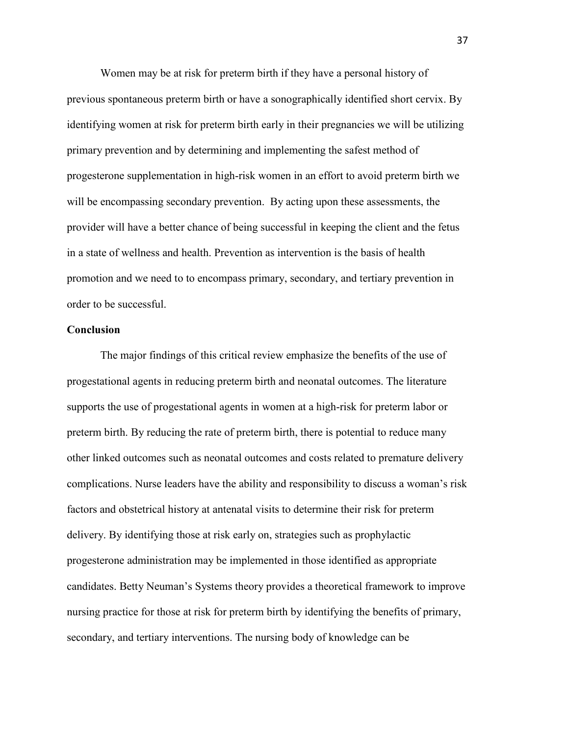Women may be at risk for preterm birth if they have a personal history of previous spontaneous preterm birth or have a sonographically identified short cervix. By identifying women at risk for preterm birth early in their pregnancies we will be utilizing primary prevention and by determining and implementing the safest method of progesterone supplementation in high-risk women in an effort to avoid preterm birth we will be encompassing secondary prevention. By acting upon these assessments, the provider will have a better chance of being successful in keeping the client and the fetus in a state of wellness and health. Prevention as intervention is the basis of health promotion and we need to to encompass primary, secondary, and tertiary prevention in order to be successful.

# **Conclusion**

The major findings of this critical review emphasize the benefits of the use of progestational agents in reducing preterm birth and neonatal outcomes. The literature supports the use of progestational agents in women at a high-risk for preterm labor or preterm birth. By reducing the rate of preterm birth, there is potential to reduce many other linked outcomes such as neonatal outcomes and costs related to premature delivery complications. Nurse leaders have the ability and responsibility to discuss a woman's risk factors and obstetrical history at antenatal visits to determine their risk for preterm delivery. By identifying those at risk early on, strategies such as prophylactic progesterone administration may be implemented in those identified as appropriate candidates. Betty Neuman's Systems theory provides a theoretical framework to improve nursing practice for those at risk for preterm birth by identifying the benefits of primary, secondary, and tertiary interventions. The nursing body of knowledge can be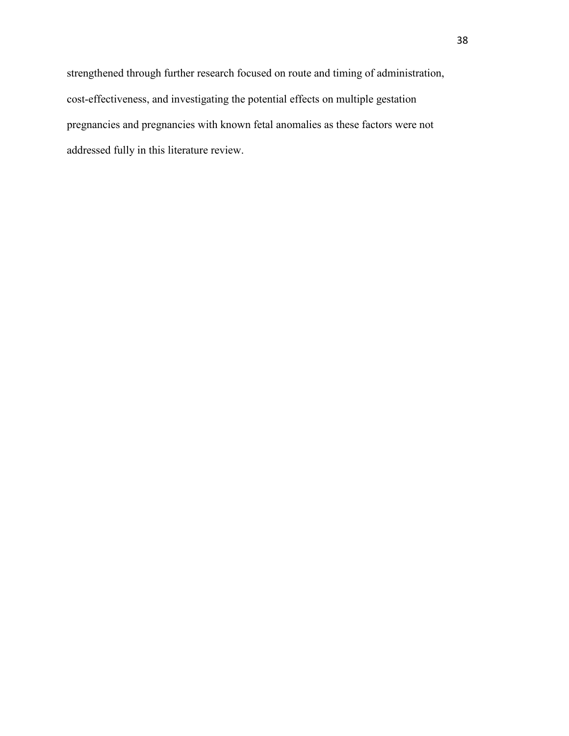strengthened through further research focused on route and timing of administration, cost-effectiveness, and investigating the potential effects on multiple gestation pregnancies and pregnancies with known fetal anomalies as these factors were not addressed fully in this literature review.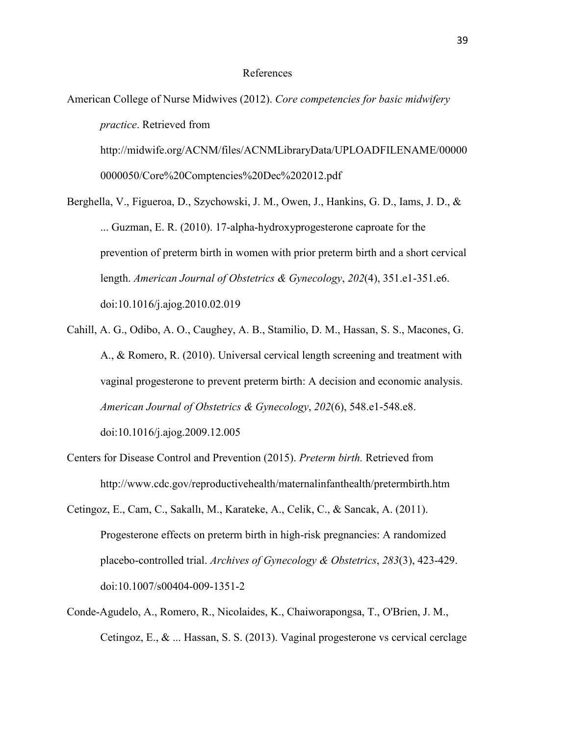#### References

American College of Nurse Midwives (2012). *Core competencies for basic midwifery practice*. Retrieved from

[http://midwife.org/ACNM/files/ACNMLibraryData/UPLOADFILENAME/00000](http://midwife.org/ACNM/files/ACNMLibraryData/UPLOADFILENAME/000000000050/Core%20Comptencies%20Dec%202012.pdf) [0000050/Core%20Comptencies%20Dec%202012.pdf](http://midwife.org/ACNM/files/ACNMLibraryData/UPLOADFILENAME/000000000050/Core%20Comptencies%20Dec%202012.pdf) 

Berghella, V., Figueroa, D., Szychowski, J. M., Owen, J., Hankins, G. D., Iams, J. D., & ... Guzman, E. R. (2010). 17-alpha-hydroxyprogesterone caproate for the prevention of preterm birth in women with prior preterm birth and a short cervical length. *American Journal of Obstetrics & Gynecology*, *202*(4), 351.e1-351.e6. doi:10.1016/j.ajog.2010.02.019

Cahill, A. G., Odibo, A. O., Caughey, A. B., Stamilio, D. M., Hassan, S. S., Macones, G. A., & Romero, R. (2010). Universal cervical length screening and treatment with vaginal progesterone to prevent preterm birth: A decision and economic analysis. *American Journal of Obstetrics & Gynecology*, *202*(6), 548.e1-548.e8.

doi:10.1016/j.ajog.2009.12.005

- Centers for Disease Control and Prevention (2015). *Preterm birth.* Retrieved from http://www.cdc.gov/reproductivehealth/maternalinfanthealth/pretermbirth.htm
- Cetingoz, E., Cam, C., Sakallı, M., Karateke, A., Celik, C., & Sancak, A. (2011). Progesterone effects on preterm birth in high-risk pregnancies: A randomized placebo-controlled trial. *Archives of Gynecology & Obstetrics*, *283*(3), 423-429. doi:10.1007/s00404-009-1351-2
- Conde-Agudelo, A., Romero, R., Nicolaides, K., Chaiworapongsa, T., O'Brien, J. M., Cetingoz, E., & ... Hassan, S. S. (2013). Vaginal progesterone vs cervical cerclage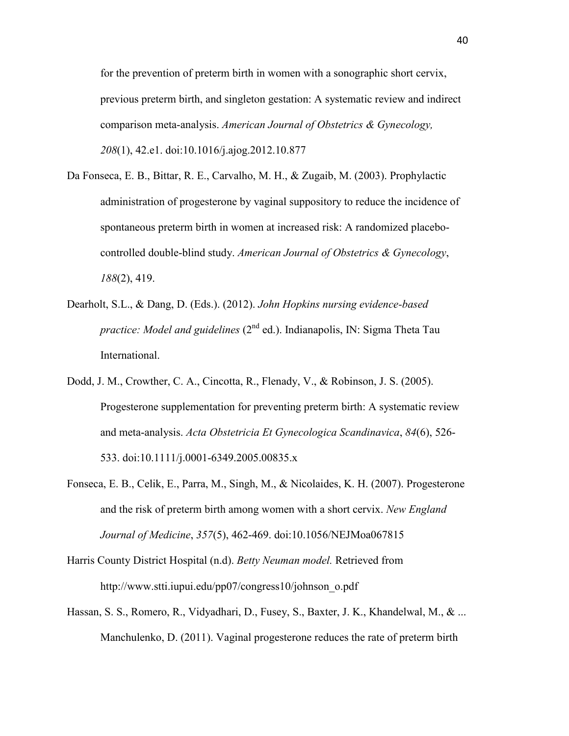for the prevention of preterm birth in women with a sonographic short cervix, previous preterm birth, and singleton gestation: A systematic review and indirect comparison meta-analysis. *American Journal of Obstetrics & Gynecology, 208*(1), 42.e1. doi:10.1016/j.ajog.2012.10.877

- Da Fonseca, E. B., Bittar, R. E., Carvalho, M. H., & Zugaib, M. (2003). Prophylactic administration of progesterone by vaginal suppository to reduce the incidence of spontaneous preterm birth in women at increased risk: A randomized placebocontrolled double-blind study. *American Journal of Obstetrics & Gynecology*, *188*(2), 419.
- Dearholt, S.L., & Dang, D. (Eds.). (2012). *John Hopkins nursing evidence-based practice: Model and guidelines* (2<sup>nd</sup> ed.). Indianapolis, IN: Sigma Theta Tau International.
- Dodd, J. M., Crowther, C. A., Cincotta, R., Flenady, V., & Robinson, J. S. (2005). Progesterone supplementation for preventing preterm birth: A systematic review and meta-analysis. *Acta Obstetricia Et Gynecologica Scandinavica*, *84*(6), 526- 533. doi:10.1111/j.0001-6349.2005.00835.x
- Fonseca, E. B., Celik, E., Parra, M., Singh, M., & Nicolaides, K. H. (2007). Progesterone and the risk of preterm birth among women with a short cervix. *New England Journal of Medicine*, *357*(5), 462-469. doi:10.1056/NEJMoa067815
- Harris County District Hospital (n.d). *Betty Neuman model.* Retrieved from http://www.stti.iupui.edu/pp07/congress10/johnson\_o.pdf
- Hassan, S. S., Romero, R., Vidyadhari, D., Fusey, S., Baxter, J. K., Khandelwal, M., & ... Manchulenko, D. (2011). Vaginal progesterone reduces the rate of preterm birth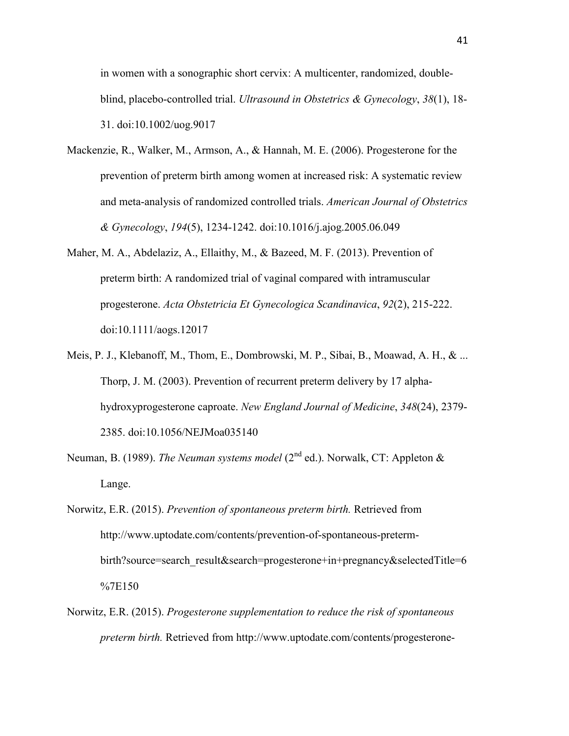in women with a sonographic short cervix: A multicenter, randomized, doubleblind, placebo-controlled trial. *Ultrasound in Obstetrics & Gynecology*, *38*(1), 18- 31. doi:10.1002/uog.9017

- Mackenzie, R., Walker, M., Armson, A., & Hannah, M. E. (2006). Progesterone for the prevention of preterm birth among women at increased risk: A systematic review and meta-analysis of randomized controlled trials. *American Journal of Obstetrics & Gynecology*, *194*(5), 1234-1242. doi:10.1016/j.ajog.2005.06.049
- Maher, M. A., Abdelaziz, A., Ellaithy, M., & Bazeed, M. F. (2013). Prevention of preterm birth: A randomized trial of vaginal compared with intramuscular progesterone. *Acta Obstetricia Et Gynecologica Scandinavica*, *92*(2), 215-222. doi:10.1111/aogs.12017
- Meis, P. J., Klebanoff, M., Thom, E., Dombrowski, M. P., Sibai, B., Moawad, A. H., & ... Thorp, J. M. (2003). Prevention of recurrent preterm delivery by 17 alphahydroxyprogesterone caproate. *New England Journal of Medicine*, *348*(24), 2379- 2385. doi:10.1056/NEJMoa035140
- Neuman, B. (1989). *The Neuman systems model* (2<sup>nd</sup> ed.). Norwalk, CT: Appleton & Lange.
- Norwitz, E.R. (2015). *Prevention of spontaneous preterm birth.* Retrieved from http://www.uptodate.com/contents/prevention-of-spontaneous-pretermbirth?source=search\_result&search=progesterone+in+pregnancy&selectedTitle=6 %7E150
- Norwitz, E.R. (2015). *Progesterone supplementation to reduce the risk of spontaneous preterm birth.* Retrieved from http://www.uptodate.com/contents/progesterone-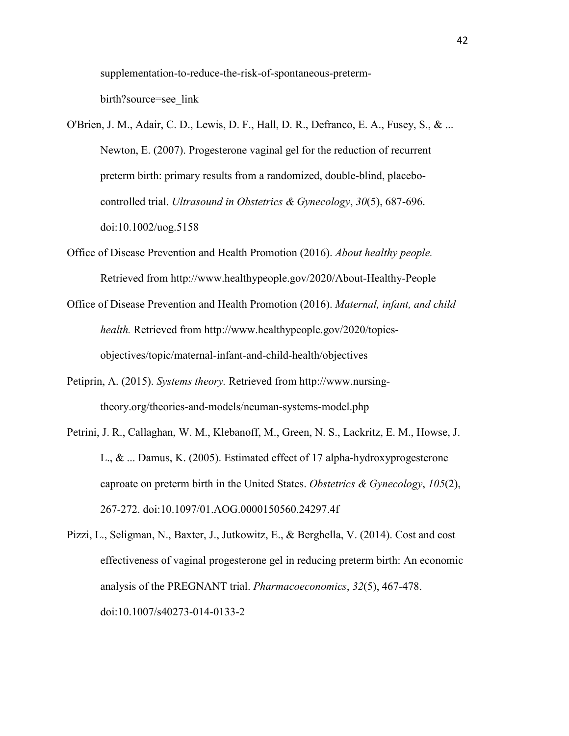supplementation-to-reduce-the-risk-of-spontaneous-pretermbirth?source=see\_link

- O'Brien, J. M., Adair, C. D., Lewis, D. F., Hall, D. R., Defranco, E. A., Fusey, S., & ... Newton, E. (2007). Progesterone vaginal gel for the reduction of recurrent preterm birth: primary results from a randomized, double-blind, placebocontrolled trial. *Ultrasound in Obstetrics & Gynecology*, *30*(5), 687-696. doi:10.1002/uog.5158
- Office of Disease Prevention and Health Promotion (2016). *About healthy people.*  Retrieved from http://www.healthypeople.gov/2020/About-Healthy-People
- Office of Disease Prevention and Health Promotion (2016). *Maternal, infant, and child health.* Retrieved from http://www.healthypeople.gov/2020/topicsobjectives/topic/maternal-infant-and-child-health/objectives
- Petiprin, A. (2015). *Systems theory.* Retrieved from http://www.nursingtheory.org/theories-and-models/neuman-systems-model.php
- Petrini, J. R., Callaghan, W. M., Klebanoff, M., Green, N. S., Lackritz, E. M., Howse, J. L., & ... Damus, K. (2005). Estimated effect of 17 alpha-hydroxyprogesterone caproate on preterm birth in the United States. *Obstetrics & Gynecology*, *105*(2), 267-272. doi:10.1097/01.AOG.0000150560.24297.4f
- Pizzi, L., Seligman, N., Baxter, J., Jutkowitz, E., & Berghella, V. (2014). Cost and cost effectiveness of vaginal progesterone gel in reducing preterm birth: An economic analysis of the PREGNANT trial. *Pharmacoeconomics*, *32*(5), 467-478. doi:10.1007/s40273-014-0133-2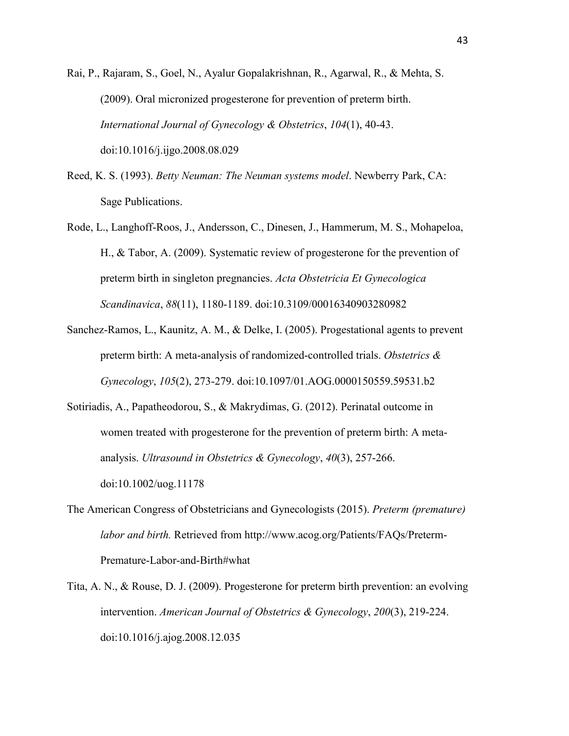Rai, P., Rajaram, S., Goel, N., Ayalur Gopalakrishnan, R., Agarwal, R., & Mehta, S. (2009). Oral micronized progesterone for prevention of preterm birth. *International Journal of Gynecology & Obstetrics*, *104*(1), 40-43. doi:10.1016/j.ijgo.2008.08.029

- Reed, K. S. (1993). *Betty Neuman: The Neuman systems model*. Newberry Park, CA: Sage Publications.
- Rode, L., Langhoff-Roos, J., Andersson, C., Dinesen, J., Hammerum, M. S., Mohapeloa, H., & Tabor, A. (2009). Systematic review of progesterone for the prevention of preterm birth in singleton pregnancies. *Acta Obstetricia Et Gynecologica Scandinavica*, *88*(11), 1180-1189. doi:10.3109/00016340903280982
- Sanchez-Ramos, L., Kaunitz, A. M., & Delke, I. (2005). Progestational agents to prevent preterm birth: A meta-analysis of randomized-controlled trials. *Obstetrics & Gynecology*, *105*(2), 273-279. doi:10.1097/01.AOG.0000150559.59531.b2
- Sotiriadis, A., Papatheodorou, S., & Makrydimas, G. (2012). Perinatal outcome in women treated with progesterone for the prevention of preterm birth: A metaanalysis. *Ultrasound in Obstetrics & Gynecology*, *40*(3), 257-266. doi:10.1002/uog.11178
- The American Congress of Obstetricians and Gynecologists (2015). *Preterm (premature) labor and birth.* Retrieved from http://www.acog.org/Patients/FAQs/Preterm-Premature-Labor-and-Birth#what
- Tita, A. N., & Rouse, D. J. (2009). Progesterone for preterm birth prevention: an evolving intervention. *American Journal of Obstetrics & Gynecology*, *200*(3), 219-224. doi:10.1016/j.ajog.2008.12.035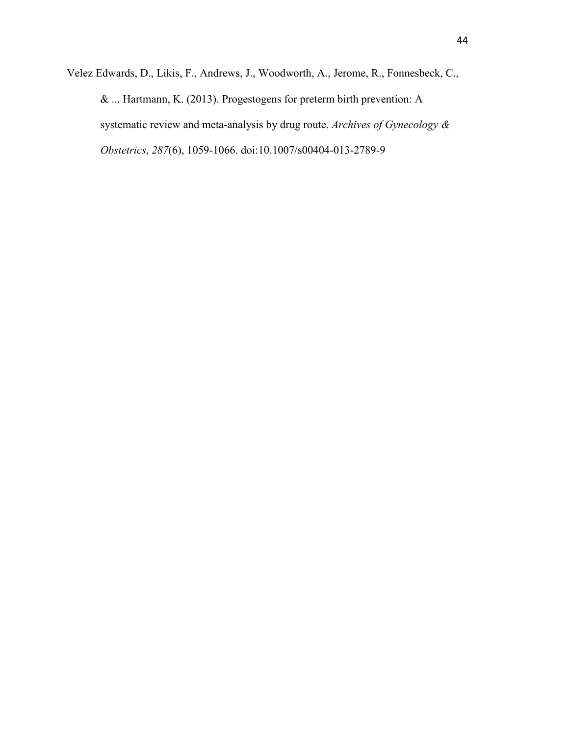Velez Edwards, D., Likis, F., Andrews, J., Woodworth, A., Jerome, R., Fonnesbeck, C., & ... Hartmann, K. (2013). Progestogens for preterm birth prevention: A systematic review and meta-analysis by drug route. *Archives of Gynecology & Obstetrics*, *287*(6), 1059-1066. doi:10.1007/s00404-013-2789-9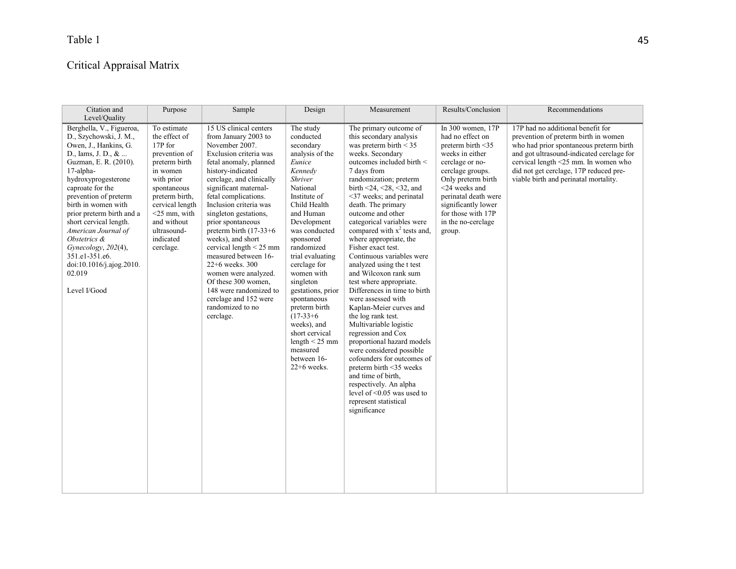# Critical Appraisal Matrix

| Citation and<br>Level/Quality                                                                                                                                                                                                                                                                                                                                                                                                     | Purpose                                                                                                                                                                                                                            | Sample                                                                                                                                                                                                                                                                                                                                                                                                                                                                                                                                                      | Design                                                                                                                                                                                                                                                                                                                                                                                                                                            | Measurement                                                                                                                                                                                                                                                                                                                                                                                                                                                                                                                                                                                                                                                                                                                                                                                                                                                                                                                          | Results/Conclusion                                                                                                                                                                                                                                               | Recommendations                                                                                                                                                                                                                                                                              |
|-----------------------------------------------------------------------------------------------------------------------------------------------------------------------------------------------------------------------------------------------------------------------------------------------------------------------------------------------------------------------------------------------------------------------------------|------------------------------------------------------------------------------------------------------------------------------------------------------------------------------------------------------------------------------------|-------------------------------------------------------------------------------------------------------------------------------------------------------------------------------------------------------------------------------------------------------------------------------------------------------------------------------------------------------------------------------------------------------------------------------------------------------------------------------------------------------------------------------------------------------------|---------------------------------------------------------------------------------------------------------------------------------------------------------------------------------------------------------------------------------------------------------------------------------------------------------------------------------------------------------------------------------------------------------------------------------------------------|--------------------------------------------------------------------------------------------------------------------------------------------------------------------------------------------------------------------------------------------------------------------------------------------------------------------------------------------------------------------------------------------------------------------------------------------------------------------------------------------------------------------------------------------------------------------------------------------------------------------------------------------------------------------------------------------------------------------------------------------------------------------------------------------------------------------------------------------------------------------------------------------------------------------------------------|------------------------------------------------------------------------------------------------------------------------------------------------------------------------------------------------------------------------------------------------------------------|----------------------------------------------------------------------------------------------------------------------------------------------------------------------------------------------------------------------------------------------------------------------------------------------|
| Berghella, V., Figueroa,<br>D., Szychowski, J. M.,<br>Owen, J., Hankins, G.<br>D., Iams, J. D., $&$<br>Guzman, E. R. (2010).<br>17-alpha-<br>hydroxyprogesterone<br>caproate for the<br>prevention of preterm<br>birth in women with<br>prior preterm birth and a<br>short cervical length.<br>American Journal of<br>Obstetrics &<br>Gynecology, 202(4),<br>351.e1-351.e6.<br>doi:10.1016/j.ajog.2010.<br>02.019<br>Level I/Good | To estimate<br>the effect of<br>17P for<br>prevention of<br>preterm birth<br>in women<br>with prior<br>spontaneous<br>preterm birth,<br>cervical length<br>$<$ 25 mm, with<br>and without<br>ultrasound-<br>indicated<br>cerclage. | 15 US clinical centers<br>from January 2003 to<br>November 2007.<br>Exclusion criteria was<br>fetal anomaly, planned<br>history-indicated<br>cerclage, and clinically<br>significant maternal-<br>fetal complications.<br>Inclusion criteria was<br>singleton gestations,<br>prior spontaneous<br>preterm birth $(17-33+6)$<br>weeks), and short<br>cervical length $<$ 25 mm<br>measured between 16-<br>22+6 weeks. 300<br>women were analyzed.<br>Of these 300 women,<br>148 were randomized to<br>cerclage and 152 were<br>randomized to no<br>cerclage. | The study<br>conducted<br>secondary<br>analysis of the<br>Eunice<br>Kennedy<br>Shriver<br>National<br>Institute of<br>Child Health<br>and Human<br>Development<br>was conducted<br>sponsored<br>randomized<br>trial evaluating<br>cerclage for<br>women with<br>singleton<br>gestations, prior<br>spontaneous<br>preterm birth<br>$(17-33+6)$<br>weeks), and<br>short cervical<br>length $\leq$ 25 mm<br>measured<br>between 16-<br>$22+6$ weeks. | The primary outcome of<br>this secondary analysis<br>was preterm birth $\leq 35$<br>weeks. Secondary<br>outcomes included birth <<br>7 days from<br>randomization; preterm<br>birth $\leq$ 24, $\leq$ 28, $\leq$ 32, and<br><37 weeks; and perinatal<br>death. The primary<br>outcome and other<br>categorical variables were<br>compared with $x^2$ tests and,<br>where appropriate, the<br>Fisher exact test.<br>Continuous variables were<br>analyzed using the t test<br>and Wilcoxon rank sum<br>test where appropriate.<br>Differences in time to birth<br>were assessed with<br>Kaplan-Meier curves and<br>the log rank test.<br>Multivariable logistic<br>regression and Cox<br>proportional hazard models<br>were considered possible<br>cofounders for outcomes of<br>preterm birth <35 weeks<br>and time of birth.<br>respectively. An alpha<br>level of $\leq 0.05$ was used to<br>represent statistical<br>significance | In 300 women, 17P<br>had no effect on<br>preterm birth <35<br>weeks in either<br>cerclage or no-<br>cerclage groups.<br>Only preterm birth<br><24 weeks and<br>perinatal death were<br>significantly lower<br>for those with 17P<br>in the no-cerclage<br>group. | 17P had no additional benefit for<br>prevention of preterm birth in women<br>who had prior spontaneous preterm birth<br>and got ultrasound-indicated cerclage for<br>cervical length <25 mm. In women who<br>did not get cerclage, 17P reduced pre-<br>viable birth and perinatal mortality. |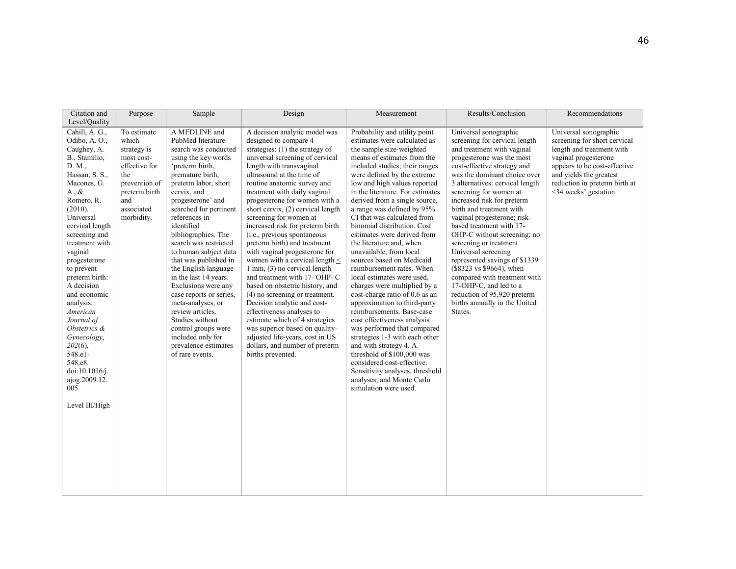| Citation and<br>Level/Quality                                                                                                                                                                                                                                                                                                                                                                                                                                                           | Purpose                                                                                                                                        | Sample                                                                                                                                                                                                                                                                                                                                                                                                                                                                                                                                                                                                | Design                                                                                                                                                                                                                                                                                                                                                                                                                                                                                                                                                                                                                                                                                                                                                                                                                                                                                            | Measurement                                                                                                                                                                                                                                                                                                                                                                                                                                                                                                                                                                                                                                                                                                                                                                                                                                                                                                                                                                            | Results/Conclusion                                                                                                                                                                                                                                                                                                                                                                                                                                                                                                                                                                                                                                    | Recommendations                                                                                                                                                                                                                 |
|-----------------------------------------------------------------------------------------------------------------------------------------------------------------------------------------------------------------------------------------------------------------------------------------------------------------------------------------------------------------------------------------------------------------------------------------------------------------------------------------|------------------------------------------------------------------------------------------------------------------------------------------------|-------------------------------------------------------------------------------------------------------------------------------------------------------------------------------------------------------------------------------------------------------------------------------------------------------------------------------------------------------------------------------------------------------------------------------------------------------------------------------------------------------------------------------------------------------------------------------------------------------|---------------------------------------------------------------------------------------------------------------------------------------------------------------------------------------------------------------------------------------------------------------------------------------------------------------------------------------------------------------------------------------------------------------------------------------------------------------------------------------------------------------------------------------------------------------------------------------------------------------------------------------------------------------------------------------------------------------------------------------------------------------------------------------------------------------------------------------------------------------------------------------------------|----------------------------------------------------------------------------------------------------------------------------------------------------------------------------------------------------------------------------------------------------------------------------------------------------------------------------------------------------------------------------------------------------------------------------------------------------------------------------------------------------------------------------------------------------------------------------------------------------------------------------------------------------------------------------------------------------------------------------------------------------------------------------------------------------------------------------------------------------------------------------------------------------------------------------------------------------------------------------------------|-------------------------------------------------------------------------------------------------------------------------------------------------------------------------------------------------------------------------------------------------------------------------------------------------------------------------------------------------------------------------------------------------------------------------------------------------------------------------------------------------------------------------------------------------------------------------------------------------------------------------------------------------------|---------------------------------------------------------------------------------------------------------------------------------------------------------------------------------------------------------------------------------|
| Cahill, A. G.,<br>Odibo, A.O.,<br>Caughey, A.<br>B., Stamilio,<br>D. M.,<br>Hassan, S. S.,<br>Macones, G.<br>$A_{\cdot}, \&$<br>Romero, R.<br>(2010).<br>Universal<br>cervical length<br>screening and<br>treatment with<br>vaginal<br>progesterone<br>to prevent<br>preterm birth:<br>A decision<br>and economic<br>analysis.<br>American<br>Journal of<br>Obstetrics &<br>Gynecology,<br>$202(6)$ ,<br>548.el-<br>548.e8.<br>doi:10.1016/j.<br>ajog.2009.12.<br>005<br>Level III/High | To estimate<br>which<br>strategy is<br>most cost-<br>effective for<br>the<br>prevention of<br>preterm birth<br>and<br>associated<br>morbidity. | A MEDLINE and<br>PubMed literature<br>search was conducted<br>using the key words<br>'preterm birth,<br>premature birth.<br>preterm labor, short<br>cervix, and<br>progesterone' and<br>searched for pertinent<br>references in<br>identified<br>bibliographies. The<br>search was restricted<br>to human subject data<br>that was published in<br>the English language<br>in the last 14 years.<br>Exclusions were any<br>case reports or series,<br>meta-analyses, or<br>review articles.<br>Studies without<br>control groups were<br>included only for<br>prevalence estimates<br>of rare events. | A decision analytic model was<br>designed to compare 4<br>strategies: $(1)$ the strategy of<br>universal screening of cervical<br>length with transvaginal<br>ultrasound at the time of<br>routine anatomic survey and<br>treatment with daily vaginal<br>progesterone for women with a<br>short cervix, (2) cervical length<br>screening for women at<br>increased risk for preterm birth<br>(i.e., previous spontaneous<br>preterm birth) and treatment<br>with vaginal progesterone for<br>women with a cervical length $\leq$<br>1 mm, (3) no cervical length<br>and treatment with 17- OHP- C<br>based on obstetric history, and<br>(4) no screening or treatment.<br>Decision analytic and cost-<br>effectiveness analyses to<br>estimate which of 4 strategies<br>was superior based on quality-<br>adjusted life-years, cost in US<br>dollars, and number of preterm<br>births prevented. | Probability and utility point<br>estimates were calculated as<br>the sample size-weighted<br>means of estimates from the<br>included studies; their ranges<br>were defined by the extreme<br>low and high values reported<br>in the literature. For estimates<br>derived from a single source,<br>a range was defined by 95%<br>CI that was calculated from<br>binomial distribution. Cost<br>estimates were derived from<br>the literature and, when<br>unavailable, from local<br>sources based on Medicaid<br>reimbursement rates. When<br>local estimates were used.<br>charges were multiplied by a<br>cost-charge ratio of 0.6 as an<br>approximation to third-party<br>reimbursements. Base-case<br>cost effectiveness analysis<br>was performed that compared<br>strategies 1-3 with each other<br>and with strategy 4. A<br>threshold of \$100,000 was<br>considered cost-effective.<br>Sensitivity analyses, threshold<br>analyses, and Monte Carlo<br>simulation were used. | Universal sonographic<br>screening for cervical length<br>and treatment with vaginal<br>progesterone was the most<br>cost-effective strategy and<br>was the dominant choice over<br>3 alternatives: cervical length<br>screening for women at<br>increased risk for preterm<br>birth and treatment with<br>vaginal progesterone; risk-<br>based treatment with 17-<br>OHP-C without screening; no<br>screening or treatment.<br>Universal screening<br>represented savings of \$1339<br>(\$8323 vs \$9664), when<br>compared with treatment with<br>17-OHP-C, and led to a<br>reduction of 95,920 preterm<br>births annually in the United<br>States. | Universal sonographic<br>screening for short cervical<br>length and treatment with<br>vaginal progesterone<br>appears to be cost-effective<br>and yields the greatest<br>reduction in preterm birth at<br><34 weeks' gestation. |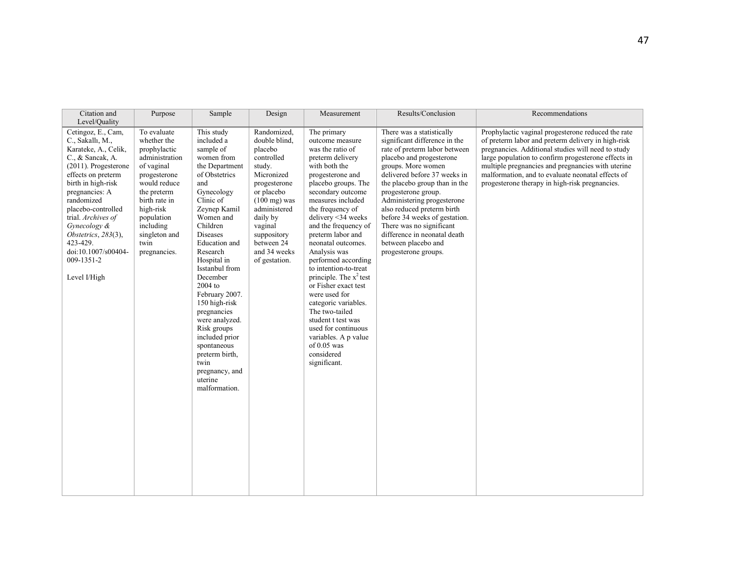| Citation and<br>Level/Quality                                                                                                                                                                                                                                                                                                                    | Purpose                                                                                                                                                                                                                     | Sample                                                                                                                                                                                                                                                                                                                                                                                                                                                                | Design                                                                                                                                                                                                                                     | Measurement                                                                                                                                                                                                                                                                                                                                                                                                                                                                                                                                                                                   | Results/Conclusion                                                                                                                                                                                                                                                                                                                                                                                                                            | Recommendations                                                                                                                                                                                                                                                                                                                                                                   |
|--------------------------------------------------------------------------------------------------------------------------------------------------------------------------------------------------------------------------------------------------------------------------------------------------------------------------------------------------|-----------------------------------------------------------------------------------------------------------------------------------------------------------------------------------------------------------------------------|-----------------------------------------------------------------------------------------------------------------------------------------------------------------------------------------------------------------------------------------------------------------------------------------------------------------------------------------------------------------------------------------------------------------------------------------------------------------------|--------------------------------------------------------------------------------------------------------------------------------------------------------------------------------------------------------------------------------------------|-----------------------------------------------------------------------------------------------------------------------------------------------------------------------------------------------------------------------------------------------------------------------------------------------------------------------------------------------------------------------------------------------------------------------------------------------------------------------------------------------------------------------------------------------------------------------------------------------|-----------------------------------------------------------------------------------------------------------------------------------------------------------------------------------------------------------------------------------------------------------------------------------------------------------------------------------------------------------------------------------------------------------------------------------------------|-----------------------------------------------------------------------------------------------------------------------------------------------------------------------------------------------------------------------------------------------------------------------------------------------------------------------------------------------------------------------------------|
| Cetingoz, E., Cam,<br>C., Sakallı, M.,<br>Karateke, A., Celik,<br>C., & Sancak, A.<br>$(2011)$ . Progesterone<br>effects on preterm<br>birth in high-risk<br>pregnancies: A<br>randomized<br>placebo-controlled<br>trial. Archives of<br>Gynecology &<br>Obstetrics, $283(3)$ ,<br>423-429.<br>doi:10.1007/s00404-<br>009-1351-2<br>Level I/High | To evaluate<br>whether the<br>prophylactic<br>administration<br>of vaginal<br>progesterone<br>would reduce<br>the preterm<br>birth rate in<br>high-risk<br>population<br>including<br>singleton and<br>twin<br>pregnancies. | This study<br>included a<br>sample of<br>women from<br>the Department<br>of Obstetrics<br>and<br>Gynecology<br>Clinic of<br>Zeynep Kamil<br>Women and<br>Children<br><b>Diseases</b><br>Education and<br>Research<br>Hospital in<br>Isstanbul from<br>December<br>2004 to<br>February 2007.<br>150 high-risk<br>pregnancies<br>were analyzed.<br>Risk groups<br>included prior<br>spontaneous<br>preterm birth,<br>twin<br>pregnancy, and<br>uterine<br>malformation. | Randomized,<br>double blind.<br>placebo<br>controlled<br>study.<br>Micronized<br>progesterone<br>or placebo<br>$(100 \text{ mg})$ was<br>administered<br>daily by<br>vaginal<br>suppository<br>between 24<br>and 34 weeks<br>of gestation. | The primary<br>outcome measure<br>was the ratio of<br>preterm delivery<br>with both the<br>progesterone and<br>placebo groups. The<br>secondary outcome<br>measures included<br>the frequency of<br>delivery <34 weeks<br>and the frequency of<br>preterm labor and<br>neonatal outcomes.<br>Analysis was<br>performed according<br>to intention-to-treat<br>principle. The $x^2$ test<br>or Fisher exact test<br>were used for<br>categoric variables.<br>The two-tailed<br>student t test was<br>used for continuous<br>variables. A p value<br>of $0.05$ was<br>considered<br>significant. | There was a statistically<br>significant difference in the<br>rate of preterm labor between<br>placebo and progesterone<br>groups. More women<br>delivered before 37 weeks in<br>the placebo group than in the<br>progesterone group.<br>Administering progesterone<br>also reduced preterm birth<br>before 34 weeks of gestation.<br>There was no significant<br>difference in neonatal death<br>between placebo and<br>progesterone groups. | Prophylactic vaginal progesterone reduced the rate<br>of preterm labor and preterm delivery in high-risk<br>pregnancies. Additional studies will need to study<br>large population to confirm progesterone effects in<br>multiple pregnancies and pregnancies with uterine<br>malformation, and to evaluate neonatal effects of<br>progesterone therapy in high-risk pregnancies. |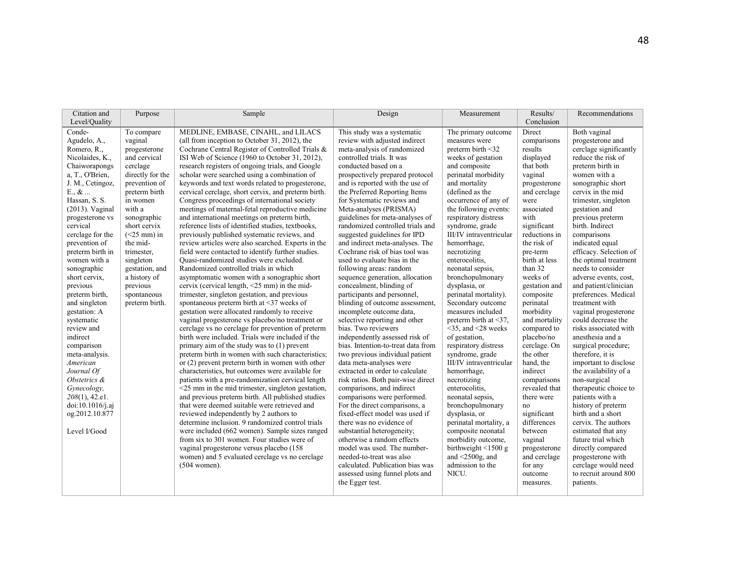| Citation and<br>Level/Quality                                                                                                                                                                                                                                                                                                                                                                                                                                                                                                                                                                    | Purpose                                                                                                                                                                                                                                                                                                             | Sample                                                                                                                                                                                                                                                                                                                                                                                                                                                                                                                                                                                                                                                                                                                                                                                                                                                                                                                                                                                                                                                                                                                                                                                                                                                                                                                                                                                                                                                                                                                                                                                                                                                                                                                                                                                                                                                                                                                                                                                                                          | Design                                                                                                                                                                                                                                                                                                                                                                                                                                                                                                                                                                                                                                                                                                                                                                                                                                                                                                                                                                                                                                                                                                                                                                                                                                                                                                                                                                 | Measurement                                                                                                                                                                                                                                                                                                                                                                                                                                                                                                                                                                                                                                                                                                                                                                                                                                                                              | Results/<br>Conclusion                                                                                                                                                                                                                                                                                                                                                                                                                                                                                                                                                        | Recommendations                                                                                                                                                                                                                                                                                                                                                                                                                                                                                                                                                                                                                                                                                                                                                                                                                                                                                                               |
|--------------------------------------------------------------------------------------------------------------------------------------------------------------------------------------------------------------------------------------------------------------------------------------------------------------------------------------------------------------------------------------------------------------------------------------------------------------------------------------------------------------------------------------------------------------------------------------------------|---------------------------------------------------------------------------------------------------------------------------------------------------------------------------------------------------------------------------------------------------------------------------------------------------------------------|---------------------------------------------------------------------------------------------------------------------------------------------------------------------------------------------------------------------------------------------------------------------------------------------------------------------------------------------------------------------------------------------------------------------------------------------------------------------------------------------------------------------------------------------------------------------------------------------------------------------------------------------------------------------------------------------------------------------------------------------------------------------------------------------------------------------------------------------------------------------------------------------------------------------------------------------------------------------------------------------------------------------------------------------------------------------------------------------------------------------------------------------------------------------------------------------------------------------------------------------------------------------------------------------------------------------------------------------------------------------------------------------------------------------------------------------------------------------------------------------------------------------------------------------------------------------------------------------------------------------------------------------------------------------------------------------------------------------------------------------------------------------------------------------------------------------------------------------------------------------------------------------------------------------------------------------------------------------------------------------------------------------------------|------------------------------------------------------------------------------------------------------------------------------------------------------------------------------------------------------------------------------------------------------------------------------------------------------------------------------------------------------------------------------------------------------------------------------------------------------------------------------------------------------------------------------------------------------------------------------------------------------------------------------------------------------------------------------------------------------------------------------------------------------------------------------------------------------------------------------------------------------------------------------------------------------------------------------------------------------------------------------------------------------------------------------------------------------------------------------------------------------------------------------------------------------------------------------------------------------------------------------------------------------------------------------------------------------------------------------------------------------------------------|------------------------------------------------------------------------------------------------------------------------------------------------------------------------------------------------------------------------------------------------------------------------------------------------------------------------------------------------------------------------------------------------------------------------------------------------------------------------------------------------------------------------------------------------------------------------------------------------------------------------------------------------------------------------------------------------------------------------------------------------------------------------------------------------------------------------------------------------------------------------------------------|-------------------------------------------------------------------------------------------------------------------------------------------------------------------------------------------------------------------------------------------------------------------------------------------------------------------------------------------------------------------------------------------------------------------------------------------------------------------------------------------------------------------------------------------------------------------------------|-------------------------------------------------------------------------------------------------------------------------------------------------------------------------------------------------------------------------------------------------------------------------------------------------------------------------------------------------------------------------------------------------------------------------------------------------------------------------------------------------------------------------------------------------------------------------------------------------------------------------------------------------------------------------------------------------------------------------------------------------------------------------------------------------------------------------------------------------------------------------------------------------------------------------------|
| Conde-<br>Agudelo, A.,<br>Romero, R.,<br>Nicolaides, K.,<br>Chaiworapongs<br>a, T., O'Brien,<br>J. M., Cetingoz,<br>$E_{\cdot}$ , $\&$<br>Hassan, S. S.<br>$(2013)$ . Vaginal<br>progesterone vs<br>cervical<br>cerclage for the<br>prevention of<br>preterm birth in<br>women with a<br>sonographic<br>short cervix,<br>previous<br>preterm birth,<br>and singleton<br>gestation: A<br>systematic<br>review and<br>indirect<br>comparison<br>meta-analysis.<br>American<br>Journal Of<br>Obstetrics &<br>Gynecology,<br>$208(1)$ , 42.e1.<br>doi:10.1016/j.aj<br>og.2012.10.877<br>Level I/Good | To compare<br>vaginal<br>progesterone<br>and cervical<br>cerclage<br>directly for the<br>prevention of<br>preterm birth<br>in women<br>with a<br>sonographic<br>short cervix<br>$(<25$ mm) in<br>the mid-<br>trimester,<br>singleton<br>gestation, and<br>a history of<br>previous<br>spontaneous<br>preterm birth. | MEDLINE, EMBASE, CINAHL, and LILACS<br>(all from inception to October 31, 2012), the<br>Cochrane Central Register of Controlled Trials &<br>ISI Web of Science (1960 to October 31, 2012),<br>research registers of ongoing trials, and Google<br>scholar were searched using a combination of<br>keywords and text words related to progesterone.<br>cervical cerclage, short cervix, and preterm birth.<br>Congress proceedings of international society<br>meetings of maternal-fetal reproductive medicine<br>and international meetings on preterm birth,<br>reference lists of identified studies, textbooks,<br>previously published systematic reviews, and<br>review articles were also searched. Experts in the<br>field were contacted to identify further studies.<br>Ouasi-randomized studies were excluded.<br>Randomized controlled trials in which<br>asymptomatic women with a sonographic short<br>cervix (cervical length, $\leq$ 25 mm) in the mid-<br>trimester, singleton gestation, and previous<br>spontaneous preterm birth at <37 weeks of<br>gestation were allocated randomly to receive<br>vaginal progesterone vs placebo/no treatment or<br>cerclage vs no cerclage for prevention of preterm<br>birth were included. Trials were included if the<br>primary aim of the study was to (1) prevent<br>preterm birth in women with such characteristics;<br>or $(2)$ prevent preterm birth in women with other<br>characteristics, but outcomes were available for<br>patients with a pre-randomization cervical length<br>$<$ 25 mm in the mid trimester, singleton gestation,<br>and previous preterm birth. All published studies<br>that were deemed suitable were retrieved and<br>reviewed independently by 2 authors to<br>determine inclusion. 9 randomized control trials<br>were included (662 women). Sample sizes ranged<br>from six to 301 women. Four studies were of<br>vaginal progesterone versus placebo (158<br>women) and 5 evaluated cerclage vs no cerclage<br>$(504$ women). | This study was a systematic<br>review with adjusted indirect<br>meta-analysis of randomized<br>controlled trials. It was<br>conducted based on a<br>prospectively prepared protocol<br>and is reported with the use of<br>the Preferred Reporting Items<br>for Systematic reviews and<br>Meta-analyses (PRISMA)<br>guidelines for meta-analyses of<br>randomized controlled trials and<br>suggested guidelines for IPD<br>and indirect meta-analyses. The<br>Cochrane risk of bias tool was<br>used to evaluate bias in the<br>following areas: random<br>sequence generation, allocation<br>concealment, blinding of<br>participants and personnel,<br>blinding of outcome assessment,<br>incomplete outcome data,<br>selective reporting and other<br>bias. Two reviewers<br>independently assessed risk of<br>bias. Intention-to-treat data from<br>two previous individual patient<br>data meta-analyses were<br>extracted in order to calculate<br>risk ratios. Both pair-wise direct<br>comparisons, and indirect<br>comparisons were performed.<br>For the direct comparisons, a<br>fixed-effect model was used if<br>there was no evidence of<br>substantial heterogeneity;<br>otherwise a random effects<br>model was used. The number-<br>needed-to-treat was also<br>calculated. Publication bias was<br>assessed using funnel plots and<br>the Egger test. | The primary outcome<br>measures were<br>preterm birth $\leq$ 32<br>weeks of gestation<br>and composite<br>perinatal morbidity<br>and mortality<br>(defined as the<br>occurrence of any of<br>the following events:<br>respiratory distress<br>syndrome, grade<br>III/IV intraventricular<br>hemorrhage.<br>necrotizing<br>enterocolitis.<br>neonatal sepsis,<br>bronchopulmonary<br>dysplasia, or<br>perinatal mortality).<br>Secondary outcome<br>measures included<br>preterm birth at $\leq$ 37.<br>$<$ 35, and $<$ 28 weeks<br>of gestation.<br>respiratory distress<br>syndrome, grade<br>III/IV intraventricular<br>hemorrhage.<br>necrotizing<br>enterocolitis.<br>neonatal sepsis.<br>bronchopulmonary<br>dysplasia, or<br>perinatal mortality, a<br>composite neonatal<br>morbidity outcome,<br>birthweight $\leq 1500$ g<br>and $\leq$ 2500g, and<br>admission to the<br>NICU. | Direct<br>comparisons<br>results<br>displayed<br>that both<br>vaginal<br>progesterone<br>and cerclage<br>were<br>associated<br>with<br>significant<br>reductions in<br>the risk of<br>pre-term<br>birth at less<br>than 32<br>weeks of<br>gestation and<br>composite<br>perinatal<br>morbidity<br>and mortality<br>compared to<br>placebo/no<br>cerclage. On<br>the other<br>hand, the<br>indirect<br>comparisons<br>revealed that<br>there were<br>no<br>significant<br>differences<br>between<br>vaginal<br>progesterone<br>and cerclage<br>for any<br>outcome<br>measures. | Both vaginal<br>progesterone and<br>cerclage significantly<br>reduce the risk of<br>preterm birth in<br>women with a<br>sonographic short<br>cervix in the mid<br>trimester, singleton<br>gestation and<br>previous preterm<br>birth. Indirect<br>comparisons<br>indicated equal<br>efficacy. Selection of<br>the optimal treatment<br>needs to consider<br>adverse events, cost,<br>and patient/clinician<br>preferences. Medical<br>treatment with<br>vaginal progesterone<br>could decrease the<br>risks associated with<br>anesthesia and a<br>surgical procedure;<br>therefore, it is<br>important to disclose<br>the availability of a<br>non-surgical<br>therapeutic choice to<br>patients with a<br>history of preterm<br>birth and a short<br>cervix. The authors<br>estimated that any<br>future trial which<br>directly compared<br>progesterone with<br>cerclage would need<br>to recruit around 800<br>patients. |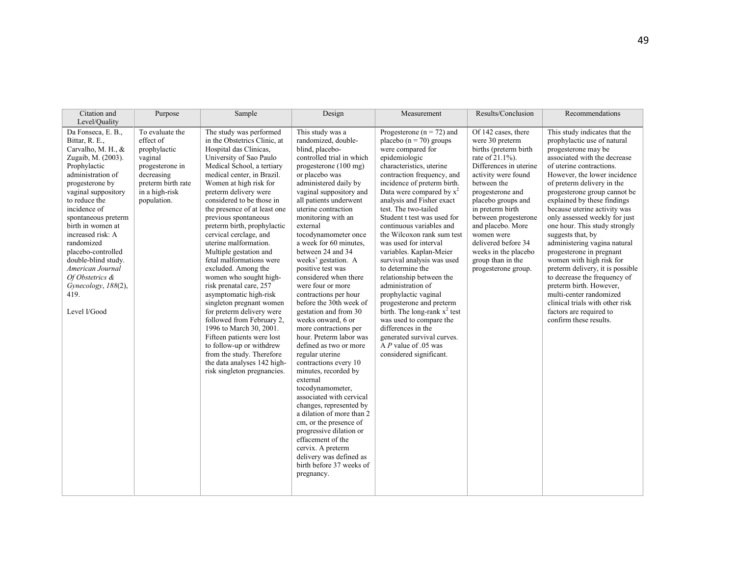| Citation and<br>Level/Quality                                                                                                                                                                                                                                                                                                                                                                                      | Purpose                                                                                                                                         | Sample                                                                                                                                                                                                                                                                                                                                                                                                                                                                                                                                                                                                                                                                                                                                                                                                                               | Design                                                                                                                                                                                                                                                                                                                                                                                                                                                                                                                                                                                                                                                                                                                                                                                                                                                                                                                                                                                  | Measurement                                                                                                                                                                                                                                                                                                                                                                                                                                                                                                                                                                                                                                                                                                                                              | Results/Conclusion                                                                                                                                                                                                                                                                                                                                                      | Recommendations                                                                                                                                                                                                                                                                                                                                                                                                                                                                                                                                                                                                                                                                                               |
|--------------------------------------------------------------------------------------------------------------------------------------------------------------------------------------------------------------------------------------------------------------------------------------------------------------------------------------------------------------------------------------------------------------------|-------------------------------------------------------------------------------------------------------------------------------------------------|--------------------------------------------------------------------------------------------------------------------------------------------------------------------------------------------------------------------------------------------------------------------------------------------------------------------------------------------------------------------------------------------------------------------------------------------------------------------------------------------------------------------------------------------------------------------------------------------------------------------------------------------------------------------------------------------------------------------------------------------------------------------------------------------------------------------------------------|-----------------------------------------------------------------------------------------------------------------------------------------------------------------------------------------------------------------------------------------------------------------------------------------------------------------------------------------------------------------------------------------------------------------------------------------------------------------------------------------------------------------------------------------------------------------------------------------------------------------------------------------------------------------------------------------------------------------------------------------------------------------------------------------------------------------------------------------------------------------------------------------------------------------------------------------------------------------------------------------|----------------------------------------------------------------------------------------------------------------------------------------------------------------------------------------------------------------------------------------------------------------------------------------------------------------------------------------------------------------------------------------------------------------------------------------------------------------------------------------------------------------------------------------------------------------------------------------------------------------------------------------------------------------------------------------------------------------------------------------------------------|-------------------------------------------------------------------------------------------------------------------------------------------------------------------------------------------------------------------------------------------------------------------------------------------------------------------------------------------------------------------------|---------------------------------------------------------------------------------------------------------------------------------------------------------------------------------------------------------------------------------------------------------------------------------------------------------------------------------------------------------------------------------------------------------------------------------------------------------------------------------------------------------------------------------------------------------------------------------------------------------------------------------------------------------------------------------------------------------------|
| Da Fonseca, E. B.,<br>Bittar, R. E.,<br>Carvalho, M. H., &<br>Zugaib, M. (2003).<br>Prophylactic<br>administration of<br>progesterone by<br>vaginal suppository<br>to reduce the<br>incidence of<br>spontaneous preterm<br>birth in women at<br>increased risk: A<br>randomized<br>placebo-controlled<br>double-blind study.<br>American Journal<br>Of Obstetrics &<br>Gynecology, 188(2),<br>419.<br>Level I/Good | To evaluate the<br>effect of<br>prophylactic<br>vaginal<br>progesterone in<br>decreasing<br>preterm birth rate<br>in a high-risk<br>population. | The study was performed<br>in the Obstetrics Clinic, at<br>Hospital das Clinicas,<br>University of Sao Paulo<br>Medical School, a tertiary<br>medical center, in Brazil.<br>Women at high risk for<br>preterm delivery were<br>considered to be those in<br>the presence of at least one<br>previous spontaneous<br>preterm birth, prophylactic<br>cervical cerclage, and<br>uterine malformation.<br>Multiple gestation and<br>fetal malformations were<br>excluded. Among the<br>women who sought high-<br>risk prenatal care, 257<br>asymptomatic high-risk<br>singleton pregnant women<br>for preterm delivery were<br>followed from February 2,<br>1996 to March 30, 2001.<br>Fifteen patients were lost<br>to follow-up or withdrew<br>from the study. Therefore<br>the data analyses 142 high-<br>risk singleton pregnancies. | This study was a<br>randomized, double-<br>blind, placebo-<br>controlled trial in which<br>progesterone (100 mg)<br>or placebo was<br>administered daily by<br>vaginal suppository and<br>all patients underwent<br>uterine contraction<br>monitoring with an<br>external<br>tocodynamometer once<br>a week for 60 minutes.<br>between 24 and 34<br>weeks' gestation. A<br>positive test was<br>considered when there<br>were four or more<br>contractions per hour<br>before the 30th week of<br>gestation and from 30<br>weeks onward, 6 or<br>more contractions per<br>hour. Preterm labor was<br>defined as two or more<br>regular uterine<br>contractions every 10<br>minutes, recorded by<br>external<br>tocodynamometer,<br>associated with cervical<br>changes, represented by<br>a dilation of more than 2<br>cm, or the presence of<br>progressive dilation or<br>effacement of the<br>cervix. A preterm<br>delivery was defined as<br>birth before 37 weeks of<br>pregnancy. | Progesterone ( $n = 72$ ) and<br>placebo ( $n = 70$ ) groups<br>were compared for<br>epidemiologic<br>characteristics, uterine<br>contraction frequency, and<br>incidence of preterm birth.<br>Data were compared by $x^2$<br>analysis and Fisher exact<br>test. The two-tailed<br>Student t test was used for<br>continuous variables and<br>the Wilcoxon rank sum test<br>was used for interval<br>variables. Kaplan-Meier<br>survival analysis was used<br>to determine the<br>relationship between the<br>administration of<br>prophylactic vaginal<br>progesterone and preterm<br>birth. The long-rank $x^2$ test<br>was used to compare the<br>differences in the<br>generated survival curves.<br>A P value of .05 was<br>considered significant. | Of 142 cases, there<br>were 30 preterm<br>births (preterm birth)<br>rate of 21.1%).<br>Differences in uterine<br>activity were found<br>between the<br>progesterone and<br>placebo groups and<br>in preterm birth<br>between progesterone<br>and placebo. More<br>women were<br>delivered before 34<br>weeks in the placebo<br>group than in the<br>progesterone group. | This study indicates that the<br>prophylactic use of natural<br>progesterone may be<br>associated with the decrease<br>of uterine contractions.<br>However, the lower incidence<br>of preterm delivery in the<br>progesterone group cannot be<br>explained by these findings<br>because uterine activity was<br>only assessed weekly for just<br>one hour. This study strongly<br>suggests that, by<br>administering vagina natural<br>progesterone in pregnant<br>women with high risk for<br>preterm delivery, it is possible<br>to decrease the frequency of<br>preterm birth. However,<br>multi-center randomized<br>clinical trials with other risk<br>factors are required to<br>confirm these results. |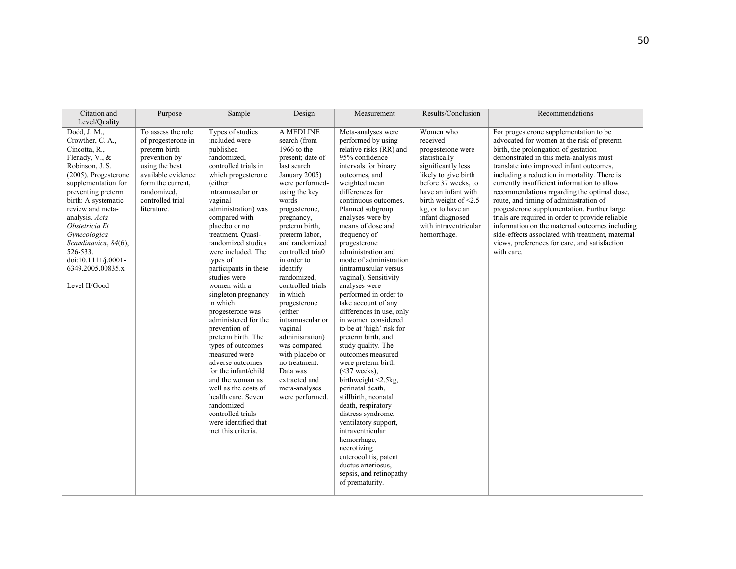| Citation and<br>Level/Quality                                                                                                                                                                                                                                                                                                                                                | Purpose                                                                                                                                                                                   | Sample                                                                                                                                                                                                                                                                                                                                                                                                                                                                                                                                                                                                                                                                                                          | Design                                                                                                                                                                                                                                                                                                                                                                                                                                                                                                                          | Measurement                                                                                                                                                                                                                                                                                                                                                                                                                                                                                                                                                                                                                                                                                                                                                                                                                                                                                                                              | Results/Conclusion                                                                                                                                                                                                                                                     | Recommendations                                                                                                                                                                                                                                                                                                                                                                                                                                                                                                                                                                                                                                                                     |
|------------------------------------------------------------------------------------------------------------------------------------------------------------------------------------------------------------------------------------------------------------------------------------------------------------------------------------------------------------------------------|-------------------------------------------------------------------------------------------------------------------------------------------------------------------------------------------|-----------------------------------------------------------------------------------------------------------------------------------------------------------------------------------------------------------------------------------------------------------------------------------------------------------------------------------------------------------------------------------------------------------------------------------------------------------------------------------------------------------------------------------------------------------------------------------------------------------------------------------------------------------------------------------------------------------------|---------------------------------------------------------------------------------------------------------------------------------------------------------------------------------------------------------------------------------------------------------------------------------------------------------------------------------------------------------------------------------------------------------------------------------------------------------------------------------------------------------------------------------|------------------------------------------------------------------------------------------------------------------------------------------------------------------------------------------------------------------------------------------------------------------------------------------------------------------------------------------------------------------------------------------------------------------------------------------------------------------------------------------------------------------------------------------------------------------------------------------------------------------------------------------------------------------------------------------------------------------------------------------------------------------------------------------------------------------------------------------------------------------------------------------------------------------------------------------|------------------------------------------------------------------------------------------------------------------------------------------------------------------------------------------------------------------------------------------------------------------------|-------------------------------------------------------------------------------------------------------------------------------------------------------------------------------------------------------------------------------------------------------------------------------------------------------------------------------------------------------------------------------------------------------------------------------------------------------------------------------------------------------------------------------------------------------------------------------------------------------------------------------------------------------------------------------------|
| Dodd, $\overline{J}$ . M.,<br>Crowther, C. A.,<br>Cincotta, R.,<br>Flenady, V., &<br>Robinson, J. S.<br>$(2005)$ . Progesterone<br>supplementation for<br>preventing preterm<br>birth: A systematic<br>review and meta-<br>analysis. Acta<br>Obstetricia Et<br>Gynecologica<br>Scandinavica, 84(6),<br>526-533.<br>doi:10.1111/j.0001-<br>6349.2005.00835.x<br>Level II/Good | To assess the role<br>of progesterone in<br>preterm birth<br>prevention by<br>using the best<br>available evidence<br>form the current.<br>randomized,<br>controlled trial<br>literature. | Types of studies<br>included were<br>published<br>randomized,<br>controlled trials in<br>which progesterone<br>(either<br>intramuscular or<br>vaginal<br>administration) was<br>compared with<br>placebo or no<br>treatment. Quasi-<br>randomized studies<br>were included. The<br>types of<br>participants in these<br>studies were<br>women with a<br>singleton pregnancy<br>in which<br>progesterone was<br>administered for the<br>prevention of<br>preterm birth. The<br>types of outcomes<br>measured were<br>adverse outcomes<br>for the infant/child<br>and the woman as<br>well as the costs of<br>health care. Seven<br>randomized<br>controlled trials<br>were identified that<br>met this criteria. | A MEDLINE<br>search (from<br>1966 to the<br>present; date of<br>last search<br>January 2005)<br>were performed-<br>using the key<br>words<br>progesterone,<br>pregnancy,<br>preterm birth.<br>preterm labor,<br>and randomized<br>controlled tria0<br>in order to<br>identify<br>randomized,<br>controlled trials<br>in which<br>progesterone<br>(either<br>intramuscular or<br>vaginal<br>administration)<br>was compared<br>with placebo or<br>no treatment.<br>Data was<br>extracted and<br>meta-analyses<br>were performed. | Meta-analyses were<br>performed by using<br>relative risks (RR) and<br>95% confidence<br>intervals for binary<br>outcomes, and<br>weighted mean<br>differences for<br>continuous outcomes.<br>Planned subgroup<br>analyses were by<br>means of dose and<br>frequency of<br>progesterone<br>administration and<br>mode of administration<br>(intramuscular versus<br>vaginal). Sensitivity<br>analyses were<br>performed in order to<br>take account of any<br>differences in use, only<br>in women considered<br>to be at 'high' risk for<br>preterm birth, and<br>study quality. The<br>outcomes measured<br>were preterm birth<br>$(<37$ weeks),<br>birthweight <2.5kg,<br>perinatal death,<br>stillbirth, neonatal<br>death, respiratory<br>distress syndrome,<br>ventilatory support,<br>intraventricular<br>hemorrhage,<br>necrotizing<br>enterocolitis, patent<br>ductus arteriosus,<br>sepsis, and retinopathy<br>of prematurity. | Women who<br>received<br>progesterone were<br>statistically<br>significantly less<br>likely to give birth<br>before 37 weeks, to<br>have an infant with<br>birth weight of $\leq$ 2.5<br>kg, or to have an<br>infant diagnosed<br>with intraventricular<br>hemorrhage. | For progesterone supplementation to be<br>advocated for women at the risk of preterm<br>birth, the prolongation of gestation<br>demonstrated in this meta-analysis must<br>translate into improved infant outcomes,<br>including a reduction in mortality. There is<br>currently insufficient information to allow<br>recommendations regarding the optimal dose,<br>route, and timing of administration of<br>progesterone supplementation. Further large<br>trials are required in order to provide reliable<br>information on the maternal outcomes including<br>side-effects associated with treatment, maternal<br>views, preferences for care, and satisfaction<br>with care. |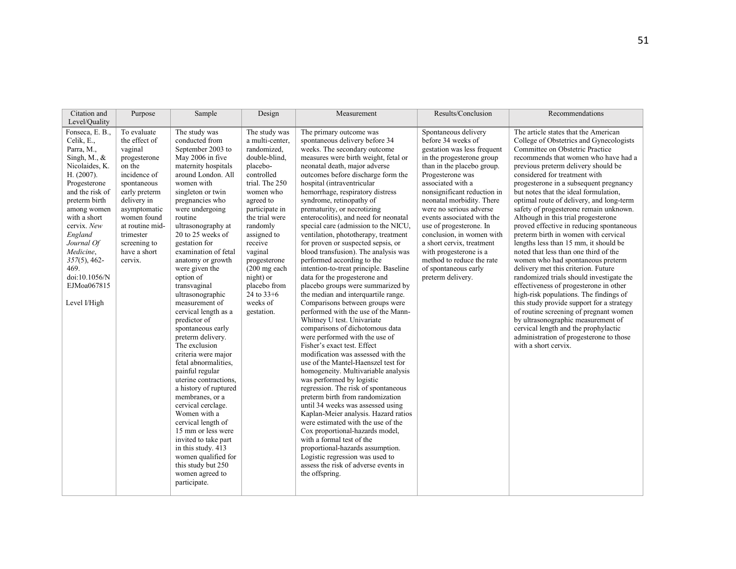| Citation and                                                                                                                                                                                                                                                                                                      | Purpose                                                                                                                                                                                                                                    | Sample                                                                                                                                                                                                                                                                                                                                                                                                                                                                                                                                                                                                                                                                                                                                                                                                                                                            | Design                                                                                                                                                                                                                                                                                                                                        | Measurement                                                                                                                                                                                                                                                                                                                                                                                                                                                                                                                                                                                                                                                                                                                                                                                                                                                                                                                                                                                                                                                                                                                                                                                                                                                                                                                                                                                                                                                                                   | Results/Conclusion                                                                                                                                                                                                                                                                                                                                                                                                                                                                          | Recommendations                                                                                                                                                                                                                                                                                                                                                                                                                                                                                                                                                                                                                                                                                                                                                                                                                                                                                                                                                                                                                                                              |
|-------------------------------------------------------------------------------------------------------------------------------------------------------------------------------------------------------------------------------------------------------------------------------------------------------------------|--------------------------------------------------------------------------------------------------------------------------------------------------------------------------------------------------------------------------------------------|-------------------------------------------------------------------------------------------------------------------------------------------------------------------------------------------------------------------------------------------------------------------------------------------------------------------------------------------------------------------------------------------------------------------------------------------------------------------------------------------------------------------------------------------------------------------------------------------------------------------------------------------------------------------------------------------------------------------------------------------------------------------------------------------------------------------------------------------------------------------|-----------------------------------------------------------------------------------------------------------------------------------------------------------------------------------------------------------------------------------------------------------------------------------------------------------------------------------------------|-----------------------------------------------------------------------------------------------------------------------------------------------------------------------------------------------------------------------------------------------------------------------------------------------------------------------------------------------------------------------------------------------------------------------------------------------------------------------------------------------------------------------------------------------------------------------------------------------------------------------------------------------------------------------------------------------------------------------------------------------------------------------------------------------------------------------------------------------------------------------------------------------------------------------------------------------------------------------------------------------------------------------------------------------------------------------------------------------------------------------------------------------------------------------------------------------------------------------------------------------------------------------------------------------------------------------------------------------------------------------------------------------------------------------------------------------------------------------------------------------|---------------------------------------------------------------------------------------------------------------------------------------------------------------------------------------------------------------------------------------------------------------------------------------------------------------------------------------------------------------------------------------------------------------------------------------------------------------------------------------------|------------------------------------------------------------------------------------------------------------------------------------------------------------------------------------------------------------------------------------------------------------------------------------------------------------------------------------------------------------------------------------------------------------------------------------------------------------------------------------------------------------------------------------------------------------------------------------------------------------------------------------------------------------------------------------------------------------------------------------------------------------------------------------------------------------------------------------------------------------------------------------------------------------------------------------------------------------------------------------------------------------------------------------------------------------------------------|
| Level/Quality                                                                                                                                                                                                                                                                                                     |                                                                                                                                                                                                                                            |                                                                                                                                                                                                                                                                                                                                                                                                                                                                                                                                                                                                                                                                                                                                                                                                                                                                   |                                                                                                                                                                                                                                                                                                                                               |                                                                                                                                                                                                                                                                                                                                                                                                                                                                                                                                                                                                                                                                                                                                                                                                                                                                                                                                                                                                                                                                                                                                                                                                                                                                                                                                                                                                                                                                                               |                                                                                                                                                                                                                                                                                                                                                                                                                                                                                             |                                                                                                                                                                                                                                                                                                                                                                                                                                                                                                                                                                                                                                                                                                                                                                                                                                                                                                                                                                                                                                                                              |
| Fonseca, E. B.,<br>Celik, E.,<br>Parra, M.,<br>Singh, M., $\&$<br>Nicolaides, K.<br>H. (2007).<br>Progesterone<br>and the risk of<br>preterm birth<br>among women<br>with a short<br>cervix. New<br>England<br>Journal Of<br>Medicine,<br>$357(5)$ , 462-<br>469.<br>doi:10.1056/N<br>EJMoa067815<br>Level I/High | To evaluate<br>the effect of<br>vaginal<br>progesterone<br>on the<br>incidence of<br>spontaneous<br>early preterm<br>delivery in<br>asymptomatic<br>women found<br>at routine mid-<br>trimester<br>screening to<br>have a short<br>cervix. | The study was<br>conducted from<br>September 2003 to<br>May 2006 in five<br>maternity hospitals<br>around London. All<br>women with<br>singleton or twin<br>pregnancies who<br>were undergoing<br>routine<br>ultrasonography at<br>20 to 25 weeks of<br>gestation for<br>examination of fetal<br>anatomy or growth<br>were given the<br>option of<br>transvaginal<br>ultrasonographic<br>measurement of<br>cervical length as a<br>predictor of<br>spontaneous early<br>preterm delivery.<br>The exclusion<br>criteria were major<br>fetal abnormalities,<br>painful regular<br>uterine contractions.<br>a history of ruptured<br>membranes, or a<br>cervical cerclage.<br>Women with a<br>cervical length of<br>15 mm or less were<br>invited to take part<br>in this study. 413<br>women qualified for<br>this study but 250<br>women agreed to<br>participate. | The study was<br>a multi-center,<br>randomized,<br>double-blind.<br>placebo-<br>controlled<br>trial. The 250<br>women who<br>agreed to<br>participate in<br>the trial were<br>randomly<br>assigned to<br>receive<br>vaginal<br>progesterone<br>$(200 \text{ mg each})$<br>night) or<br>placebo from<br>24 to $33+6$<br>weeks of<br>gestation. | The primary outcome was<br>spontaneous delivery before 34<br>weeks. The secondary outcome<br>measures were birth weight, fetal or<br>neonatal death, major adverse<br>outcomes before discharge form the<br>hospital (intraventricular<br>hemorrhage, respiratory distress<br>syndrome, retinopathy of<br>prematurity, or necrotizing<br>enterocolitis), and need for neonatal<br>special care (admission to the NICU,<br>ventilation, phototherapy, treatment<br>for proven or suspected sepsis, or<br>blood transfusion). The analysis was<br>performed according to the<br>intention-to-treat principle. Baseline<br>data for the progesterone and<br>placebo groups were summarized by<br>the median and interquartile range.<br>Comparisons between groups were<br>performed with the use of the Mann-<br>Whitney U test. Univariate<br>comparisons of dichotomous data<br>were performed with the use of<br>Fisher's exact test. Effect<br>modification was assessed with the<br>use of the Mantel-Haenszel test for<br>homogeneity. Multivariable analysis<br>was performed by logistic<br>regression. The risk of spontaneous<br>preterm birth from randomization<br>until 34 weeks was assessed using<br>Kaplan-Meier analysis. Hazard ratios<br>were estimated with the use of the<br>Cox proportional-hazards model,<br>with a formal test of the<br>proportional-hazards assumption.<br>Logistic regression was used to<br>assess the risk of adverse events in<br>the offspring. | Spontaneous delivery<br>before 34 weeks of<br>gestation was less frequent<br>in the progesterone group<br>than in the placebo group.<br>Progesterone was<br>associated with a<br>nonsignificant reduction in<br>neonatal morbidity. There<br>were no serious adverse<br>events associated with the<br>use of progesterone. In<br>conclusion, in women with<br>a short cervix, treatment<br>with progesterone is a<br>method to reduce the rate<br>of spontaneous early<br>preterm delivery. | The article states that the American<br>College of Obstetrics and Gynecologists<br>Committee on Obstetric Practice<br>recommends that women who have had a<br>previous preterm delivery should be<br>considered for treatment with<br>progesterone in a subsequent pregnancy<br>but notes that the ideal formulation,<br>optimal route of delivery, and long-term<br>safety of progesterone remain unknown.<br>Although in this trial progesterone<br>proved effective in reducing spontaneous<br>preterm birth in women with cervical<br>lengths less than 15 mm, it should be<br>noted that less than one third of the<br>women who had spontaneous preterm<br>delivery met this criterion. Future<br>randomized trials should investigate the<br>effectiveness of progesterone in other<br>high-risk populations. The findings of<br>this study provide support for a strategy<br>of routine screening of pregnant women<br>by ultrasonographic measurement of<br>cervical length and the prophylactic<br>administration of progesterone to those<br>with a short cervix. |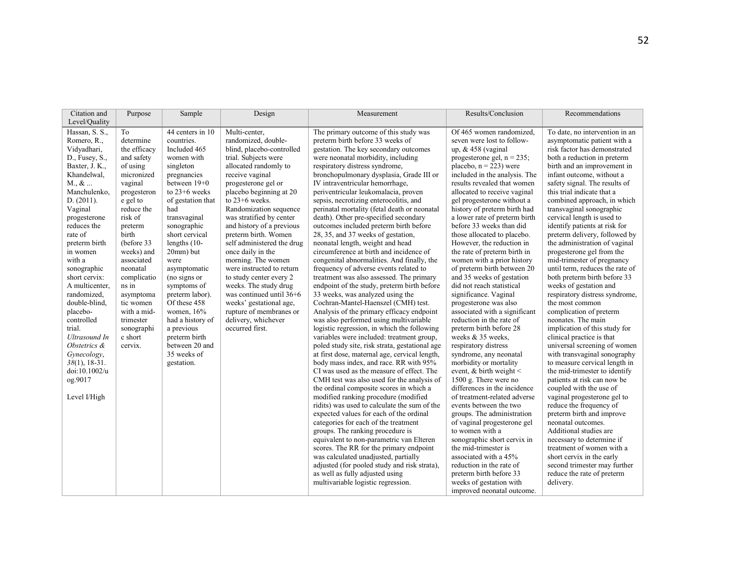| Level/Quality<br>Hassan, S. S.,<br>44 centers in 10<br>Of 465 women randomized.<br>To<br>Multi-center.<br>The primary outcome of this study was<br>countries.<br>randomized, double-<br>preterm birth before 33 weeks of<br>seven were lost to follow-<br>Romero, R.,<br>determine<br>Vidyadhari,<br>the efficacy<br>Included 465<br>blind, placebo-controlled<br>gestation. The key secondary outcomes<br>up, $&458$ (vaginal<br>trial. Subjects were<br>were neonatal morbidity, including<br>progesterone gel, $n = 235$ ;<br>D., Fusey, S.,<br>and safety<br>women with<br>allocated randomly to<br>respiratory distress syndrome,<br>placebo, $n = 223$ ) were<br>Baxter, J. K.,<br>of using<br>singleton<br>infant outcome, without a<br>micronized<br>receive vaginal<br>bronchopulmonary dysplasia, Grade III or<br>included in the analysis. The<br>Khandelwal,<br>pregnancies<br>$M_{\cdot}, \&$<br>between 19+0<br>results revealed that women<br>vaginal<br>progesterone gel or<br>IV intraventricular hemorrhage,<br>Manchulenko.<br>to $23+6$ weeks<br>placebo beginning at 20<br>periventricular leukomalacia, proven<br>allocated to receive vaginal<br>this trial indicate that a<br>progesteron<br>to 23+6 weeks.<br>sepsis, necrotizing enterocolitis, and<br>gel progesterone without a<br>D. (2011).<br>e gel to<br>of gestation that<br>history of preterm birth had<br>reduce the<br>had<br>Randomization sequence<br>perinatal mortality (fetal death or neonatal<br>transvaginal sonographic<br>Vaginal<br>risk of<br>death). Other pre-specified secondary<br>a lower rate of preterm birth<br>cervical length is used to<br>transvaginal<br>was stratified by center<br>progesterone<br>reduces the<br>and history of a previous<br>outcomes included preterm birth before<br>before 33 weeks than did<br>identify patients at risk for<br>sonographic<br>preterm<br>rate of<br>birth<br>short cervical<br>preterm birth. Women<br>28, 35, and 37 weeks of gestation,<br>those allocated to placebo.<br>self administered the drug<br>neonatal length, weight and head<br>(before 33<br>lengths $(10-$<br>However, the reduction in<br>preterm birth<br>20mm) but<br>circumference at birth and incidence of<br>the rate of preterm birth in<br>weeks) and<br>once daily in the<br>progesterone gel from the<br>in women<br>congenital abnormalities. And finally, the<br>women with a prior history<br>with a<br>associated<br>morning. The women<br>were<br>were instructed to return<br>frequency of adverse events related to<br>of preterm birth between 20<br>sonographic<br>neonatal<br>asymptomatic<br>to study center every 2<br>and 35 weeks of gestation<br>short cervix:<br>complicatio<br>(no signs or<br>treatment was also assessed. The primary<br>ns in<br>weeks. The study drug<br>endpoint of the study, preterm birth before<br>did not reach statistical<br>weeks of gestation and<br>A multicenter,<br>symptoms of<br>was continued until 36+6<br>33 weeks, was analyzed using the<br>significance. Vaginal<br>randomized,<br>preterm labor).<br>asymptoma<br>Cochran-Mantel-Haenszel (CMH) test.<br>double-blind,<br>tic women<br>Of these 458<br>weeks' gestational age,<br>progesterone was also<br>the most common<br>Analysis of the primary efficacy endpoint<br>associated with a significant<br>placebo-<br>with a mid-<br>women, 16%<br>rupture of membranes or<br>complication of preterm<br>had a history of<br>delivery, whichever<br>was also performed using multivariable<br>reduction in the rate of<br>neonates. The main<br>controlled<br>trimester<br>trial.<br>occurred first.<br>logistic regression, in which the following<br>preterm birth before 28<br>sonographi<br>a previous<br>c short<br>variables were included: treatment group,<br>weeks & 35 weeks.<br><b>Ultrasound In</b><br>preterm birth<br>clinical practice is that<br>between 20 and<br>Obstetrics &<br>cervix.<br>poled study site, risk strata, gestational age<br>respiratory distress<br>35 weeks of<br>at first dose, maternal age, cervical length,<br>syndrome, any neonatal<br>Gynecology,<br>$38(1)$ , 18-31.<br>body mass index, and race. RR with 95%<br>morbidity or mortality<br>gestation.<br>CI was used as the measure of effect. The<br>doi:10.1002/u<br>event, $&$ birth weight $<$<br>CMH test was also used for the analysis of<br>1500 g. There were no<br>patients at risk can now be<br>og.9017<br>the ordinal composite scores in which a<br>differences in the incidence<br>coupled with the use of<br>modified ranking procedure (modified<br>of treatment-related adverse<br>Level I/High<br>ridits) was used to calculate the sum of the<br>reduce the frequency of<br>events between the two<br>expected values for each of the ordinal<br>groups. The administration<br>preterm birth and improve<br>categories for each of the treatment<br>of vaginal progesterone gel<br>neonatal outcomes.<br>Additional studies are<br>groups. The ranking procedure is<br>to women with a |              |         |        |        |                                                         |                                                       |                                                                                                                                                                                                                                                                                                                                                                                                                                                                                                                                                                                                                                                                                                                                                 |
|---------------------------------------------------------------------------------------------------------------------------------------------------------------------------------------------------------------------------------------------------------------------------------------------------------------------------------------------------------------------------------------------------------------------------------------------------------------------------------------------------------------------------------------------------------------------------------------------------------------------------------------------------------------------------------------------------------------------------------------------------------------------------------------------------------------------------------------------------------------------------------------------------------------------------------------------------------------------------------------------------------------------------------------------------------------------------------------------------------------------------------------------------------------------------------------------------------------------------------------------------------------------------------------------------------------------------------------------------------------------------------------------------------------------------------------------------------------------------------------------------------------------------------------------------------------------------------------------------------------------------------------------------------------------------------------------------------------------------------------------------------------------------------------------------------------------------------------------------------------------------------------------------------------------------------------------------------------------------------------------------------------------------------------------------------------------------------------------------------------------------------------------------------------------------------------------------------------------------------------------------------------------------------------------------------------------------------------------------------------------------------------------------------------------------------------------------------------------------------------------------------------------------------------------------------------------------------------------------------------------------------------------------------------------------------------------------------------------------------------------------------------------------------------------------------------------------------------------------------------------------------------------------------------------------------------------------------------------------------------------------------------------------------------------------------------------------------------------------------------------------------------------------------------------------------------------------------------------------------------------------------------------------------------------------------------------------------------------------------------------------------------------------------------------------------------------------------------------------------------------------------------------------------------------------------------------------------------------------------------------------------------------------------------------------------------------------------------------------------------------------------------------------------------------------------------------------------------------------------------------------------------------------------------------------------------------------------------------------------------------------------------------------------------------------------------------------------------------------------------------------------------------------------------------------------------------------------------------------------------------------------------------------------------------------------------------------------------------------------------------------------------------------------------------------------------------------------------------------------------------------------------------------------------------------------------------------------------------------------------------------------------------------------------------------------------------------------------------------------------------------------------------------------------------------------------------------------------------------------------------------------------------------------------------------------------------------------------------------------------------------------------------------------------------------------|--------------|---------|--------|--------|---------------------------------------------------------|-------------------------------------------------------|-------------------------------------------------------------------------------------------------------------------------------------------------------------------------------------------------------------------------------------------------------------------------------------------------------------------------------------------------------------------------------------------------------------------------------------------------------------------------------------------------------------------------------------------------------------------------------------------------------------------------------------------------------------------------------------------------------------------------------------------------|
|                                                                                                                                                                                                                                                                                                                                                                                                                                                                                                                                                                                                                                                                                                                                                                                                                                                                                                                                                                                                                                                                                                                                                                                                                                                                                                                                                                                                                                                                                                                                                                                                                                                                                                                                                                                                                                                                                                                                                                                                                                                                                                                                                                                                                                                                                                                                                                                                                                                                                                                                                                                                                                                                                                                                                                                                                                                                                                                                                                                                                                                                                                                                                                                                                                                                                                                                                                                                                                                                                                                                                                                                                                                                                                                                                                                                                                                                                                                                                                                                                                                                                                                                                                                                                                                                                                                                                                                                                                                                                                                                                                                                                                                                                                                                                                                                                                                                                                                                                                                                                                                         |              |         |        |        |                                                         |                                                       |                                                                                                                                                                                                                                                                                                                                                                                                                                                                                                                                                                                                                                                                                                                                                 |
| scores. The RR for the primary endpoint<br>the mid-trimester is<br>was calculated unadjusted, partially<br>associated with a 45%<br>short cervix in the early<br>adjusted (for pooled study and risk strata),<br>reduction in the rate of                                                                                                                                                                                                                                                                                                                                                                                                                                                                                                                                                                                                                                                                                                                                                                                                                                                                                                                                                                                                                                                                                                                                                                                                                                                                                                                                                                                                                                                                                                                                                                                                                                                                                                                                                                                                                                                                                                                                                                                                                                                                                                                                                                                                                                                                                                                                                                                                                                                                                                                                                                                                                                                                                                                                                                                                                                                                                                                                                                                                                                                                                                                                                                                                                                                                                                                                                                                                                                                                                                                                                                                                                                                                                                                                                                                                                                                                                                                                                                                                                                                                                                                                                                                                                                                                                                                                                                                                                                                                                                                                                                                                                                                                                                                                                                                                               | Citation and | Purpose | Sample | Design | Measurement<br>equivalent to non-parametric van Elteren | Results/Conclusion<br>sonographic short cervix in     | Recommendations<br>To date, no intervention in an<br>asymptomatic patient with a<br>risk factor has demonstrated<br>both a reduction in preterm<br>birth and an improvement in<br>safety signal. The results of<br>combined approach, in which<br>preterm delivery, followed by<br>the administration of vaginal<br>mid-trimester of pregnancy<br>until term, reduces the rate of<br>both preterm birth before 33<br>respiratory distress syndrome,<br>implication of this study for<br>universal screening of women<br>with transvaginal sonography<br>to measure cervical length in<br>the mid-trimester to identify<br>vaginal progesterone gel to<br>necessary to determine if<br>treatment of women with a<br>second trimester may further |
| as well as fully adjusted using<br>preterm birth before 33<br>reduce the rate of preterm                                                                                                                                                                                                                                                                                                                                                                                                                                                                                                                                                                                                                                                                                                                                                                                                                                                                                                                                                                                                                                                                                                                                                                                                                                                                                                                                                                                                                                                                                                                                                                                                                                                                                                                                                                                                                                                                                                                                                                                                                                                                                                                                                                                                                                                                                                                                                                                                                                                                                                                                                                                                                                                                                                                                                                                                                                                                                                                                                                                                                                                                                                                                                                                                                                                                                                                                                                                                                                                                                                                                                                                                                                                                                                                                                                                                                                                                                                                                                                                                                                                                                                                                                                                                                                                                                                                                                                                                                                                                                                                                                                                                                                                                                                                                                                                                                                                                                                                                                                |              |         |        |        | multivariable logistic regression.                      | weeks of gestation with<br>improved neonatal outcome. | delivery.                                                                                                                                                                                                                                                                                                                                                                                                                                                                                                                                                                                                                                                                                                                                       |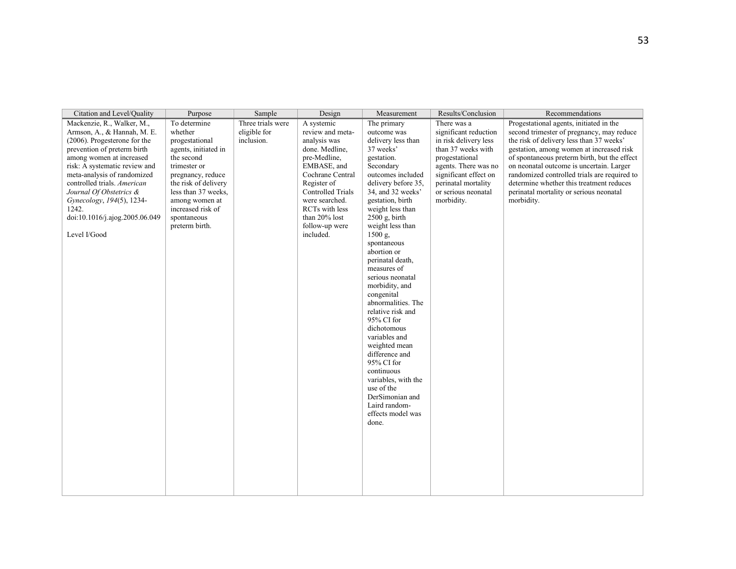| Citation and Level/Quality                                                                                                                                                                                                                                                                                                                                             | Purpose                                                                                                                                                                                                                                     | Sample                                          | Design                                                                                                                                                                                                                                      | Measurement                                                                                                                                                                                                                                                                                                                                                                                                                                                                                                                                                                                                                                | Results/Conclusion                                                                                                                                                                                                 | Recommendations                                                                                                                                                                                                                                                                                                                                                                                                               |
|------------------------------------------------------------------------------------------------------------------------------------------------------------------------------------------------------------------------------------------------------------------------------------------------------------------------------------------------------------------------|---------------------------------------------------------------------------------------------------------------------------------------------------------------------------------------------------------------------------------------------|-------------------------------------------------|---------------------------------------------------------------------------------------------------------------------------------------------------------------------------------------------------------------------------------------------|--------------------------------------------------------------------------------------------------------------------------------------------------------------------------------------------------------------------------------------------------------------------------------------------------------------------------------------------------------------------------------------------------------------------------------------------------------------------------------------------------------------------------------------------------------------------------------------------------------------------------------------------|--------------------------------------------------------------------------------------------------------------------------------------------------------------------------------------------------------------------|-------------------------------------------------------------------------------------------------------------------------------------------------------------------------------------------------------------------------------------------------------------------------------------------------------------------------------------------------------------------------------------------------------------------------------|
| Mackenzie, R., Walker, M.,<br>Armson, A., & Hannah, M. E.<br>(2006). Progesterone for the<br>prevention of preterm birth<br>among women at increased<br>risk: A systematic review and<br>meta-analysis of randomized<br>controlled trials. American<br>Journal Of Obstetrics &<br>Gynecology, 194(5), 1234-<br>1242.<br>doi:10.1016/j.ajog.2005.06.049<br>Level I/Good | To determine<br>whether<br>progestational<br>agents, initiated in<br>the second<br>trimester or<br>pregnancy, reduce<br>the risk of delivery<br>less than 37 weeks.<br>among women at<br>increased risk of<br>spontaneous<br>preterm birth. | Three trials were<br>eligible for<br>inclusion. | A systemic<br>review and meta-<br>analysis was<br>done. Medline.<br>pre-Medline,<br>EMBASE, and<br>Cochrane Central<br>Register of<br>Controlled Trials<br>were searched.<br>RCTs with less<br>than 20% lost<br>follow-up were<br>included. | The primary<br>outcome was<br>delivery less than<br>37 weeks'<br>gestation.<br>Secondary<br>outcomes included<br>delivery before 35.<br>34, and 32 weeks'<br>gestation, birth<br>weight less than<br>$2500$ g, birth<br>weight less than<br>$1500 g$ ,<br>spontaneous<br>abortion or<br>perinatal death,<br>measures of<br>serious neonatal<br>morbidity, and<br>congenital<br>abnormalities. The<br>relative risk and<br>95% CI for<br>dichotomous<br>variables and<br>weighted mean<br>difference and<br>95% CI for<br>continuous<br>variables, with the<br>use of the<br>DerSimonian and<br>Laird random-<br>effects model was<br>done. | There was a<br>significant reduction<br>in risk delivery less<br>than 37 weeks with<br>progestational<br>agents. There was no<br>significant effect on<br>perinatal mortality<br>or serious neonatal<br>morbidity. | Progestational agents, initiated in the<br>second trimester of pregnancy, may reduce<br>the risk of delivery less than 37 weeks'<br>gestation, among women at increased risk<br>of spontaneous preterm birth, but the effect<br>on neonatal outcome is uncertain. Larger<br>randomized controlled trials are required to<br>determine whether this treatment reduces<br>perinatal mortality or serious neonatal<br>morbidity. |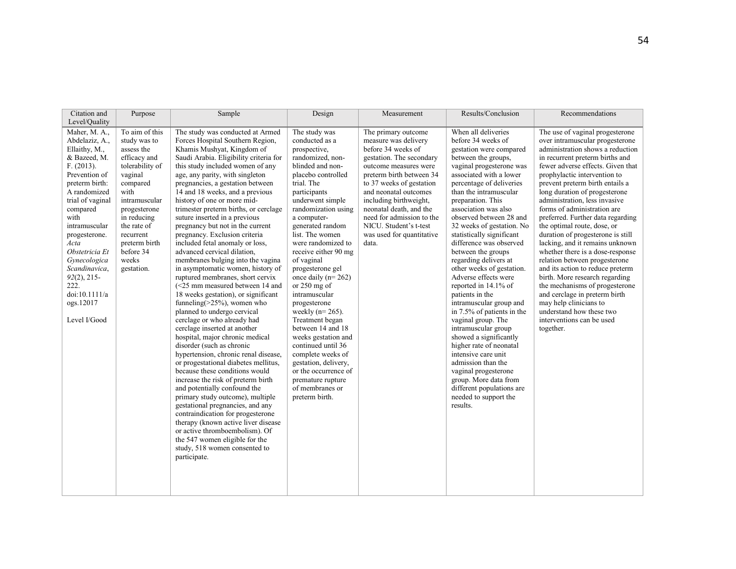| Citation and                                                                                                                                                                                                                                                                                                                                  |                                                                                                                                                                                                                                                 |                                                                                                                                                                                                                                                                                                                                                                                                                                                                                                                                                                                                                                                                                                                                                                                                                                                                                                                                                                                                                                                                                                                                                                                                                                                                                                                                                                                                       |                                                                                                                                                                                                                                                                                                                                                                                                                                                                                                                                                                                                                                                      |                                                                                                                                                                                                                                                                                                                                                           | Results/Conclusion                                                                                                                                                                                                                                                                                                                                                                                                                                                                                                                                                                                                                                                                                                                                                                                                                              | Recommendations                                                                                                                                                                                                                                                                                                                                                                                                                                                                                                                                                                                                                                                                                                                                                                                              |
|-----------------------------------------------------------------------------------------------------------------------------------------------------------------------------------------------------------------------------------------------------------------------------------------------------------------------------------------------|-------------------------------------------------------------------------------------------------------------------------------------------------------------------------------------------------------------------------------------------------|-------------------------------------------------------------------------------------------------------------------------------------------------------------------------------------------------------------------------------------------------------------------------------------------------------------------------------------------------------------------------------------------------------------------------------------------------------------------------------------------------------------------------------------------------------------------------------------------------------------------------------------------------------------------------------------------------------------------------------------------------------------------------------------------------------------------------------------------------------------------------------------------------------------------------------------------------------------------------------------------------------------------------------------------------------------------------------------------------------------------------------------------------------------------------------------------------------------------------------------------------------------------------------------------------------------------------------------------------------------------------------------------------------|------------------------------------------------------------------------------------------------------------------------------------------------------------------------------------------------------------------------------------------------------------------------------------------------------------------------------------------------------------------------------------------------------------------------------------------------------------------------------------------------------------------------------------------------------------------------------------------------------------------------------------------------------|-----------------------------------------------------------------------------------------------------------------------------------------------------------------------------------------------------------------------------------------------------------------------------------------------------------------------------------------------------------|-------------------------------------------------------------------------------------------------------------------------------------------------------------------------------------------------------------------------------------------------------------------------------------------------------------------------------------------------------------------------------------------------------------------------------------------------------------------------------------------------------------------------------------------------------------------------------------------------------------------------------------------------------------------------------------------------------------------------------------------------------------------------------------------------------------------------------------------------|--------------------------------------------------------------------------------------------------------------------------------------------------------------------------------------------------------------------------------------------------------------------------------------------------------------------------------------------------------------------------------------------------------------------------------------------------------------------------------------------------------------------------------------------------------------------------------------------------------------------------------------------------------------------------------------------------------------------------------------------------------------------------------------------------------------|
| Level/Quality                                                                                                                                                                                                                                                                                                                                 | Purpose                                                                                                                                                                                                                                         | Sample                                                                                                                                                                                                                                                                                                                                                                                                                                                                                                                                                                                                                                                                                                                                                                                                                                                                                                                                                                                                                                                                                                                                                                                                                                                                                                                                                                                                | Design                                                                                                                                                                                                                                                                                                                                                                                                                                                                                                                                                                                                                                               | Measurement                                                                                                                                                                                                                                                                                                                                               |                                                                                                                                                                                                                                                                                                                                                                                                                                                                                                                                                                                                                                                                                                                                                                                                                                                 |                                                                                                                                                                                                                                                                                                                                                                                                                                                                                                                                                                                                                                                                                                                                                                                                              |
| Maher, M. A.,<br>Abdelaziz, A.,<br>Ellaithy, M.,<br>& Bazeed, M.<br>F. (2013).<br>Prevention of<br>preterm birth:<br>A randomized<br>trial of vaginal<br>compared<br>with<br>intramuscular<br>progesterone.<br>Acta<br>Obstetricia Et<br>Gynecologica<br>Scandinavica,<br>$92(2), 215-$<br>222.<br>doi:10.1111/a<br>ogs.12017<br>Level I/Good | To aim of this<br>study was to<br>assess the<br>efficacy and<br>tolerability of<br>vaginal<br>compared<br>with<br>intramuscular<br>progesterone<br>in reducing<br>the rate of<br>recurrent<br>preterm birth<br>before 34<br>weeks<br>gestation. | The study was conducted at Armed<br>Forces Hospital Southern Region,<br>Khamis Mushyat, Kingdom of<br>Saudi Arabia. Eligibility criteria for<br>this study included women of any<br>age, any parity, with singleton<br>pregnancies, a gestation between<br>14 and 18 weeks, and a previous<br>history of one or more mid-<br>trimester preterm births, or cerclage<br>suture inserted in a previous<br>pregnancy but not in the current<br>pregnancy. Exclusion criteria<br>included fetal anomaly or loss,<br>advanced cervical dilation,<br>membranes bulging into the vagina<br>in asymptomatic women, history of<br>ruptured membranes, short cervix<br>$(<25$ mm measured between 14 and<br>18 weeks gestation), or significant<br>funneling $($ >25%), women who<br>planned to undergo cervical<br>cerclage or who already had<br>cerclage inserted at another<br>hospital, major chronic medical<br>disorder (such as chronic<br>hypertension, chronic renal disease,<br>or progestational diabetes mellitus,<br>because these conditions would<br>increase the risk of preterm birth<br>and potentially confound the<br>primary study outcome), multiple<br>gestational pregnancies, and any<br>contraindication for progesterone<br>therapy (known active liver disease<br>or active thromboembolism). Of<br>the 547 women eligible for the<br>study, 518 women consented to<br>participate. | The study was<br>conducted as a<br>prospective,<br>randomized, non-<br>blinded and non-<br>placebo controlled<br>trial. The<br>participants<br>underwent simple<br>randomization using<br>a computer-<br>generated random<br>list. The women<br>were randomized to<br>receive either 90 mg<br>of vaginal<br>progesterone gel<br>once daily ( $n=262$ )<br>or $250$ mg of<br>intramuscular<br>progesterone<br>weekly ( $n=265$ ).<br>Treatment began<br>between 14 and 18<br>weeks gestation and<br>continued until 36<br>complete weeks of<br>gestation, delivery,<br>or the occurrence of<br>premature rupture<br>of membranes or<br>preterm birth. | The primary outcome<br>measure was delivery<br>before 34 weeks of<br>gestation. The secondary<br>outcome measures were<br>preterm birth between 34<br>to 37 weeks of gestation<br>and neonatal outcomes<br>including birthweight,<br>neonatal death, and the<br>need for admission to the<br>NICU. Student's t-test<br>was used for quantitative<br>data. | When all deliveries<br>before 34 weeks of<br>gestation were compared<br>between the groups.<br>vaginal progesterone was<br>associated with a lower<br>percentage of deliveries<br>than the intramuscular<br>preparation. This<br>association was also<br>observed between 28 and<br>32 weeks of gestation. No<br>statistically significant<br>difference was observed<br>between the groups<br>regarding delivers at<br>other weeks of gestation.<br>Adverse effects were<br>reported in 14.1% of<br>patients in the<br>intramuscular group and<br>in 7.5% of patients in the<br>vaginal group. The<br>intramuscular group<br>showed a significantly<br>higher rate of neonatal<br>intensive care unit<br>admission than the<br>vaginal progesterone<br>group. More data from<br>different populations are<br>needed to support the<br>results. | The use of vaginal progesterone<br>over intramuscular progesterone<br>administration shows a reduction<br>in recurrent preterm births and<br>fewer adverse effects. Given that<br>prophylactic intervention to<br>prevent preterm birth entails a<br>long duration of progesterone<br>administration, less invasive<br>forms of administration are<br>preferred. Further data regarding<br>the optimal route, dose, or<br>duration of progesterone is still<br>lacking, and it remains unknown<br>whether there is a dose-response<br>relation between progesterone<br>and its action to reduce preterm<br>birth. More research regarding<br>the mechanisms of progesterone<br>and cerclage in preterm birth<br>may help clinicians to<br>understand how these two<br>interventions can be used<br>together. |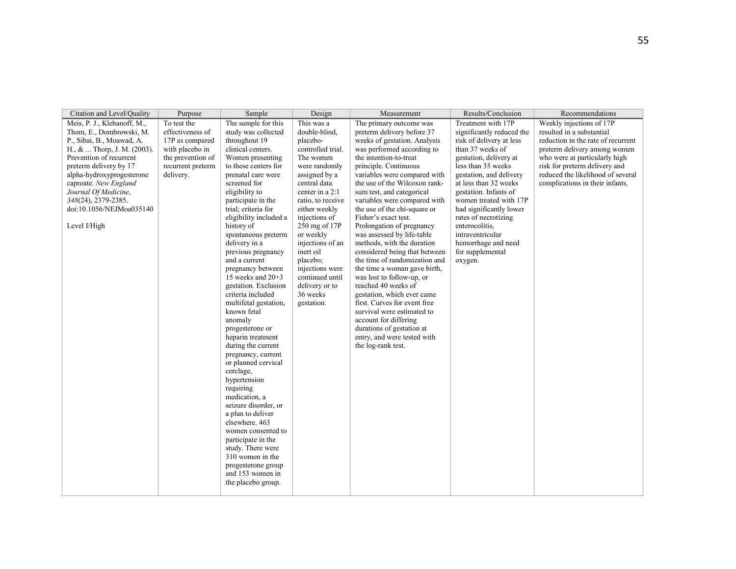| Citation and Level/Quality                                                                                                                                                                                                                                                                                                            | Purpose                                                                                                                      | Sample                                                                                                                                                                                                                                                                                                                                                                                                                                                                                                                                                                                                                                                                                                                                                                                                                                                                                       | Design                                                                                                                                                                                                                                                                                                                                                             | Measurement                                                                                                                                                                                                                                                                                                                                                                                                                                                                                                                                                                                                                                                                                                                                                                                                        | Results/Conclusion                                                                                                                                                                                                                                                                                                                                                                                    | Recommendations                                                                                                                                                                                                                                                       |
|---------------------------------------------------------------------------------------------------------------------------------------------------------------------------------------------------------------------------------------------------------------------------------------------------------------------------------------|------------------------------------------------------------------------------------------------------------------------------|----------------------------------------------------------------------------------------------------------------------------------------------------------------------------------------------------------------------------------------------------------------------------------------------------------------------------------------------------------------------------------------------------------------------------------------------------------------------------------------------------------------------------------------------------------------------------------------------------------------------------------------------------------------------------------------------------------------------------------------------------------------------------------------------------------------------------------------------------------------------------------------------|--------------------------------------------------------------------------------------------------------------------------------------------------------------------------------------------------------------------------------------------------------------------------------------------------------------------------------------------------------------------|--------------------------------------------------------------------------------------------------------------------------------------------------------------------------------------------------------------------------------------------------------------------------------------------------------------------------------------------------------------------------------------------------------------------------------------------------------------------------------------------------------------------------------------------------------------------------------------------------------------------------------------------------------------------------------------------------------------------------------------------------------------------------------------------------------------------|-------------------------------------------------------------------------------------------------------------------------------------------------------------------------------------------------------------------------------------------------------------------------------------------------------------------------------------------------------------------------------------------------------|-----------------------------------------------------------------------------------------------------------------------------------------------------------------------------------------------------------------------------------------------------------------------|
| Meis, P. J., Klebanoff, M.,<br>Thom, E., Dombrowski, M.<br>P., Sibai, B., Moawad, A.<br>$H_{\cdot}$ , $\&$ Thorp, J. M. (2003).<br>Prevention of recurrent<br>preterm delivery by 17<br>alpha-hydroxyprogesterone<br>caproate. New England<br>Journal Of Medicine,<br>348(24), 2379-2385.<br>doi:10.1056/NEJMoa035140<br>Level I/High | To test the<br>effectiveness of<br>17P as compared<br>with placebo in<br>the prevention of<br>recurrent preterm<br>delivery. | The sample for this<br>study was collected<br>throughout 19<br>clinical centers.<br>Women presenting<br>to these centers for<br>prenatal care were<br>screened for<br>eligibility to<br>participate in the<br>trial: criteria for<br>eligibility included a<br>history of<br>spontaneous preterm<br>delivery in a<br>previous pregnancy<br>and a current<br>pregnancy between<br>15 weeks and 20+3<br>gestation. Exclusion<br>criteria included<br>multifetal gestation,<br>known fetal<br>anomaly<br>progesterone or<br>heparin treatment<br>during the current<br>pregnancy, current<br>or planned cervical<br>cerclage,<br>hypertension<br>requiring<br>medication, a<br>seizure disorder, or<br>a plan to deliver<br>elsewhere, 463<br>women consented to<br>participate in the<br>study. There were<br>310 women in the<br>progesterone group<br>and 153 women in<br>the placebo group. | This was a<br>double-blind,<br>placebo-<br>controlled trial.<br>The women<br>were randomly<br>assigned by a<br>central data<br>center in a 2:1<br>ratio, to receive<br>either weekly<br>injections of<br>250 mg of 17P<br>or weekly<br>injections of an<br>inert oil<br>placebo;<br>injections were<br>continued until<br>delivery or to<br>36 weeks<br>gestation. | The primary outcome was<br>preterm delivery before 37<br>weeks of gestation. Analysis<br>was performed according to<br>the intention-to-treat<br>principle. Continuous<br>variables were compared with<br>the use of the Wilcoxon rank-<br>sum test, and categorical<br>variables were compared with<br>the use of the chi-square or<br>Fisher's exact test.<br>Prolongation of pregnancy<br>was assessed by life-table<br>methods, with the duration<br>considered being that between<br>the time of randomization and<br>the time a woman gave birth,<br>was lost to follow-up, or<br>reached 40 weeks of<br>gestation, which ever came<br>first. Curves for event free<br>survival were estimated to<br>account for differing<br>durations of gestation at<br>entry, and were tested with<br>the log-rank test. | Treatment with 17P<br>significantly reduced the<br>risk of delivery at less<br>than 37 weeks of<br>gestation, delivery at<br>less than 35 weeks<br>gestation, and delivery<br>at less than 32 weeks<br>gestation. Infants of<br>women treated with 17P<br>had significantly lower<br>rates of necrotizing<br>enterocolitis.<br>intraventricular<br>hemorrhage and need<br>for supplemental<br>oxygen. | Weekly injections of 17P<br>resulted in a substantial<br>reduction in the rate of recurrent<br>preterm delivery among women<br>who were at particularly high<br>risk for preterm delivery and<br>reduced the likelihood of several<br>complications in their infants. |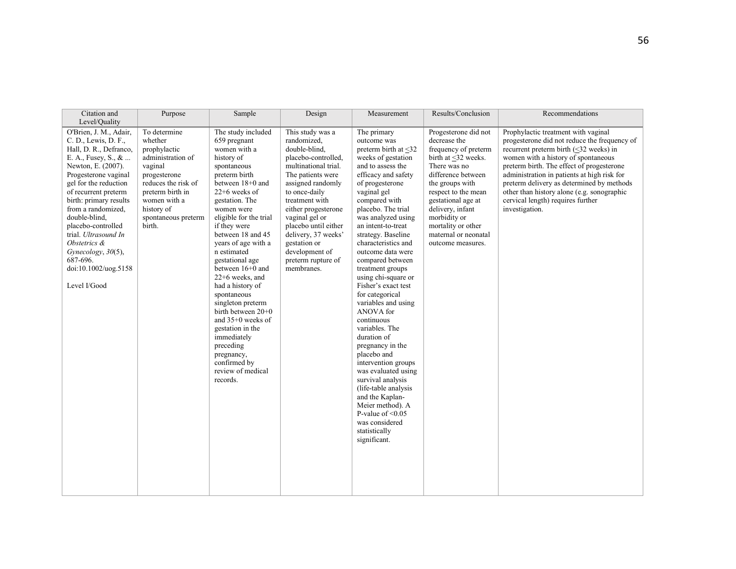| Citation and<br>Level/Quality                                                                                                                                                                                                                                                                                                                                                                           | Purpose                                                                                                                                                                                           | Sample                                                                                                                                                                                                                                                                                                                                                                                                                                                                                                                                                   | Design                                                                                                                                                                                                                                                                                                                                     | Measurement                                                                                                                                                                                                                                                                                                                                                                                                                                                                                                                                                                                                                                                                                                                                                | Results/Conclusion                                                                                                                                                                                                                                                                               | Recommendations                                                                                                                                                                                                                                                                                                                                                                                                          |
|---------------------------------------------------------------------------------------------------------------------------------------------------------------------------------------------------------------------------------------------------------------------------------------------------------------------------------------------------------------------------------------------------------|---------------------------------------------------------------------------------------------------------------------------------------------------------------------------------------------------|----------------------------------------------------------------------------------------------------------------------------------------------------------------------------------------------------------------------------------------------------------------------------------------------------------------------------------------------------------------------------------------------------------------------------------------------------------------------------------------------------------------------------------------------------------|--------------------------------------------------------------------------------------------------------------------------------------------------------------------------------------------------------------------------------------------------------------------------------------------------------------------------------------------|------------------------------------------------------------------------------------------------------------------------------------------------------------------------------------------------------------------------------------------------------------------------------------------------------------------------------------------------------------------------------------------------------------------------------------------------------------------------------------------------------------------------------------------------------------------------------------------------------------------------------------------------------------------------------------------------------------------------------------------------------------|--------------------------------------------------------------------------------------------------------------------------------------------------------------------------------------------------------------------------------------------------------------------------------------------------|--------------------------------------------------------------------------------------------------------------------------------------------------------------------------------------------------------------------------------------------------------------------------------------------------------------------------------------------------------------------------------------------------------------------------|
| O'Brien, J. M., Adair,<br>C. D., Lewis, D. F.,<br>Hall, D. R., Defranco,<br>E. A., Fusey, S., &<br>Newton, E. (2007).<br>Progesterone vaginal<br>gel for the reduction<br>of recurrent preterm<br>birth: primary results<br>from a randomized.<br>double-blind,<br>placebo-controlled<br>trial. Ultrasound In<br>Obstetrics &<br>Gynecology, 30(5),<br>687-696.<br>doi:10.1002/uog.5158<br>Level I/Good | To determine<br>whether<br>prophylactic<br>administration of<br>vaginal<br>progesterone<br>reduces the risk of<br>preterm birth in<br>women with a<br>history of<br>spontaneous preterm<br>birth. | The study included<br>659 pregnant<br>women with a<br>history of<br>spontaneous<br>preterm birth<br>between 18+0 and<br>$22+6$ weeks of<br>gestation. The<br>women were<br>eligible for the trial<br>if they were<br>between 18 and 45<br>years of age with a<br>n estimated<br>gestational age<br>between 16+0 and<br>22+6 weeks, and<br>had a history of<br>spontaneous<br>singleton preterm<br>birth between 20+0<br>and 35+0 weeks of<br>gestation in the<br>immediately<br>preceding<br>pregnancy,<br>confirmed by<br>review of medical<br>records. | This study was a<br>randomized,<br>double-blind,<br>placebo-controlled,<br>multinational trial.<br>The patients were<br>assigned randomly<br>to once-daily<br>treatment with<br>either progesterone<br>vaginal gel or<br>placebo until either<br>delivery, 37 weeks'<br>gestation or<br>development of<br>preterm rupture of<br>membranes. | The primary<br>outcome was<br>preterm birth at <32<br>weeks of gestation<br>and to assess the<br>efficacy and safety<br>of progesterone<br>vaginal gel<br>compared with<br>placebo. The trial<br>was analyzed using<br>an intent-to-treat<br>strategy. Baseline<br>characteristics and<br>outcome data were<br>compared between<br>treatment groups<br>using chi-square or<br>Fisher's exact test<br>for categorical<br>variables and using<br>ANOVA for<br>continuous<br>variables. The<br>duration of<br>pregnancy in the<br>placebo and<br>intervention groups<br>was evaluated using<br>survival analysis<br>(life-table analysis)<br>and the Kaplan-<br>Meier method). A<br>P-value of $\leq 0.05$<br>was considered<br>statistically<br>significant. | Progesterone did not<br>decrease the<br>frequency of preterm<br>birth at <32 weeks.<br>There was no<br>difference between<br>the groups with<br>respect to the mean<br>gestational age at<br>delivery, infant<br>morbidity or<br>mortality or other<br>maternal or neonatal<br>outcome measures. | Prophylactic treatment with vaginal<br>progesterone did not reduce the frequency of<br>recurrent preterm birth $(\leq 32$ weeks) in<br>women with a history of spontaneous<br>preterm birth. The effect of progesterone<br>administration in patients at high risk for<br>preterm delivery as determined by methods<br>other than history alone (e.g. sonographic<br>cervical length) requires further<br>investigation. |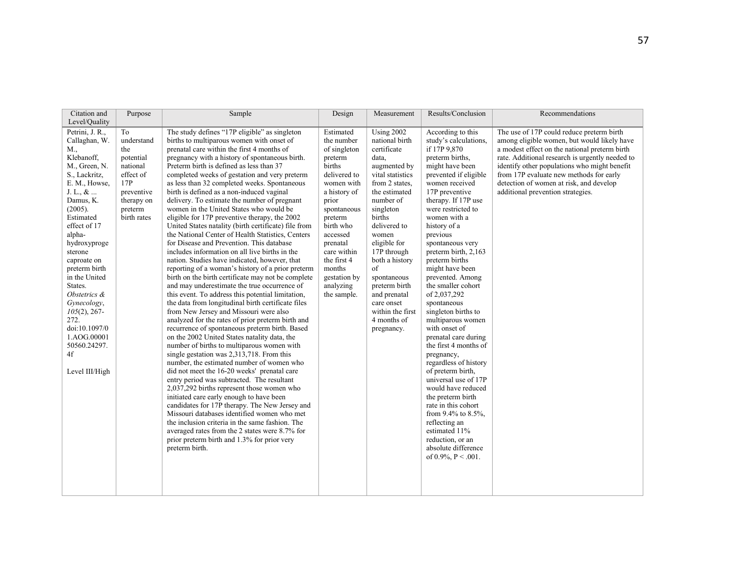| Citation and<br>Level/Quality                                                                                                                                                                                                                                                                                                                                                                                   | Purpose                                                                                                                    | Sample                                                                                                                                                                                                                                                                                                                                                                                                                                                                                                                                                                                                                                                                                                                                                                                                                                                                                                                                                                                                                                                                                                                                                                                                                                                                                                                                                                                                                                                                                                                                                                                                                                                                                                                                                                                                                                                                     | Design                                                                                                                                                                                                                                                                 | Measurement                                                                                                                                                                                                                                                                                                                                                           | Results/Conclusion                                                                                                                                                                                                                                                                                                                                                                                                                                                                                                                                                                                                                                                                                                                                                                                                          | Recommendations                                                                                                                                                                                                                                                                                                                                                         |
|-----------------------------------------------------------------------------------------------------------------------------------------------------------------------------------------------------------------------------------------------------------------------------------------------------------------------------------------------------------------------------------------------------------------|----------------------------------------------------------------------------------------------------------------------------|----------------------------------------------------------------------------------------------------------------------------------------------------------------------------------------------------------------------------------------------------------------------------------------------------------------------------------------------------------------------------------------------------------------------------------------------------------------------------------------------------------------------------------------------------------------------------------------------------------------------------------------------------------------------------------------------------------------------------------------------------------------------------------------------------------------------------------------------------------------------------------------------------------------------------------------------------------------------------------------------------------------------------------------------------------------------------------------------------------------------------------------------------------------------------------------------------------------------------------------------------------------------------------------------------------------------------------------------------------------------------------------------------------------------------------------------------------------------------------------------------------------------------------------------------------------------------------------------------------------------------------------------------------------------------------------------------------------------------------------------------------------------------------------------------------------------------------------------------------------------------|------------------------------------------------------------------------------------------------------------------------------------------------------------------------------------------------------------------------------------------------------------------------|-----------------------------------------------------------------------------------------------------------------------------------------------------------------------------------------------------------------------------------------------------------------------------------------------------------------------------------------------------------------------|-----------------------------------------------------------------------------------------------------------------------------------------------------------------------------------------------------------------------------------------------------------------------------------------------------------------------------------------------------------------------------------------------------------------------------------------------------------------------------------------------------------------------------------------------------------------------------------------------------------------------------------------------------------------------------------------------------------------------------------------------------------------------------------------------------------------------------|-------------------------------------------------------------------------------------------------------------------------------------------------------------------------------------------------------------------------------------------------------------------------------------------------------------------------------------------------------------------------|
| Petrini, J. R.,<br>Callaghan, W.<br>M.,<br>Klebanoff,<br>M., Green, N.<br>S., Lackritz,<br>E. M., Howse,<br>J. L., $\&$<br>Damus, K.<br>(2005).<br>Estimated<br>effect of 17<br>alpha-<br>hydroxyproge<br>sterone<br>caproate on<br>preterm birth<br>in the United<br>States.<br>Obstetrics &<br>Gynecology,<br>$105(2)$ , 267-<br>272.<br>doi:10.1097/0<br>1.AOG.00001<br>50560.24297.<br>4f<br>Level III/High | To<br>understand<br>the<br>potential<br>national<br>effect of<br>17P<br>preventive<br>therapy on<br>preterm<br>birth rates | The study defines "17P eligible" as singleton<br>births to multiparous women with onset of<br>prenatal care within the first 4 months of<br>pregnancy with a history of spontaneous birth.<br>Preterm birth is defined as less than 37<br>completed weeks of gestation and very preterm<br>as less than 32 completed weeks. Spontaneous<br>birth is defined as a non-induced vaginal<br>delivery. To estimate the number of pregnant<br>women in the United States who would be<br>eligible for 17P preventive therapy, the 2002<br>United States natality (birth certificate) file from<br>the National Center of Health Statistics, Centers<br>for Disease and Prevention. This database<br>includes information on all live births in the<br>nation. Studies have indicated, however, that<br>reporting of a woman's history of a prior preterm<br>birth on the birth certificate may not be complete<br>and may underestimate the true occurrence of<br>this event. To address this potential limitation,<br>the data from longitudinal birth certificate files<br>from New Jersey and Missouri were also<br>analyzed for the rates of prior preterm birth and<br>recurrence of spontaneous preterm birth. Based<br>on the 2002 United States natality data, the<br>number of births to multiparous women with<br>single gestation was 2,313,718. From this<br>number, the estimated number of women who<br>did not meet the 16-20 weeks' prenatal care<br>entry period was subtracted. The resultant<br>2,037,292 births represent those women who<br>initiated care early enough to have been<br>candidates for 17P therapy. The New Jersey and<br>Missouri databases identified women who met<br>the inclusion criteria in the same fashion. The<br>averaged rates from the 2 states were 8.7% for<br>prior preterm birth and 1.3% for prior very<br>preterm birth. | Estimated<br>the number<br>of singleton<br>preterm<br>births<br>delivered to<br>women with<br>a history of<br>prior<br>spontaneous<br>preterm<br>birth who<br>accessed<br>prenatal<br>care within<br>the first 4<br>months<br>gestation by<br>analyzing<br>the sample. | <b>Using 2002</b><br>national birth<br>certificate<br>data,<br>augmented by<br>vital statistics<br>from 2 states.<br>the estimated<br>number of<br>singleton<br>births<br>delivered to<br>women<br>eligible for<br>17P through<br>both a history<br>of<br>spontaneous<br>preterm birth<br>and prenatal<br>care onset<br>within the first<br>4 months of<br>pregnancy. | According to this<br>study's calculations.<br>if 17P 9,870<br>preterm births.<br>might have been<br>prevented if eligible<br>women received<br>17P preventive<br>therapy. If 17P use<br>were restricted to<br>women with a<br>history of a<br>previous<br>spontaneous very<br>preterm birth, 2,163<br>preterm births<br>might have been<br>prevented. Among<br>the smaller cohort<br>of 2,037,292<br>spontaneous<br>singleton births to<br>multiparous women<br>with onset of<br>prenatal care during<br>the first 4 months of<br>pregnancy,<br>regardless of history<br>of preterm birth,<br>universal use of 17P<br>would have reduced<br>the preterm birth<br>rate in this cohort<br>from $9.4\%$ to $8.5\%$ ,<br>reflecting an<br>estimated 11%<br>reduction, or an<br>absolute difference<br>of $0.9\%$ , $P < .001$ . | The use of 17P could reduce preterm birth<br>among eligible women, but would likely have<br>a modest effect on the national preterm birth<br>rate. Additional research is urgently needed to<br>identify other populations who might benefit<br>from 17P evaluate new methods for early<br>detection of women at risk, and develop<br>additional prevention strategies. |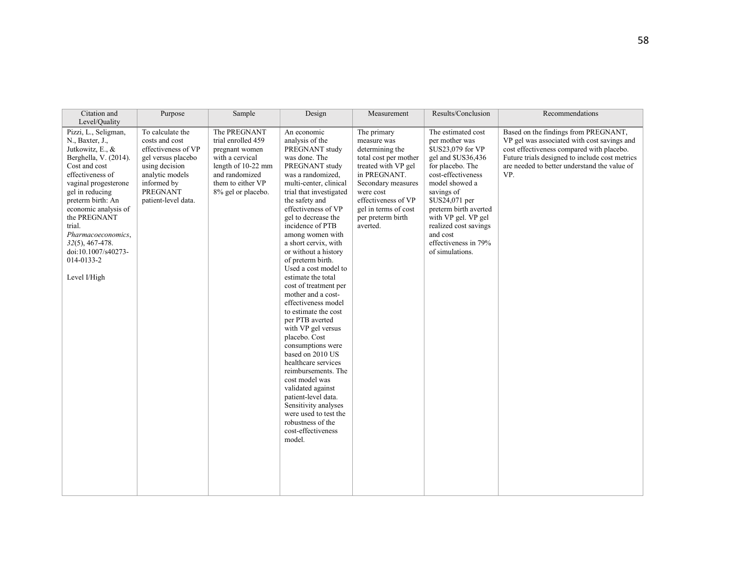| Citation and<br>Level/Quality                                                                                                                                                                                                                                                                                                                | Purpose                                                                                                                                                                       | Sample                                                                                                                                                     | Design                                                                                                                                                                                                                                                                                                                                                                                                                                                                                                                                                                                                                                                                                                                                                                                                      | Measurement                                                                                                                                                                                                                      | Results/Conclusion                                                                                                                                                                                                                                                                                          | Recommendations                                                                                                                                                                                                                           |
|----------------------------------------------------------------------------------------------------------------------------------------------------------------------------------------------------------------------------------------------------------------------------------------------------------------------------------------------|-------------------------------------------------------------------------------------------------------------------------------------------------------------------------------|------------------------------------------------------------------------------------------------------------------------------------------------------------|-------------------------------------------------------------------------------------------------------------------------------------------------------------------------------------------------------------------------------------------------------------------------------------------------------------------------------------------------------------------------------------------------------------------------------------------------------------------------------------------------------------------------------------------------------------------------------------------------------------------------------------------------------------------------------------------------------------------------------------------------------------------------------------------------------------|----------------------------------------------------------------------------------------------------------------------------------------------------------------------------------------------------------------------------------|-------------------------------------------------------------------------------------------------------------------------------------------------------------------------------------------------------------------------------------------------------------------------------------------------------------|-------------------------------------------------------------------------------------------------------------------------------------------------------------------------------------------------------------------------------------------|
| Pizzi, L., Seligman,<br>N., Baxter, J.,<br>Jutkowitz, E., &<br>Berghella, V. (2014).<br>Cost and cost<br>effectiveness of<br>vaginal progesterone<br>gel in reducing<br>preterm birth: An<br>economic analysis of<br>the PREGNANT<br>trial.<br>Pharmacoeconomics,<br>$32(5)$ , 467-478.<br>doi:10.1007/s40273-<br>014-0133-2<br>Level I/High | To calculate the<br>costs and cost<br>effectiveness of VP<br>gel versus placebo<br>using decision<br>analytic models<br>informed by<br><b>PREGNANT</b><br>patient-level data. | The PREGNANT<br>trial enrolled 459<br>pregnant women<br>with a cervical<br>length of 10-22 mm<br>and randomized<br>them to either VP<br>8% gel or placebo. | An economic<br>analysis of the<br>PREGNANT study<br>was done. The<br>PREGNANT study<br>was a randomized.<br>multi-center, clinical<br>trial that investigated<br>the safety and<br>effectiveness of VP<br>gel to decrease the<br>incidence of PTB<br>among women with<br>a short cervix, with<br>or without a history<br>of preterm birth.<br>Used a cost model to<br>estimate the total<br>cost of treatment per<br>mother and a cost-<br>effectiveness model<br>to estimate the cost<br>per PTB averted<br>with VP gel versus<br>placebo. Cost<br>consumptions were<br>based on 2010 US<br>healthcare services<br>reimbursements. The<br>cost model was<br>validated against<br>patient-level data.<br>Sensitivity analyses<br>were used to test the<br>robustness of the<br>cost-effectiveness<br>model. | The primary<br>measure was<br>determining the<br>total cost per mother<br>treated with VP gel<br>in PREGNANT.<br>Secondary measures<br>were cost<br>effectiveness of VP<br>gel in terms of cost<br>per preterm birth<br>averted. | The estimated cost<br>per mother was<br>\$US23,079 for VP<br>gel and \$US36,436<br>for placebo. The<br>cost-effectiveness<br>model showed a<br>savings of<br>\$US24,071 per<br>preterm birth averted<br>with VP gel. VP gel<br>realized cost savings<br>and cost<br>effectiveness in 79%<br>of simulations. | Based on the findings from PREGNANT,<br>VP gel was associated with cost savings and<br>cost effectiveness compared with placebo.<br>Future trials designed to include cost metrics<br>are needed to better understand the value of<br>VP. |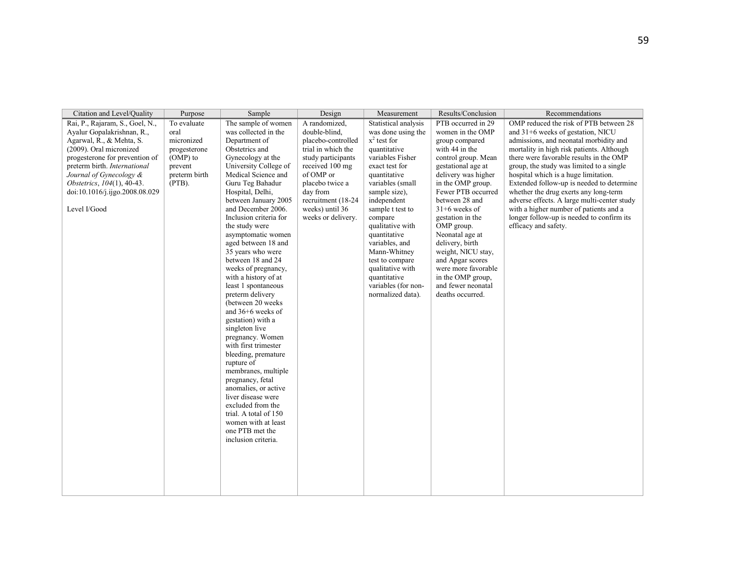| Citation and Level/Quality                                                                                                                                                                                                                                                                        | Purpose                                                                                                | Sample                                                                                                                                                                                                                                                                                                                                                                                                                                                                                                                                                                                                                                                                                                                                                                                                                                              | Design                                                                                                                                                                                                                          | Measurement                                                                                                                                                                                                                                                                                                                                                                                    | Results/Conclusion                                                                                                                                                                                                                                                                                                                                                                                                                     | Recommendations                                                                                                                                                                                                                                                                                                                                                                                                                                                                                                                                         |
|---------------------------------------------------------------------------------------------------------------------------------------------------------------------------------------------------------------------------------------------------------------------------------------------------|--------------------------------------------------------------------------------------------------------|-----------------------------------------------------------------------------------------------------------------------------------------------------------------------------------------------------------------------------------------------------------------------------------------------------------------------------------------------------------------------------------------------------------------------------------------------------------------------------------------------------------------------------------------------------------------------------------------------------------------------------------------------------------------------------------------------------------------------------------------------------------------------------------------------------------------------------------------------------|---------------------------------------------------------------------------------------------------------------------------------------------------------------------------------------------------------------------------------|------------------------------------------------------------------------------------------------------------------------------------------------------------------------------------------------------------------------------------------------------------------------------------------------------------------------------------------------------------------------------------------------|----------------------------------------------------------------------------------------------------------------------------------------------------------------------------------------------------------------------------------------------------------------------------------------------------------------------------------------------------------------------------------------------------------------------------------------|---------------------------------------------------------------------------------------------------------------------------------------------------------------------------------------------------------------------------------------------------------------------------------------------------------------------------------------------------------------------------------------------------------------------------------------------------------------------------------------------------------------------------------------------------------|
| Rai, P., Rajaram, S., Goel, N.,<br>Ayalur Gopalakrishnan, R.,<br>Agarwal, R., & Mehta, S.<br>(2009). Oral micronized<br>progesterone for prevention of<br>preterm birth. International<br>Journal of Gynecology &<br>Obstetrics, 104(1), 40-43.<br>doi:10.1016/j.ijgo.2008.08.029<br>Level I/Good | To evaluate<br>oral<br>micronized<br>progesterone<br>(OMP) to<br>prevent<br>preterm birth<br>$(PTB)$ . | The sample of women<br>was collected in the<br>Department of<br>Obstetrics and<br>Gynecology at the<br>University College of<br>Medical Science and<br>Guru Teg Bahadur<br>Hospital, Delhi,<br>between January 2005<br>and December 2006.<br>Inclusion criteria for<br>the study were<br>asymptomatic women<br>aged between 18 and<br>35 years who were<br>between 18 and 24<br>weeks of pregnancy,<br>with a history of at<br>least 1 spontaneous<br>preterm delivery<br>(between 20 weeks)<br>and $36+6$ weeks of<br>gestation) with a<br>singleton live<br>pregnancy. Women<br>with first trimester<br>bleeding, premature<br>rupture of<br>membranes, multiple<br>pregnancy, fetal<br>anomalies, or active<br>liver disease were<br>excluded from the<br>trial. A total of 150<br>women with at least<br>one PTB met the<br>inclusion criteria. | A randomized,<br>double-blind,<br>placebo-controlled<br>trial in which the<br>study participants<br>received 100 mg<br>of OMP or<br>placebo twice a<br>day from<br>recruitment (18-24)<br>weeks) until 36<br>weeks or delivery. | Statistical analysis<br>was done using the<br>$x^2$ test for<br>quantitative<br>variables Fisher<br>exact test for<br>quantitative<br>variables (small<br>sample size),<br>independent<br>sample t test to<br>compare<br>qualitative with<br>quantitative<br>variables, and<br>Mann-Whitney<br>test to compare<br>qualitative with<br>quantitative<br>variables (for non-<br>normalized data). | PTB occurred in 29<br>women in the OMP<br>group compared<br>with 44 in the<br>control group. Mean<br>gestational age at<br>delivery was higher<br>in the OMP group.<br>Fewer PTB occurred<br>between 28 and<br>$31+6$ weeks of<br>gestation in the<br>OMP group.<br>Neonatal age at<br>delivery, birth<br>weight, NICU stay,<br>and Apgar scores<br>were more favorable<br>in the OMP group,<br>and fewer neonatal<br>deaths occurred. | OMP reduced the risk of PTB between 28<br>and $31+6$ weeks of gestation, NICU<br>admissions, and neonatal morbidity and<br>mortality in high risk patients. Although<br>there were favorable results in the OMP<br>group, the study was limited to a single<br>hospital which is a huge limitation.<br>Extended follow-up is needed to determine<br>whether the drug exerts any long-term<br>adverse effects. A large multi-center study<br>with a higher number of patients and a<br>longer follow-up is needed to confirm its<br>efficacy and safety. |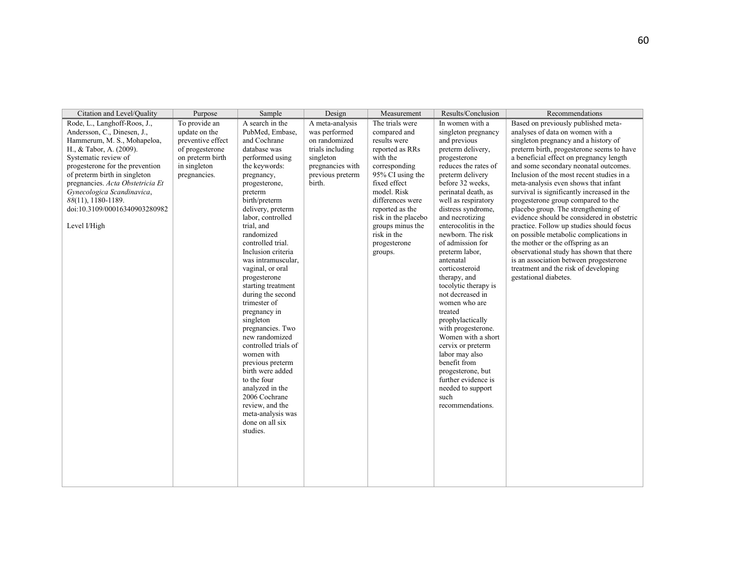| Citation and Level/Quality                                                                                                                                                                                                                                                                                                                                 | Purpose                                                                                                                    | Sample                                                                                                                                                                                                                                                                                                                                                                                                                                                                                                                                                                                                                                                                             | Design                                                                                                                               | Measurement                                                                                                                                                                                                                                                                    | Results/Conclusion                                                                                                                                                                                                                                                                                                                                                                                                                                                                                                                                                                                                                                                               | Recommendations                                                                                                                                                                                                                                                                                                                                                                                                                                                                                                                                                                                                                                                                                                                                                                                  |
|------------------------------------------------------------------------------------------------------------------------------------------------------------------------------------------------------------------------------------------------------------------------------------------------------------------------------------------------------------|----------------------------------------------------------------------------------------------------------------------------|------------------------------------------------------------------------------------------------------------------------------------------------------------------------------------------------------------------------------------------------------------------------------------------------------------------------------------------------------------------------------------------------------------------------------------------------------------------------------------------------------------------------------------------------------------------------------------------------------------------------------------------------------------------------------------|--------------------------------------------------------------------------------------------------------------------------------------|--------------------------------------------------------------------------------------------------------------------------------------------------------------------------------------------------------------------------------------------------------------------------------|----------------------------------------------------------------------------------------------------------------------------------------------------------------------------------------------------------------------------------------------------------------------------------------------------------------------------------------------------------------------------------------------------------------------------------------------------------------------------------------------------------------------------------------------------------------------------------------------------------------------------------------------------------------------------------|--------------------------------------------------------------------------------------------------------------------------------------------------------------------------------------------------------------------------------------------------------------------------------------------------------------------------------------------------------------------------------------------------------------------------------------------------------------------------------------------------------------------------------------------------------------------------------------------------------------------------------------------------------------------------------------------------------------------------------------------------------------------------------------------------|
| Rode, L., Langhoff-Roos, J.,<br>Andersson, C., Dinesen, J.,<br>Hammerum, M. S., Mohapeloa,<br>H., & Tabor, A. (2009).<br>Systematic review of<br>progesterone for the prevention<br>of preterm birth in singleton<br>pregnancies. Acta Obstetricia Et<br>Gynecologica Scandinavica,<br>88(11), 1180-1189.<br>doi:10.3109/00016340903280982<br>Level I/High | To provide an<br>update on the<br>preventive effect<br>of progesterone<br>on preterm birth<br>in singleton<br>pregnancies. | A search in the<br>PubMed, Embase,<br>and Cochrane<br>database was<br>performed using<br>the keywords:<br>pregnancy,<br>progesterone,<br>preterm<br>birth/preterm<br>delivery, preterm<br>labor, controlled<br>trial, and<br>randomized<br>controlled trial.<br>Inclusion criteria<br>was intramuscular,<br>vaginal, or oral<br>progesterone<br>starting treatment<br>during the second<br>trimester of<br>pregnancy in<br>singleton<br>pregnancies. Two<br>new randomized<br>controlled trials of<br>women with<br>previous preterm<br>birth were added<br>to the four<br>analyzed in the<br>2006 Cochrane<br>review, and the<br>meta-analysis was<br>done on all six<br>studies. | A meta-analysis<br>was performed<br>on randomized<br>trials including<br>singleton<br>pregnancies with<br>previous preterm<br>birth. | The trials were<br>compared and<br>results were<br>reported as RRs<br>with the<br>corresponding<br>95% CI using the<br>fixed effect<br>model. Risk<br>differences were<br>reported as the<br>risk in the placebo<br>groups minus the<br>risk in the<br>progesterone<br>groups. | In women with a<br>singleton pregnancy<br>and previous<br>preterm delivery,<br>progesterone<br>reduces the rates of<br>preterm delivery<br>before 32 weeks.<br>perinatal death, as<br>well as respiratory<br>distress syndrome,<br>and necrotizing<br>enterocolitis in the<br>newborn. The risk<br>of admission for<br>preterm labor,<br>antenatal<br>corticosteroid<br>therapy, and<br>tocolytic therapy is<br>not decreased in<br>women who are<br>treated<br>prophylactically<br>with progesterone.<br>Women with a short<br>cervix or preterm<br>labor may also<br>benefit from<br>progesterone, but<br>further evidence is<br>needed to support<br>such<br>recommendations. | Based on previously published meta-<br>analyses of data on women with a<br>singleton pregnancy and a history of<br>preterm birth, progesterone seems to have<br>a beneficial effect on pregnancy length<br>and some secondary neonatal outcomes.<br>Inclusion of the most recent studies in a<br>meta-analysis even shows that infant<br>survival is significantly increased in the<br>progesterone group compared to the<br>placebo group. The strengthening of<br>evidence should be considered in obstetric<br>practice. Follow up studies should focus<br>on possible metabolic complications in<br>the mother or the offspring as an<br>observational study has shown that there<br>is an association between progesterone<br>treatment and the risk of developing<br>gestational diabetes. |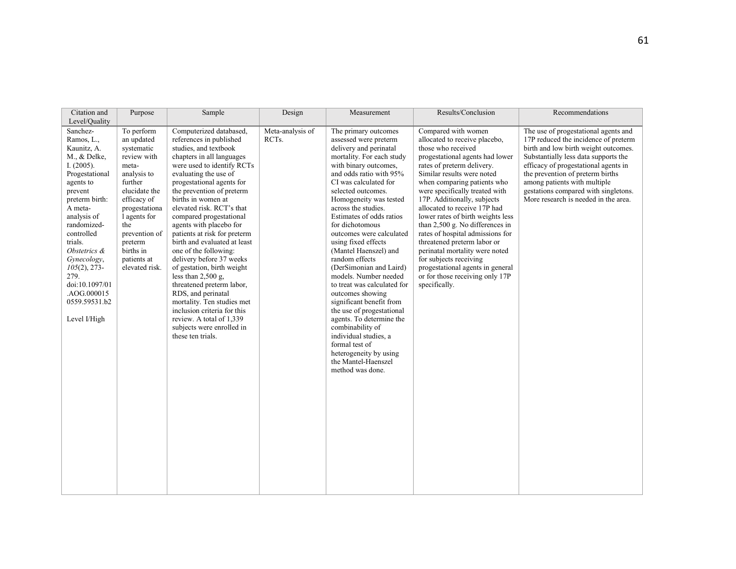| Citation and<br>Level/Quality                                                                                                                                                                                                                                                                                                    | Purpose                                                                                                                                                                                                                                    | Sample                                                                                                                                                                                                                                                                                                                                                                                                                                                                                                                                                                                                                                                                                                      | Design                                 | Measurement                                                                                                                                                                                                                                                                                                                                                                                                                                                                                                                                                                                                                                                                                                                           | Results/Conclusion                                                                                                                                                                                                                                                                                                                                                                                                                                                                                                                                                                                       | Recommendations                                                                                                                                                                                                                                                                                                                                          |
|----------------------------------------------------------------------------------------------------------------------------------------------------------------------------------------------------------------------------------------------------------------------------------------------------------------------------------|--------------------------------------------------------------------------------------------------------------------------------------------------------------------------------------------------------------------------------------------|-------------------------------------------------------------------------------------------------------------------------------------------------------------------------------------------------------------------------------------------------------------------------------------------------------------------------------------------------------------------------------------------------------------------------------------------------------------------------------------------------------------------------------------------------------------------------------------------------------------------------------------------------------------------------------------------------------------|----------------------------------------|---------------------------------------------------------------------------------------------------------------------------------------------------------------------------------------------------------------------------------------------------------------------------------------------------------------------------------------------------------------------------------------------------------------------------------------------------------------------------------------------------------------------------------------------------------------------------------------------------------------------------------------------------------------------------------------------------------------------------------------|----------------------------------------------------------------------------------------------------------------------------------------------------------------------------------------------------------------------------------------------------------------------------------------------------------------------------------------------------------------------------------------------------------------------------------------------------------------------------------------------------------------------------------------------------------------------------------------------------------|----------------------------------------------------------------------------------------------------------------------------------------------------------------------------------------------------------------------------------------------------------------------------------------------------------------------------------------------------------|
| Sanchez-<br>Ramos, L.,<br>Kaunitz, A.<br>M., & Delke,<br>I. $(2005)$ .<br>Progestational<br>agents to<br>prevent<br>preterm birth:<br>A meta-<br>analysis of<br>randomized-<br>controlled<br>trials.<br>Obstetrics &<br>Gynecology,<br>$105(2)$ , 273-<br>279.<br>doi:10.1097/01<br>.AOG.000015<br>0559.59531.b2<br>Level I/High | To perform<br>an updated<br>systematic<br>review with<br>meta-<br>analysis to<br>further<br>elucidate the<br>efficacy of<br>progestationa<br>l agents for<br>the<br>prevention of<br>preterm<br>births in<br>patients at<br>elevated risk. | Computerized databased,<br>references in published<br>studies, and textbook<br>chapters in all languages<br>were used to identify RCTs<br>evaluating the use of<br>progestational agents for<br>the prevention of preterm<br>births in women at<br>elevated risk. RCT's that<br>compared progestational<br>agents with placebo for<br>patients at risk for preterm<br>birth and evaluated at least<br>one of the following:<br>delivery before 37 weeks<br>of gestation, birth weight<br>less than $2,500$ g,<br>threatened preterm labor,<br>RDS, and perinatal<br>mortality. Ten studies met<br>inclusion criteria for this<br>review. A total of 1,339<br>subjects were enrolled in<br>these ten trials. | Meta-analysis of<br>RCT <sub>s</sub> . | The primary outcomes<br>assessed were preterm<br>delivery and perinatal<br>mortality. For each study<br>with binary outcomes.<br>and odds ratio with 95%<br>CI was calculated for<br>selected outcomes.<br>Homogeneity was tested<br>across the studies.<br>Estimates of odds ratios<br>for dichotomous<br>outcomes were calculated<br>using fixed effects<br>(Mantel Haenszel) and<br>random effects<br>(DerSimonian and Laird)<br>models. Number needed<br>to treat was calculated for<br>outcomes showing<br>significant benefit from<br>the use of progestational<br>agents. To determine the<br>combinability of<br>individual studies, a<br>formal test of<br>heterogeneity by using<br>the Mantel-Haenszel<br>method was done. | Compared with women<br>allocated to receive placebo,<br>those who received<br>progestational agents had lower<br>rates of preterm delivery.<br>Similar results were noted<br>when comparing patients who<br>were specifically treated with<br>17P. Additionally, subjects<br>allocated to receive 17P had<br>lower rates of birth weights less<br>than 2,500 g. No differences in<br>rates of hospital admissions for<br>threatened preterm labor or<br>perinatal mortality were noted<br>for subjects receiving<br>progestational agents in general<br>or for those receiving only 17P<br>specifically. | The use of progestational agents and<br>17P reduced the incidence of preterm<br>birth and low birth weight outcomes.<br>Substantially less data supports the<br>efficacy of progestational agents in<br>the prevention of preterm births<br>among patients with multiple<br>gestations compared with singletons.<br>More research is needed in the area. |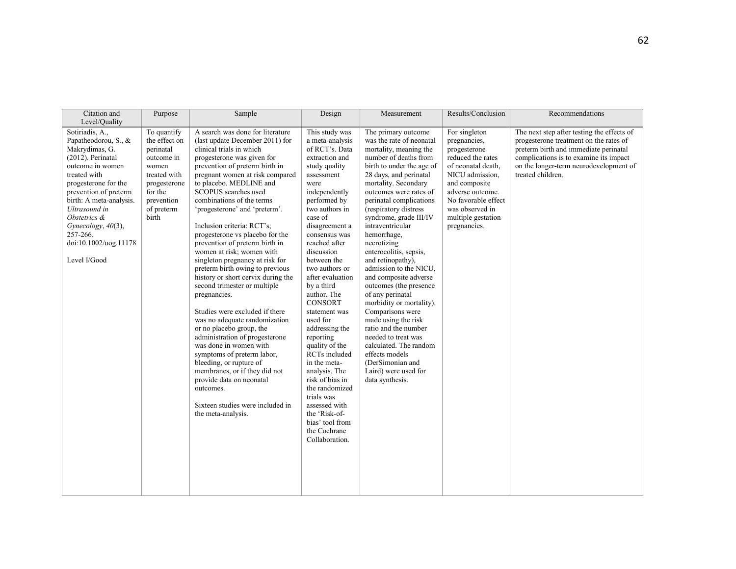| Citation and<br>Level/Quality                                                                                                                                                                                                                                                                              | Purpose                                                                                                                                          | Sample                                                                                                                                                                                                                                                                                                                                                                                                                                                                                                                                                                                                                                                                                                                                                                                                                                                                                                                                                                  | Design                                                                                                                                                                                                                                                                                                                                                                                                                                                                                                                                                                                                                     | Measurement                                                                                                                                                                                                                                                                                                                                                                                                                                                                                                                                                                                                                                                                                                                  | Results/Conclusion                                                                                                                                                                                                               | Recommendations                                                                                                                                                                                                                        |
|------------------------------------------------------------------------------------------------------------------------------------------------------------------------------------------------------------------------------------------------------------------------------------------------------------|--------------------------------------------------------------------------------------------------------------------------------------------------|-------------------------------------------------------------------------------------------------------------------------------------------------------------------------------------------------------------------------------------------------------------------------------------------------------------------------------------------------------------------------------------------------------------------------------------------------------------------------------------------------------------------------------------------------------------------------------------------------------------------------------------------------------------------------------------------------------------------------------------------------------------------------------------------------------------------------------------------------------------------------------------------------------------------------------------------------------------------------|----------------------------------------------------------------------------------------------------------------------------------------------------------------------------------------------------------------------------------------------------------------------------------------------------------------------------------------------------------------------------------------------------------------------------------------------------------------------------------------------------------------------------------------------------------------------------------------------------------------------------|------------------------------------------------------------------------------------------------------------------------------------------------------------------------------------------------------------------------------------------------------------------------------------------------------------------------------------------------------------------------------------------------------------------------------------------------------------------------------------------------------------------------------------------------------------------------------------------------------------------------------------------------------------------------------------------------------------------------------|----------------------------------------------------------------------------------------------------------------------------------------------------------------------------------------------------------------------------------|----------------------------------------------------------------------------------------------------------------------------------------------------------------------------------------------------------------------------------------|
| Sotiriadis, A.,<br>Papatheodorou, S., &<br>Makrydimas, G.<br>(2012). Perinatal<br>outcome in women<br>treated with<br>progesterone for the<br>prevention of preterm<br>birth: A meta-analysis.<br>Ultrasound in<br>Obstetrics &<br>Gynecology, 40(3),<br>257-266.<br>doi:10.1002/uog.11178<br>Level I/Good | To quantify<br>the effect on<br>perinatal<br>outcome in<br>women<br>treated with<br>progesterone<br>for the<br>prevention<br>of preterm<br>birth | A search was done for literature<br>(last update December 2011) for<br>clinical trials in which<br>progesterone was given for<br>prevention of preterm birth in<br>pregnant women at risk compared<br>to placebo. MEDLINE and<br>SCOPUS searches used<br>combinations of the terms<br>'progesterone' and 'preterm'.<br>Inclusion criteria: RCT's;<br>progesterone vs placebo for the<br>prevention of preterm birth in<br>women at risk; women with<br>singleton pregnancy at risk for<br>preterm birth owing to previous<br>history or short cervix during the<br>second trimester or multiple<br>pregnancies.<br>Studies were excluded if there<br>was no adequate randomization<br>or no placebo group, the<br>administration of progesterone<br>was done in women with<br>symptoms of preterm labor,<br>bleeding, or rupture of<br>membranes, or if they did not<br>provide data on neonatal<br>outcomes.<br>Sixteen studies were included in<br>the meta-analysis. | This study was<br>a meta-analysis<br>of RCT's. Data<br>extraction and<br>study quality<br>assessment<br>were<br>independently<br>performed by<br>two authors in<br>case of<br>disagreement a<br>consensus was<br>reached after<br>discussion<br>between the<br>two authors or<br>after evaluation<br>by a third<br>author. The<br><b>CONSORT</b><br>statement was<br>used for<br>addressing the<br>reporting<br>quality of the<br>RCTs included<br>in the meta-<br>analysis. The<br>risk of bias in<br>the randomized<br>trials was<br>assessed with<br>the 'Risk-of-<br>bias' tool from<br>the Cochrane<br>Collaboration. | The primary outcome<br>was the rate of neonatal<br>mortality, meaning the<br>number of deaths from<br>birth to under the age of<br>28 days, and perinatal<br>mortality. Secondary<br>outcomes were rates of<br>perinatal complications<br>(respiratory distress<br>syndrome, grade III/IV<br>intraventricular<br>hemorrhage.<br>necrotizing<br>enterocolitis, sepsis,<br>and retinopathy),<br>admission to the NICU,<br>and composite adverse<br>outcomes (the presence<br>of any perinatal<br>morbidity or mortality).<br>Comparisons were<br>made using the risk<br>ratio and the number<br>needed to treat was<br>calculated. The random<br>effects models<br>(DerSimonian and<br>Laird) were used for<br>data synthesis. | For singleton<br>pregnancies,<br>progesterone<br>reduced the rates<br>of neonatal death.<br>NICU admission.<br>and composite<br>adverse outcome.<br>No favorable effect<br>was observed in<br>multiple gestation<br>pregnancies. | The next step after testing the effects of<br>progesterone treatment on the rates of<br>preterm birth and immediate perinatal<br>complications is to examine its impact<br>on the longer-term neurodevelopment of<br>treated children. |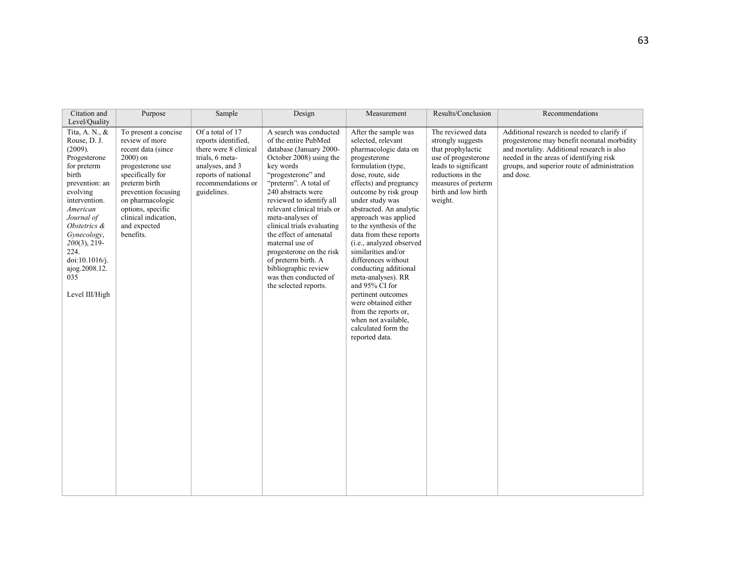| Citation and<br>Level/Ouality                                                                                                                                                                                                                                                    | Purpose                                                                                                                                                                                                                                                   | Sample                                                                                                                                                             | Design                                                                                                                                                                                                                                                                                                                                                                                                                                                                         | Measurement                                                                                                                                                                                                                                                                                                                                                                                                                                                                                                                                                                                    | Results/Conclusion                                                                                                                                                                       | Recommendations                                                                                                                                                                                                                                  |
|----------------------------------------------------------------------------------------------------------------------------------------------------------------------------------------------------------------------------------------------------------------------------------|-----------------------------------------------------------------------------------------------------------------------------------------------------------------------------------------------------------------------------------------------------------|--------------------------------------------------------------------------------------------------------------------------------------------------------------------|--------------------------------------------------------------------------------------------------------------------------------------------------------------------------------------------------------------------------------------------------------------------------------------------------------------------------------------------------------------------------------------------------------------------------------------------------------------------------------|------------------------------------------------------------------------------------------------------------------------------------------------------------------------------------------------------------------------------------------------------------------------------------------------------------------------------------------------------------------------------------------------------------------------------------------------------------------------------------------------------------------------------------------------------------------------------------------------|------------------------------------------------------------------------------------------------------------------------------------------------------------------------------------------|--------------------------------------------------------------------------------------------------------------------------------------------------------------------------------------------------------------------------------------------------|
| Tita, A. N., &<br>Rouse, D. J.<br>(2009).<br>Progesterone<br>for preterm<br>birth<br>prevention: an<br>evolving<br>intervention.<br>American<br>Journal of<br>Obstetrics &<br>Gynecology,<br>$200(3)$ , 219-<br>224.<br>doi:10.1016/j.<br>ajog.2008.12.<br>035<br>Level III/High | To present a concise<br>review of more<br>recent data (since<br>$2000$ ) on<br>progesterone use<br>specifically for<br>preterm birth<br>prevention focusing<br>on pharmacologic<br>options, specific<br>clinical indication.<br>and expected<br>benefits. | Of a total of 17<br>reports identified.<br>there were 8 clinical<br>trials, 6 meta-<br>analyses, and 3<br>reports of national<br>recommendations or<br>guidelines. | A search was conducted<br>of the entire PubMed<br>database (January 2000-<br>October 2008) using the<br>key words<br>"progesterone" and<br>"preterm". A total of<br>240 abstracts were<br>reviewed to identify all<br>relevant clinical trials or<br>meta-analyses of<br>clinical trials evaluating<br>the effect of antenatal<br>maternal use of<br>progesterone on the risk<br>of preterm birth. A<br>bibliographic review<br>was then conducted of<br>the selected reports. | After the sample was<br>selected, relevant<br>pharmacologic data on<br>progesterone<br>formulation (type,<br>dose, route, side<br>effects) and pregnancy<br>outcome by risk group<br>under study was<br>abstracted. An analytic<br>approach was applied<br>to the synthesis of the<br>data from these reports<br>(i.e., analyzed observed<br>similarities and/or<br>differences without<br>conducting additional<br>meta-analyses). RR<br>and 95% CI for<br>pertinent outcomes<br>were obtained either<br>from the reports or,<br>when not available.<br>calculated form the<br>reported data. | The reviewed data<br>strongly suggests<br>that prophylactic<br>use of progesterone<br>leads to significant<br>reductions in the<br>measures of preterm<br>birth and low birth<br>weight. | Additional research is needed to clarify if<br>progesterone may benefit neonatal morbidity<br>and mortality. Additional research is also<br>needed in the areas of identifying risk<br>groups, and superior route of administration<br>and dose. |